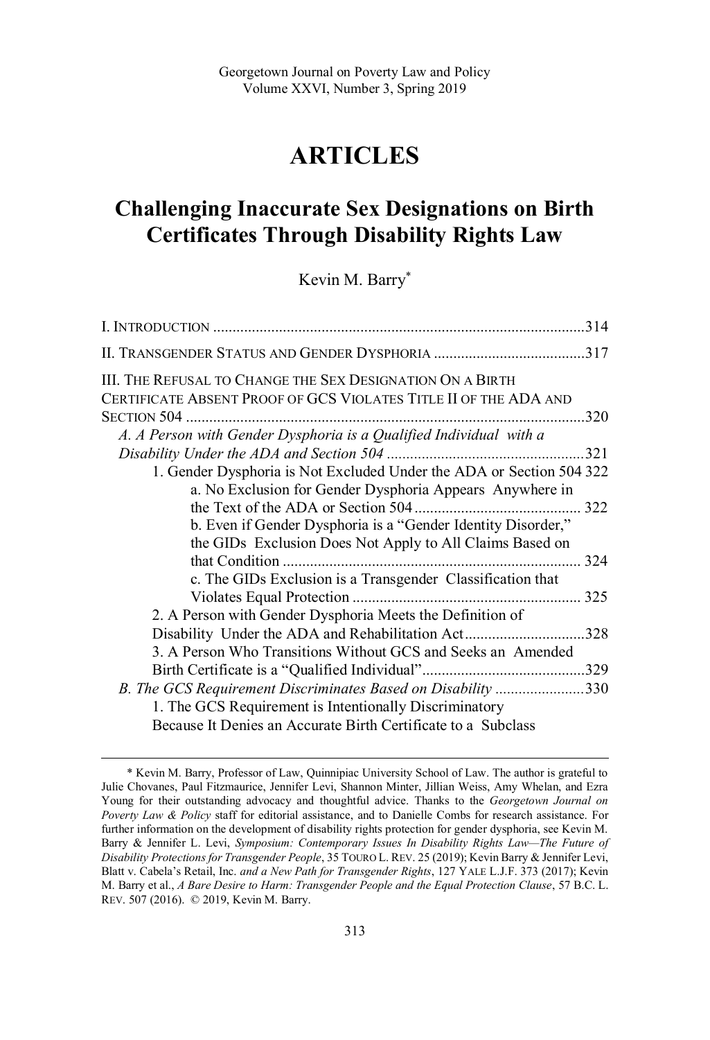# **ARTICLES**

# **Challenging Inaccurate Sex Designations on Birth Certificates Through Disability Rights Law**

Kevin M. Barry\*

| III. THE REFUSAL TO CHANGE THE SEX DESIGNATION ON A BIRTH            |      |
|----------------------------------------------------------------------|------|
| CERTIFICATE ABSENT PROOF OF GCS VIOLATES TITLE II OF THE ADA AND     |      |
|                                                                      | 320  |
| A. A Person with Gender Dysphoria is a Qualified Individual with a   |      |
|                                                                      | 321  |
| 1. Gender Dysphoria is Not Excluded Under the ADA or Section 504 322 |      |
| a. No Exclusion for Gender Dysphoria Appears Anywhere in             |      |
|                                                                      |      |
| b. Even if Gender Dysphoria is a "Gender Identity Disorder,"         |      |
| the GIDs Exclusion Does Not Apply to All Claims Based on             |      |
|                                                                      |      |
| c. The GIDs Exclusion is a Transgender Classification that           |      |
|                                                                      |      |
| 2. A Person with Gender Dysphoria Meets the Definition of            |      |
| Disability Under the ADA and Rehabilitation Act                      | .328 |
| 3. A Person Who Transitions Without GCS and Seeks an Amended         |      |
|                                                                      |      |
| B. The GCS Requirement Discriminates Based on Disability 330         |      |
| 1. The GCS Requirement is Intentionally Discriminatory               |      |
| Because It Denies an Accurate Birth Certificate to a Subclass        |      |

<sup>\*</sup> Kevin M. Barry, Professor of Law, Quinnipiac University School of Law. The author is grateful to Julie Chovanes, Paul Fitzmaurice, Jennifer Levi, Shannon Minter, Jillian Weiss, Amy Whelan, and Ezra Young for their outstanding advocacy and thoughtful advice. Thanks to the *Georgetown Journal on Poverty Law & Policy* staff for editorial assistance, and to Danielle Combs for research assistance. For further information on the development of disability rights protection for gender dysphoria, see Kevin M. Barry & Jennifer L. Levi, *Symposium: Contemporary Issues In Disability Rights Law—The Future of Disability Protections for Transgender People*, 35 TOURO L. REV. 25 (2019); Kevin Barry & Jennifer Levi, Blatt v. Cabela's Retail, Inc. *and a New Path for Transgender Rights*, 127 YALE L.J.F. 373 (2017); Kevin M. Barry et al., *A Bare Desire to Harm: Transgender People and the Equal Protection Clause*, 57 B.C. L. REV. 507 (2016). © 2019, Kevin M. Barry.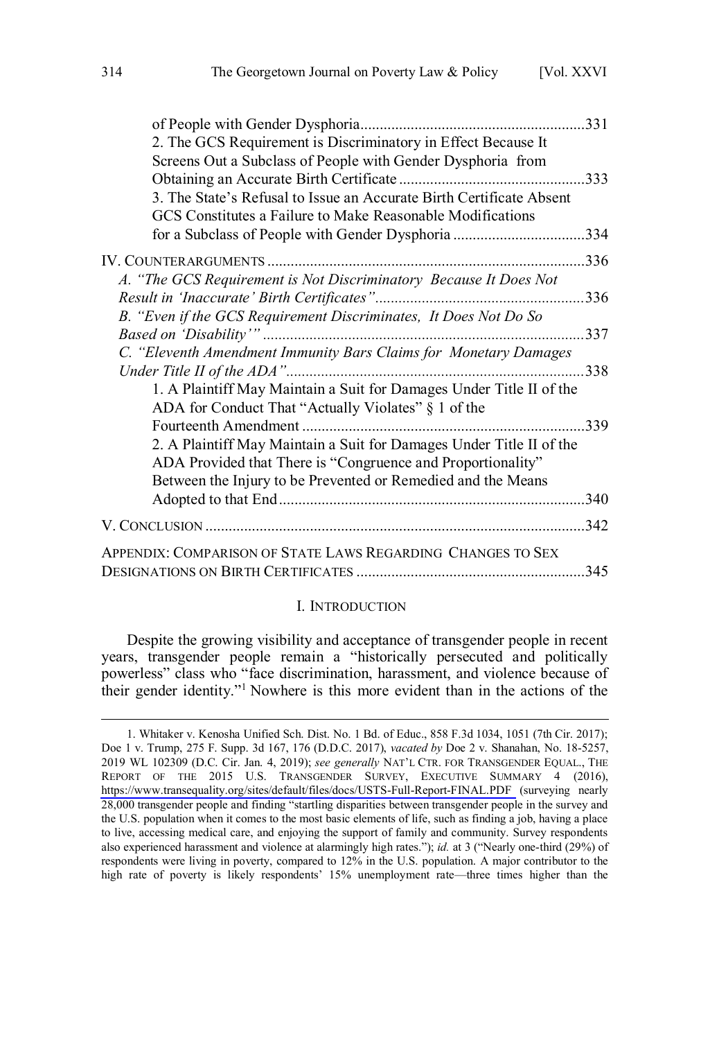<span id="page-1-0"></span>

|                                                                      | .331 |
|----------------------------------------------------------------------|------|
| 2. The GCS Requirement is Discriminatory in Effect Because It        |      |
| Screens Out a Subclass of People with Gender Dysphoria from          |      |
|                                                                      | .333 |
| 3. The State's Refusal to Issue an Accurate Birth Certificate Absent |      |
| GCS Constitutes a Failure to Make Reasonable Modifications           |      |
| for a Subclass of People with Gender Dysphoria 334                   |      |
|                                                                      | .336 |
| A. "The GCS Requirement is Not Discriminatory Because It Does Not    |      |
|                                                                      | .336 |
| B. "Even if the GCS Requirement Discriminates, It Does Not Do So     |      |
|                                                                      | 337  |
| C. "Eleventh Amendment Immunity Bars Claims for Monetary Damages     |      |
| Under Title II of the ADA"                                           | .338 |
| 1. A Plaintiff May Maintain a Suit for Damages Under Title II of the |      |
| ADA for Conduct That "Actually Violates" § 1 of the                  |      |
| Fourteenth Amendment.                                                | 339  |
| 2. A Plaintiff May Maintain a Suit for Damages Under Title II of the |      |
| ADA Provided that There is "Congruence and Proportionality"          |      |
| Between the Injury to be Prevented or Remedied and the Means         |      |
|                                                                      | 340  |
|                                                                      |      |
|                                                                      | 342  |
| APPENDIX: COMPARISON OF STATE LAWS REGARDING CHANGES TO SEX          |      |
|                                                                      | .345 |
|                                                                      |      |

#### I. INTRODUCTION

Despite the growing visibility and acceptance of transgender people in recent years, transgender people remain a "historically persecuted and politically powerless" class who "face discrimination, harassment, and violence because of their gender identity."<sup>1</sup> Nowhere is this more evident than in the actions of the

Whitaker v. Kenosha Unified Sch. Dist. No. 1 Bd. of Educ., 858 F.3d 1034, 1051 (7th Cir. 2017); 1. Doe 1 v. Trump, 275 F. Supp. 3d 167, 176 (D.D.C. 2017), *vacated by* Doe 2 v. Shanahan, No. 18-5257, 2019 WL 102309 (D.C. Cir. Jan. 4, 2019); *see generally* NAT'L CTR. FOR TRANSGENDER EQUAL., THE REPORT OF THE 2015 U.S. TRANSGENDER SURVEY, EXECUTIVE SUMMARY 4 (2016), <https://www.transequality.org/sites/default/files/docs/USTS-Full-Report-FINAL.PDF>(surveying nearly 28,000 transgender people and finding "startling disparities between transgender people in the survey and the U.S. population when it comes to the most basic elements of life, such as finding a job, having a place to live, accessing medical care, and enjoying the support of family and community. Survey respondents also experienced harassment and violence at alarmingly high rates."); *id.* at 3 ("Nearly one-third (29%) of respondents were living in poverty, compared to 12% in the U.S. population. A major contributor to the high rate of poverty is likely respondents' 15% unemployment rate—three times higher than the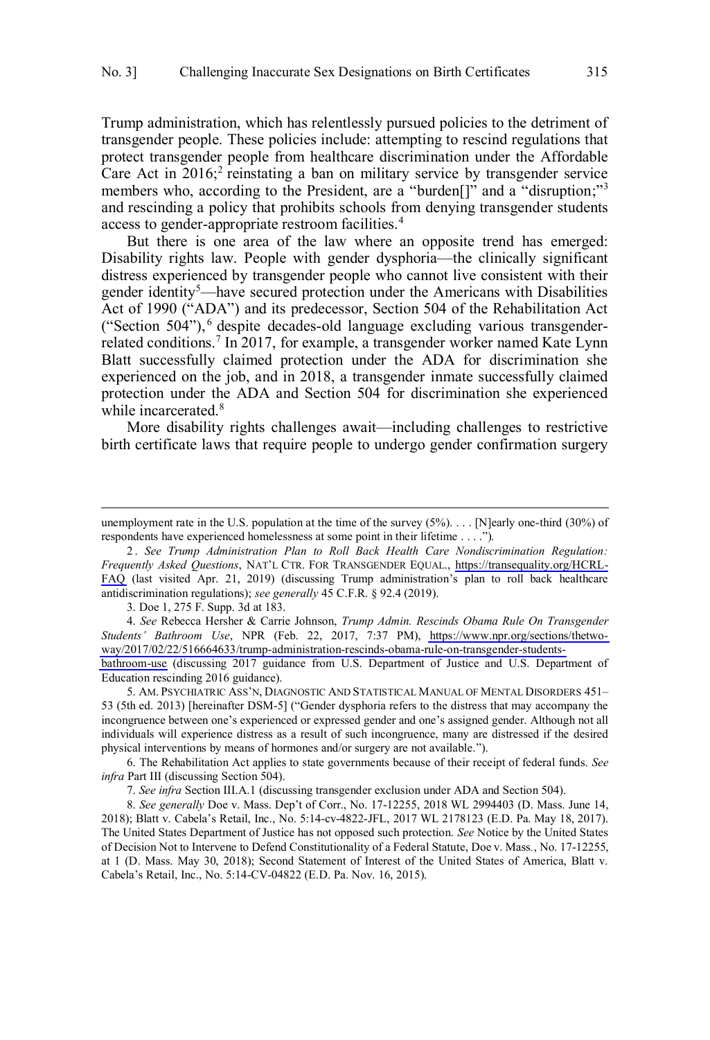Trump administration, which has relentlessly pursued policies to the detriment of transgender people. These policies include: attempting to rescind regulations that protect transgender people from healthcare discrimination under the Affordable Care Act in  $2016$ ;<sup>2</sup> reinstating a ban on military service by transgender service members who, according to the President, are a "burden<sup>[]"</sup> and a "disruption;"<sup>3</sup> and rescinding a policy that prohibits schools from denying transgender students access to gender-appropriate restroom facilities.<sup>4</sup>

But there is one area of the law where an opposite trend has emerged: Disability rights law. People with gender dysphoria—the clinically significant distress experienced by transgender people who cannot live consistent with their gender identity<sup>5</sup>—have secured protection under the Americans with Disabilities Act of 1990 ("ADA") and its predecessor, Section 504 of the Rehabilitation Act ("Section 504"), <sup>6</sup> despite decades-old language excluding various transgenderrelated conditions.<sup>7</sup> In 2017, for example, a transgender worker named Kate Lynn Blatt successfully claimed protection under the ADA for discrimination she experienced on the job, and in 2018, a transgender inmate successfully claimed protection under the ADA and Section 504 for discrimination she experienced while incarcerated.<sup>8</sup>

More disability rights challenges await—including challenges to restrictive birth certificate laws that require people to undergo gender confirmation surgery

3. Doe 1, 275 F. Supp. 3d at 183.

 $\overline{a}$ 

*See* Rebecca Hersher & Carrie Johnson, *Trump Admin. Rescinds Obama Rule On Transgender*  4. *Students' Bathroom Use*, NPR (Feb. 22, 2017, 7:37 PM), [https://www.npr.org/sections/thetwo](https://www.npr.org/sections/thetwoway/2017/02/22/516664633/trump-administration-rescinds-obama-rule-on-transgender-students-bathroom-use)[way/2017/02/22/516664633/trump-administration-rescinds-obama-rule-on-transgender-students-](https://www.npr.org/sections/thetwoway/2017/02/22/516664633/trump-administration-rescinds-obama-rule-on-transgender-students-bathroom-use)

[bathroom-use](https://www.npr.org/sections/thetwoway/2017/02/22/516664633/trump-administration-rescinds-obama-rule-on-transgender-students-bathroom-use) (discussing 2017 guidance from U.S. Department of Justice and U.S. Department of Education rescinding 2016 guidance).

5. AM. PSYCHIATRIC ASS'N, DIAGNOSTIC AND STATISTICAL MANUAL OF MENTAL DISORDERS 451– 53 (5th ed. 2013) [hereinafter DSM-5] ("Gender dysphoria refers to the distress that may accompany the incongruence between one's experienced or expressed gender and one's assigned gender. Although not all individuals will experience distress as a result of such incongruence, many are distressed if the desired physical interventions by means of hormones and/or surgery are not available.").

6. The Rehabilitation Act applies to state governments because of their receipt of federal funds. *See infra* Part III (discussing Section 504).

7. *See infra* Section III.A.1 (discussing transgender exclusion under ADA and Section 504).

8. *See generally* Doe v. Mass. Dep't of Corr., No. 17-12255, 2018 WL 2994403 (D. Mass. June 14, 2018); Blatt v. Cabela's Retail, Inc., No. 5:14-cv-4822-JFL, 2017 WL 2178123 (E.D. Pa. May 18, 2017). The United States Department of Justice has not opposed such protection. *See* Notice by the United States of Decision Not to Intervene to Defend Constitutionality of a Federal Statute, Doe v. Mass*.*, No. 17-12255, at 1 (D. Mass. May 30, 2018); Second Statement of Interest of the United States of America, Blatt v. Cabela's Retail, Inc., No. 5:14-CV-04822 (E.D. Pa. Nov. 16, 2015).

unemployment rate in the U.S. population at the time of the survey  $(5\%)$ ... [N]early one-third  $(30\%)$  of respondents have experienced homelessness at some point in their lifetime . . . .").

*See Trump Administration Plan to Roll Back Health Care Nondiscrimination Regulation:*  2 . *Frequently Asked Questions*, NAT'L CTR. FOR TRANSGENDER EQUAL., [https://transequality.org/HCRL-](https://transequality.org/HCRL-FAQ)[FAQ](https://transequality.org/HCRL-FAQ) (last visited Apr. 21, 2019) (discussing Trump administration's plan to roll back healthcare antidiscrimination regulations); *see generally* 45 C.F.R. § 92.4 (2019).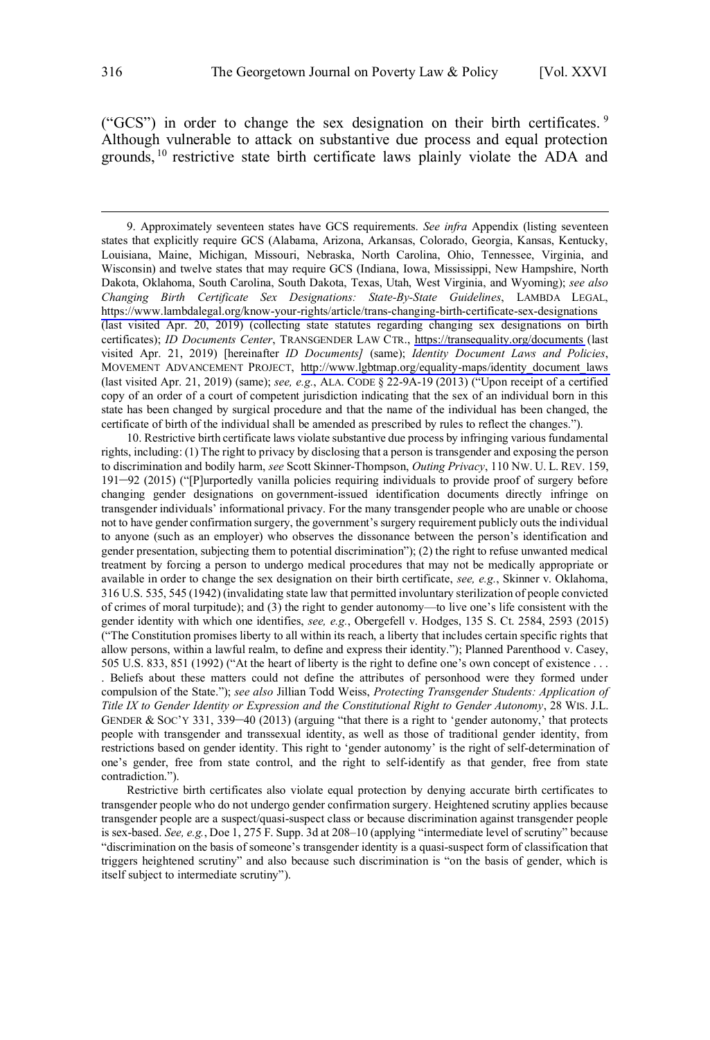("GCS") in order to change the sex designation on their birth certificates.  $9$ Although vulnerable to attack on substantive due process and equal protection grounds, <sup>10</sup> restrictive state birth certificate laws plainly violate the ADA and

10. Restrictive birth certificate laws violate substantive due process by infringing various fundamental rights, including: (1) The right to privacy by disclosing that a person is transgender and exposing the person to discrimination and bodily harm, *see* Scott Skinner-Thompson, *Outing Privacy*, 110 NW. U. L. REV. 159, 191–92 (2015) ("[P]urportedly vanilla policies requiring individuals to provide proof of surgery before changing gender designations on government-issued identification documents directly infringe on transgender individuals' informational privacy. For the many transgender people who are unable or choose not to have gender confirmation surgery, the government's surgery requirement publicly outs the individual to anyone (such as an employer) who observes the dissonance between the person's identification and gender presentation, subjecting them to potential discrimination"); (2) the right to refuse unwanted medical treatment by forcing a person to undergo medical procedures that may not be medically appropriate or available in order to change the sex designation on their birth certificate, *see, e.g.*, Skinner v. Oklahoma, 316 U.S. 535, 545 (1942) (invalidating state law that permitted involuntary sterilization of people convicted of crimes of moral turpitude); and (3) the right to gender autonomy—to live one's life consistent with the gender identity with which one identifies, *see, e.g.*, Obergefell v. Hodges, 135 S. Ct. 2584, 2593 (2015) ("The Constitution promises liberty to all within its reach, a liberty that includes certain specific rights that allow persons, within a lawful realm, to define and express their identity."); Planned Parenthood v. Casey, 505 U.S. 833, 851 (1992) ("At the heart of liberty is the right to define one's own concept of existence . . .

. Beliefs about these matters could not define the attributes of personhood were they formed under compulsion of the State."); *see also* Jillian Todd Weiss, *Protecting Transgender Students: Application of Title IX to Gender Identity or Expression and the Constitutional Right to Gender Autonomy*, 28 WIS. J.L. GENDER & SOC'Y 331, 339–40 (2013) (arguing "that there is a right to 'gender autonomy,' that protects people with transgender and transsexual identity, as well as those of traditional gender identity, from restrictions based on gender identity. This right to 'gender autonomy' is the right of self-determination of one's gender, free from state control, and the right to self-identify as that gender, free from state contradiction.").

Restrictive birth certificates also violate equal protection by denying accurate birth certificates to transgender people who do not undergo gender confirmation surgery. Heightened scrutiny applies because transgender people are a suspect/quasi-suspect class or because discrimination against transgender people is sex-based. *See, e.g.*, Doe 1, 275 F. Supp. 3d at 208–10 (applying "intermediate level of scrutiny" because "discrimination on the basis of someone's transgender identity is a quasi-suspect form of classification that triggers heightened scrutiny" and also because such discrimination is "on the basis of gender, which is itself subject to intermediate scrutiny").

Approximately seventeen states have GCS requirements. *See infra* Appendix (listing seventeen 9. states that explicitly require GCS (Alabama, Arizona, Arkansas, Colorado, Georgia, Kansas, Kentucky, Louisiana, Maine, Michigan, Missouri, Nebraska, North Carolina, Ohio, Tennessee, Virginia, and Wisconsin) and twelve states that may require GCS (Indiana, Iowa, Mississippi, New Hampshire, North Dakota, Oklahoma, South Carolina, South Dakota, Texas, Utah, West Virginia, and Wyoming); *see also Changing Birth Certificate Sex Designations: State-By-State Guidelines*, LAMBDA LEGAL, <https://www.lambdalegal.org/know-your-rights/article/trans-changing-birth-certificate-sex-designations> (last visited Apr. 20, 2019) (collecting state statutes regarding changing sex designations on birth certificates); *ID Documents Center*, TRANSGENDER LAW CTR., <https://transequality.org/documents>(last visited Apr. 21, 2019) [hereinafter *ID Documents]* (same); *Identity Document Laws and Policies*, MOVEMENT ADVANCEMENT PROJECT, [http://www.lgbtmap.org/equality-maps/identity\\_document\\_laws](http://www.lgbtmap.org/equality-maps/identity_document_laws)  (last visited Apr. 21, 2019) (same); *see, e.g.*, ALA. CODE § 22-9A-19 (2013) ("Upon receipt of a certified copy of an order of a court of competent jurisdiction indicating that the sex of an individual born in this state has been changed by surgical procedure and that the name of the individual has been changed, the certificate of birth of the individual shall be amended as prescribed by rules to reflect the changes.").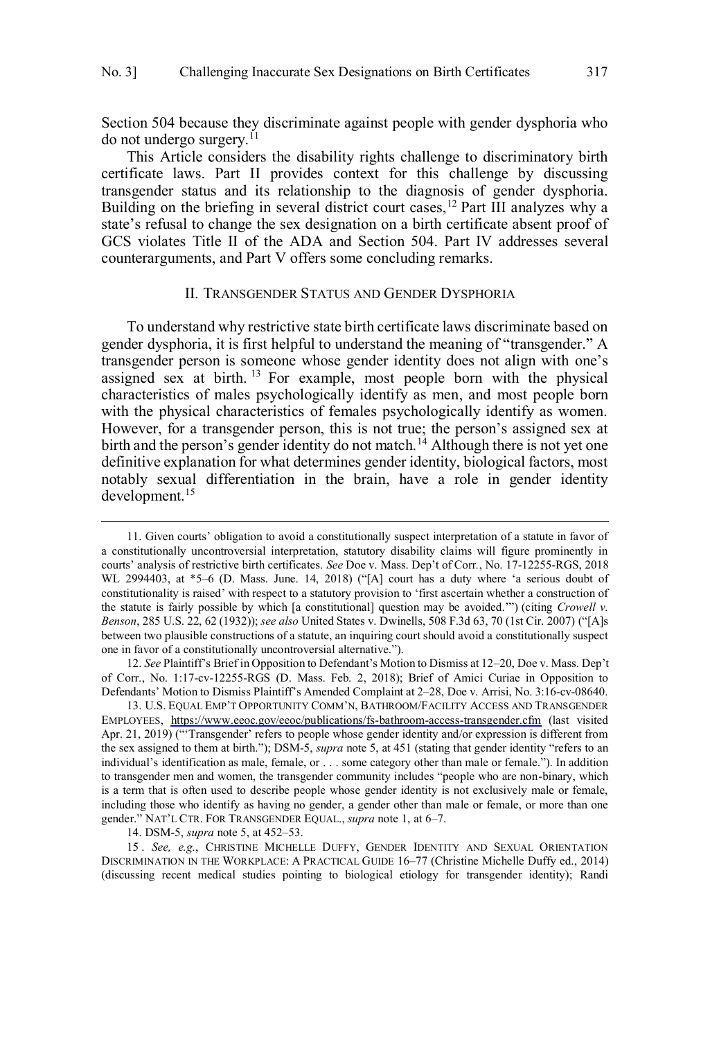<span id="page-4-0"></span>Section 504 because they discriminate against people with gender dysphoria who  $\mu$  do not undergo surgery.<sup>11</sup>

This Article considers the disability rights challenge to discriminatory birth certificate laws. Part II provides context for this challenge by discussing transgender status and its relationship to the diagnosis of gender dysphoria. Building on the briefing in several district court cases,<sup>12</sup> Part III analyzes why a state's refusal to change the sex designation on a birth certificate absent proof of GCS violates Title II of the ADA and Section 504. Part IV addresses several counterarguments, and Part V offers some concluding remarks.

#### II. TRANSGENDER STATUS AND GENDER DYSPHORIA

To understand why restrictive state birth certificate laws discriminate based on gender dysphoria, it is first helpful to understand the meaning of "transgender." A transgender person is someone whose gender identity does not align with one's assigned sex at birth.<sup>13</sup> For example, most people born with the physical characteristics of males psychologically identify as men, and most people born with the physical characteristics of females psychologically identify as women. However, for a transgender person, this is not true; the person's assigned sex at birth and the person's gender identity do not match.<sup>14</sup> Although there is not yet one definitive explanation for what determines gender identity, biological factors, most notably sexual differentiation in the brain, have a role in gender identity development.<sup>15</sup>

12. *See* Plaintiff's Brief in Opposition to Defendant's Motion to Dismiss at 12–20, Doe v. Mass. Dep't of Corr., No. 1:17-cv-12255-RGS (D. Mass. Feb. 2, 2018); Brief of Amici Curiae in Opposition to Defendants' Motion to Dismiss Plaintiff's Amended Complaint at 2–28, Doe v. Arrisi, No. 3:16-cv-08640.

13. U.S. EQUAL EMP'T OPPORTUNITY COMM'N, BATHROOM/FACILITY ACCESS AND TRANSGENDER EMPLOYEES, <https://www.eeoc.gov/eeoc/publications/fs-bathroom-access-transgender.cfm>(last visited Apr. 21, 2019) ("Transgender' refers to people whose gender identity and/or expression is different from the sex assigned to them at birth."); DSM-5, *supra* note 5, at 451 (stating that gender identity "refers to an individual's identification as male, female, or . . . some category other than male or female."). In addition to transgender men and women, the transgender community includes "people who are non-binary, which is a term that is often used to describe people whose gender identity is not exclusively male or female, including those who identify as having no gender, a gender other than male or female, or more than one gender." NAT'L CTR. FOR TRANSGENDER EQUAL., *supra* note 1, at 6–7.

14. DSM-5, *supra* note 5, at 452–53.

15 . *See, e.g.*, CHRISTINE MICHELLE DUFFY, GENDER IDENTITY AND SEXUAL ORIENTATION DISCRIMINATION IN THE WORKPLACE: A PRACTICAL GUIDE 16–77 (Christine Michelle Duffy ed., 2014) (discussing recent medical studies pointing to biological etiology for transgender identity); Randi

<sup>11.</sup> Given courts' obligation to avoid a constitutionally suspect interpretation of a statute in favor of a constitutionally uncontroversial interpretation, statutory disability claims will figure prominently in courts' analysis of restrictive birth certificates. *See* Doe v. Mass. Dep't of Corr*.*, No. 17-12255-RGS, 2018 WL 2994403, at \*5–6 (D. Mass. June. 14, 2018) ("[A] court has a duty where 'a serious doubt of constitutionality is raised' with respect to a statutory provision to 'first ascertain whether a construction of the statute is fairly possible by which [a constitutional] question may be avoided.'") (citing *Crowell v. Benson*, 285 U.S. 22, 62 (1932)); *see also* United States v. Dwinells, 508 F.3d 63, 70 (1st Cir. 2007) ("[A]s between two plausible constructions of a statute, an inquiring court should avoid a constitutionally suspect one in favor of a constitutionally uncontroversial alternative.").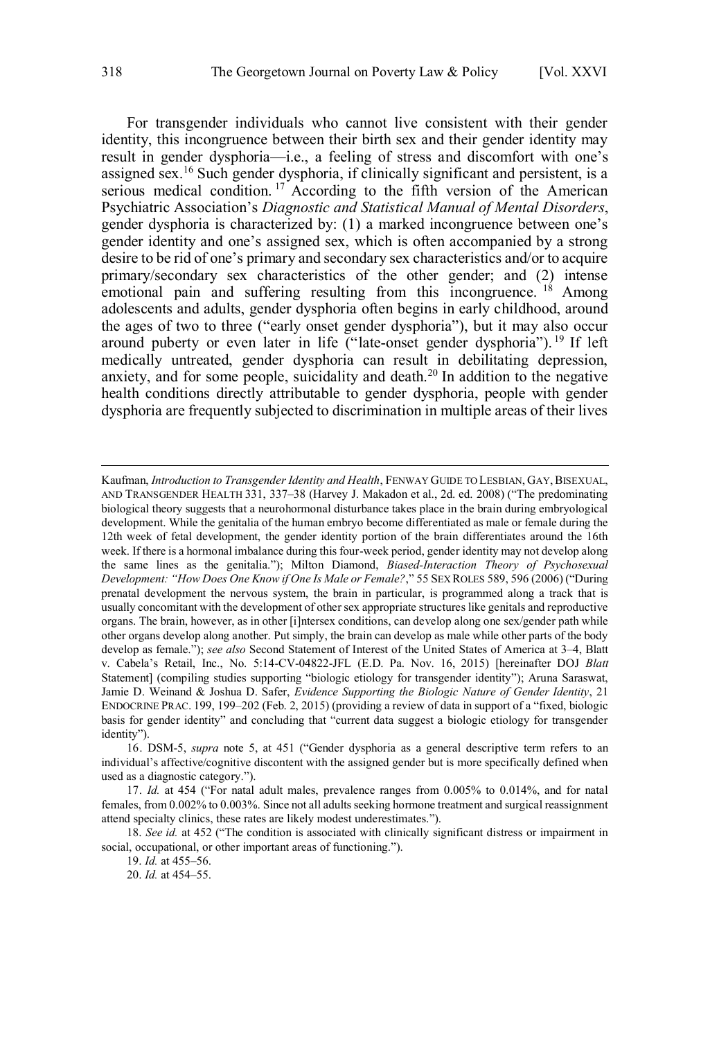For transgender individuals who cannot live consistent with their gender identity, this incongruence between their birth sex and their gender identity may result in gender dysphoria—i.e., a feeling of stress and discomfort with one's assigned sex.<sup>16</sup> Such gender dysphoria, if clinically significant and persistent, is a serious medical condition.<sup>17</sup> According to the fifth version of the American Psychiatric Association's *Diagnostic and Statistical Manual of Mental Disorders*, gender dysphoria is characterized by: (1) a marked incongruence between one's gender identity and one's assigned sex, which is often accompanied by a strong desire to be rid of one's primary and secondary sex characteristics and/or to acquire primary/secondary sex characteristics of the other gender; and (2) intense emotional pain and suffering resulting from this incongruence. <sup>18</sup> Among adolescents and adults, gender dysphoria often begins in early childhood, around the ages of two to three ("early onset gender dysphoria"), but it may also occur around puberty or even later in life ("late-onset gender dysphoria"). <sup>19</sup> If left medically untreated, gender dysphoria can result in debilitating depression, anxiety, and for some people, suicidality and death.<sup>20</sup> In addition to the negative health conditions directly attributable to gender dysphoria, people with gender dysphoria are frequently subjected to discrimination in multiple areas of their lives

Kaufman, *Introduction to Transgender Identity and Health*, FENWAY GUIDE TO LESBIAN, GAY, BISEXUAL, AND TRANSGENDER HEALTH 331, 337–38 (Harvey J. Makadon et al., 2d. ed. 2008) ("The predominating biological theory suggests that a neurohormonal disturbance takes place in the brain during embryological development. While the genitalia of the human embryo become differentiated as male or female during the 12th week of fetal development, the gender identity portion of the brain differentiates around the 16th week. If there is a hormonal imbalance during this four-week period, gender identity may not develop along the same lines as the genitalia."); Milton Diamond, *Biased-Interaction Theory of Psychosexual Development: "How Does One Know if One Is Male or Female?*," 55 SEX ROLES 589, 596 (2006) ("During prenatal development the nervous system, the brain in particular, is programmed along a track that is usually concomitant with the development of other sex appropriate structures like genitals and reproductive organs. The brain, however, as in other [i]ntersex conditions, can develop along one sex/gender path while other organs develop along another. Put simply, the brain can develop as male while other parts of the body develop as female."); *see also* Second Statement of Interest of the United States of America at 3–4, Blatt v. Cabela's Retail, Inc., No. 5:14-CV-04822-JFL (E.D. Pa. Nov. 16, 2015) [hereinafter DOJ *Blatt* Statement] (compiling studies supporting "biologic etiology for transgender identity"); Aruna Saraswat, Jamie D. Weinand & Joshua D. Safer, *Evidence Supporting the Biologic Nature of Gender Identity*, 21 ENDOCRINE PRAC. 199, 199–202 (Feb. 2, 2015) (providing a review of data in support of a "fixed, biologic basis for gender identity" and concluding that "current data suggest a biologic etiology for transgender identity").

<sup>16.</sup> DSM-5, *supra* note 5, at 451 ("Gender dysphoria as a general descriptive term refers to an individual's affective/cognitive discontent with the assigned gender but is more specifically defined when used as a diagnostic category.").

<sup>17.</sup> *Id.* at 454 ("For natal adult males, prevalence ranges from 0.005% to 0.014%, and for natal females, from 0.002% to 0.003%. Since not all adults seeking hormone treatment and surgical reassignment attend specialty clinics, these rates are likely modest underestimates.").

<sup>18.</sup> *See id.* at 452 ("The condition is associated with clinically significant distress or impairment in social, occupational, or other important areas of functioning.").

<sup>19.</sup> *Id.* at 455–56.

<sup>20.</sup> *Id.* at 454–55.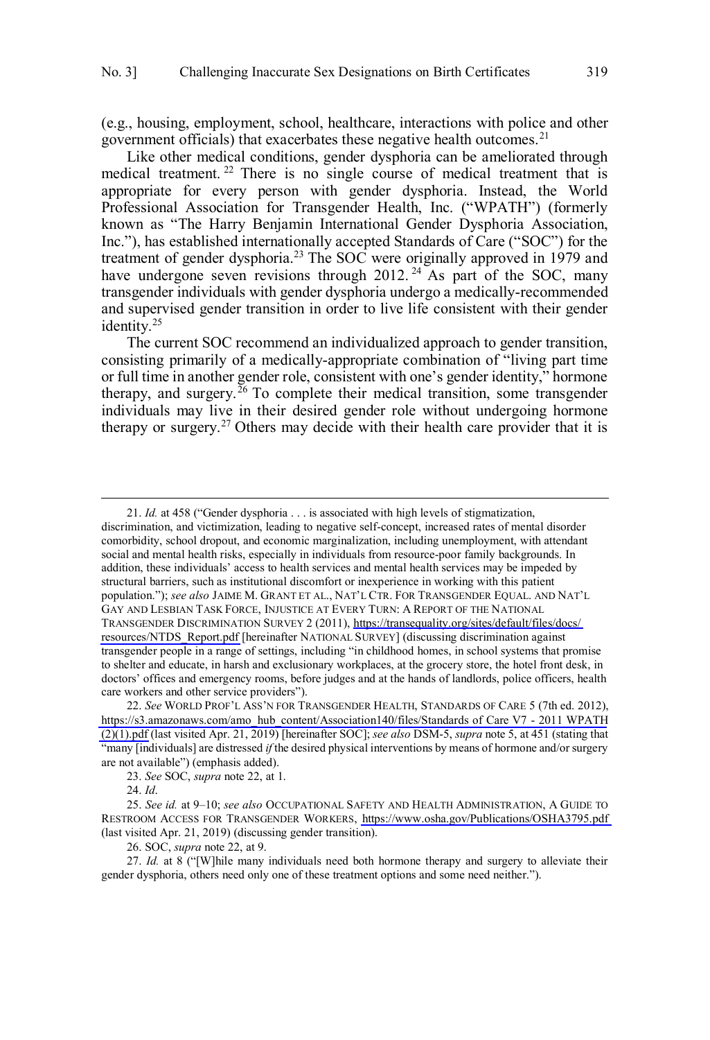(e.g., housing, employment, school, healthcare, interactions with police and other government officials) that exacerbates these negative health outcomes.<sup>21</sup>

Like other medical conditions, gender dysphoria can be ameliorated through medical treatment.<sup>22</sup> There is no single course of medical treatment that is appropriate for every person with gender dysphoria. Instead, the World Professional Association for Transgender Health, Inc. ("WPATH") (formerly known as "The Harry Benjamin International Gender Dysphoria Association, Inc."), has established internationally accepted Standards of Care ("SOC") for the treatment of gender dysphoria.<sup>23</sup> The SOC were originally approved in 1979 and have undergone seven revisions through  $2012$ . <sup>24</sup> As part of the SOC, many transgender individuals with gender dysphoria undergo a medically-recommended and supervised gender transition in order to live life consistent with their gender identity.<sup>25</sup>

The current SOC recommend an individualized approach to gender transition, consisting primarily of a medically-appropriate combination of "living part time or full time in another gender role, consistent with one's gender identity," hormone therapy, and surgery.<sup>26</sup> To complete their medical transition, some transgender individuals may live in their desired gender role without undergoing hormone therapy or surgery.<sup>27</sup> Others may decide with their health care provider that it is

23. *See* SOC, *supra* note 22, at 1.

24. *Id*.

 $\overline{a}$ 

26. SOC, *supra* note 22, at 9.

27. *Id.* at 8 ("[W]hile many individuals need both hormone therapy and surgery to alleviate their gender dysphoria, others need only one of these treatment options and some need neither.").

<sup>21.</sup> *Id.* at 458 ("Gender dysphoria . . . is associated with high levels of stigmatization, discrimination, and victimization, leading to negative self-concept, increased rates of mental disorder comorbidity, school dropout, and economic marginalization, including unemployment, with attendant social and mental health risks, especially in individuals from resource-poor family backgrounds. In addition, these individuals' access to health services and mental health services may be impeded by structural barriers, such as institutional discomfort or inexperience in working with this patient population."); *see also* JAIME M. GRANT ET AL., NAT'L CTR. FOR TRANSGENDER EQUAL. AND NAT'L GAY AND LESBIAN TASK FORCE, INJUSTICE AT EVERY TURN: A REPORT OF THE NATIONAL TRANSGENDER DISCRIMINATION SURVEY 2 (2011), [https://transequality.org/sites/default/files/docs/](https://transequality.org/sites/default/files/docs/resources/NTDS_Report.pdf)  [resources/NTDS\\_Report.pdf](https://transequality.org/sites/default/files/docs/resources/NTDS_Report.pdf) [hereinafter NATIONAL SURVEY] (discussing discrimination against transgender people in a range of settings, including "in childhood homes, in school systems that promise to shelter and educate, in harsh and exclusionary workplaces, at the grocery store, the hotel front desk, in doctors' offices and emergency rooms, before judges and at the hands of landlords, police officers, health care workers and other service providers").

<sup>22.</sup> See WORLD PROF'L ASS'N FOR TRANSGENDER HEALTH, STANDARDS OF CARE 5 (7th ed. 2012), [https://s3.amazonaws.com/amo\\_hub\\_content/Association140/files/Standards of Care V7 - 2011 WPATH](https://s3.amazonaws.com/amo_hub_content/Association140/files/Standards%20of%20Care%20V7%20-%202011%20WPATH%20(2)(1).pdf) [\(2\)\(1\).pdf](https://s3.amazonaws.com/amo_hub_content/Association140/files/Standards%20of%20Care%20V7%20-%202011%20WPATH%20(2)(1).pdf) (last visited Apr. 21, 2019) [hereinafter SOC]; *see also* DSM-5, *supra* note 5, at 451 (stating that "many [individuals] are distressed *if* the desired physical interventions by means of hormone and/or surgery are not available") (emphasis added).

*See id.* at 9–10; *see also* OCCUPATIONAL SAFETY AND HEALTH ADMINISTRATION, A GUIDE TO 25. RESTROOM ACCESS FOR TRANSGENDER WORKERS,<https://www.osha.gov/Publications/OSHA3795.pdf> (last visited Apr. 21, 2019) (discussing gender transition).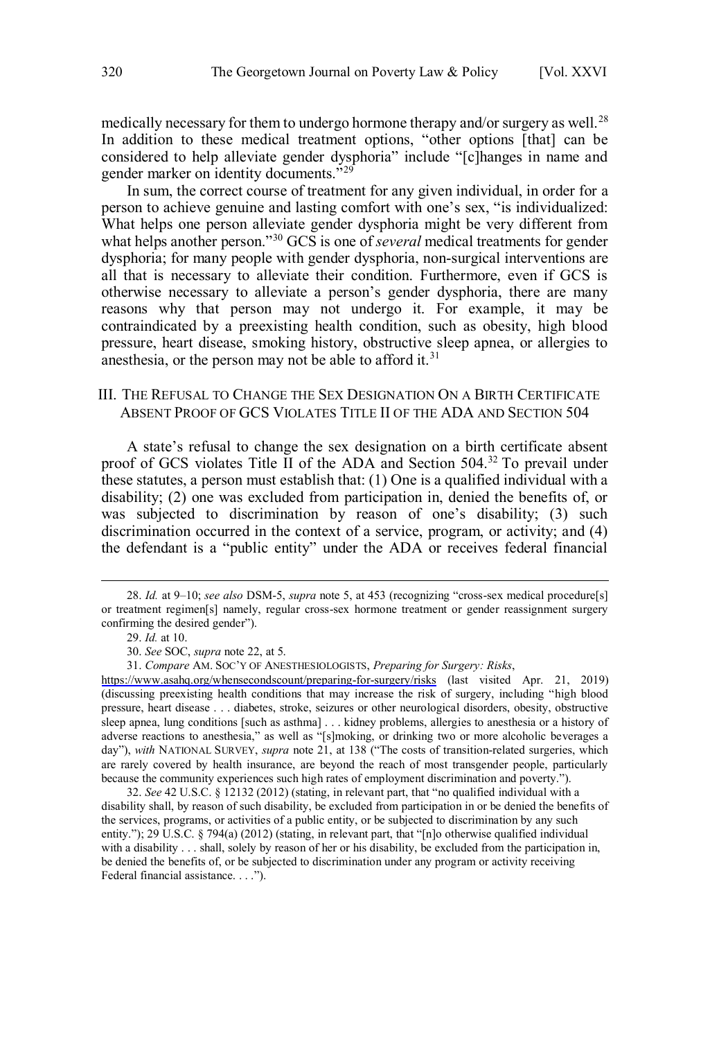<span id="page-7-0"></span>medically necessary for them to undergo hormone therapy and/or surgery as well.<sup>28</sup> In addition to these medical treatment options, "other options [that] can be considered to help alleviate gender dysphoria" include "[c]hanges in name and gender marker on identity documents."<sup>29</sup>

In sum, the correct course of treatment for any given individual, in order for a person to achieve genuine and lasting comfort with one's sex, "is individualized: What helps one person alleviate gender dysphoria might be very different from what helps another person."<sup>30</sup> GCS is one of *several* medical treatments for gender dysphoria; for many people with gender dysphoria, non-surgical interventions are all that is necessary to alleviate their condition. Furthermore, even if GCS is otherwise necessary to alleviate a person's gender dysphoria, there are many reasons why that person may not undergo it. For example, it may be contraindicated by a preexisting health condition, such as obesity, high blood pressure, heart disease, smoking history, obstructive sleep apnea, or allergies to anesthesia, or the person may not be able to afford it.<sup>31</sup>

## III. THE REFUSAL TO CHANGE THE SEX DESIGNATION ON A BIRTH CERTIFICATE ABSENT PROOF OF GCS VIOLATES TITLE II OF THE ADA AND SECTION 504

A state's refusal to change the sex designation on a birth certificate absent proof of GCS violates Title II of the ADA and Section 504.<sup>32</sup> To prevail under these statutes, a person must establish that: (1) One is a qualified individual with a disability; (2) one was excluded from participation in, denied the benefits of, or was subjected to discrimination by reason of one's disability; (3) such discrimination occurred in the context of a service, program, or activity; and (4) the defendant is a "public entity" under the ADA or receives federal financial

 $\overline{a}$ 

*Compare* AM. SOC'Y OF ANESTHESIOLOGISTS, *Preparing for Surgery: Risks*, 31.

32. *See* 42 U.S.C. § 12132 (2012) (stating, in relevant part, that "no qualified individual with a disability shall, by reason of such disability, be excluded from participation in or be denied the benefits of the services, programs, or activities of a public entity, or be subjected to discrimination by any such entity."); 29 U.S.C. § 794(a) (2012) (stating, in relevant part, that "[n]o otherwise qualified individual with a disability . . . shall, solely by reason of her or his disability, be excluded from the participation in, be denied the benefits of, or be subjected to discrimination under any program or activity receiving Federal financial assistance. . . .").

<sup>28</sup> . *Id.* at 9–10; *see also* DSM-5, *supra* note 5, at 453 (recognizing "cross-sex medical procedure[s] or treatment regimen[s] namely, regular cross-sex hormone treatment or gender reassignment surgery confirming the desired gender").

<sup>29.</sup> *Id.* at 10.

<sup>30.</sup> *See* SOC, *supra* note 22, at 5.

<https://www.asahq.org/whensecondscount/preparing-for-surgery/risks>(last visited Apr. 21, 2019) (discussing preexisting health conditions that may increase the risk of surgery, including "high blood pressure, heart disease . . . diabetes, stroke, seizures or other neurological disorders, obesity, obstructive sleep apnea, lung conditions [such as asthma] . . . kidney problems, allergies to anesthesia or a history of adverse reactions to anesthesia," as well as "[s]moking, or drinking two or more alcoholic beverages a day"), with NATIONAL SURVEY, *supra* note 21, at 138 ("The costs of transition-related surgeries, which are rarely covered by health insurance, are beyond the reach of most transgender people, particularly because the community experiences such high rates of employment discrimination and poverty.").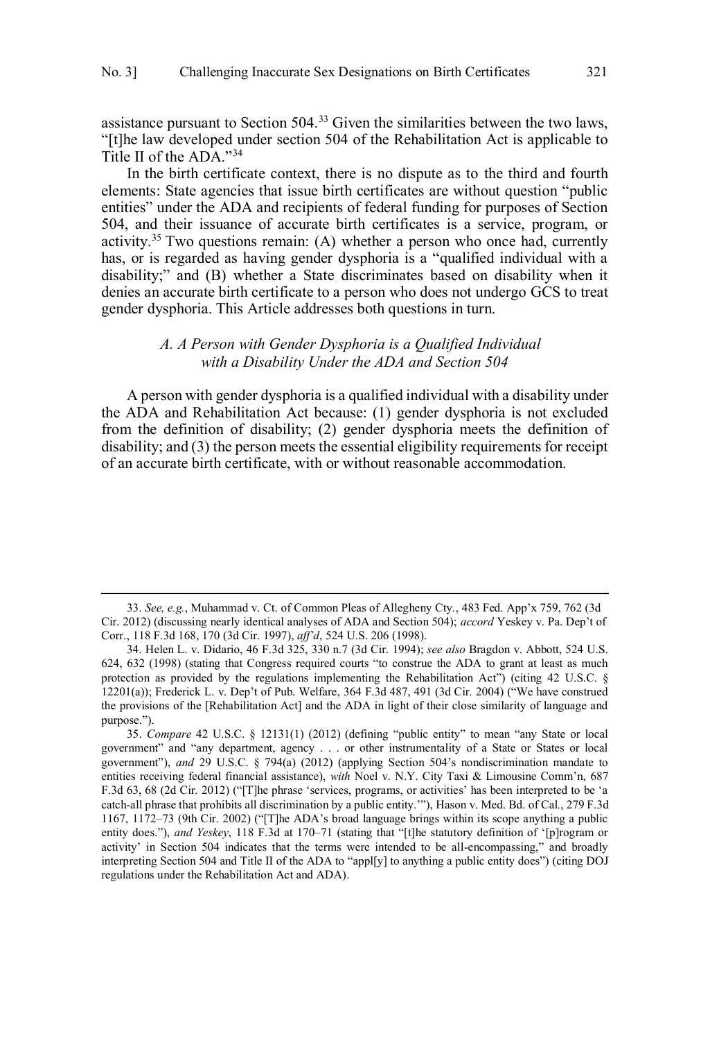<span id="page-8-0"></span>assistance pursuant to Section 504.<sup>33</sup> Given the similarities between the two laws, "[t]he law developed under section 504 of the Rehabilitation Act is applicable to Title II of the ADA."<sup>34</sup>

In the birth certificate context, there is no dispute as to the third and fourth elements: State agencies that issue birth certificates are without question "public entities" under the ADA and recipients of federal funding for purposes of Section 504, and their issuance of accurate birth certificates is a service, program, or activity.<sup>35</sup> Two questions remain: (A) whether a person who once had, currently has, or is regarded as having gender dysphoria is a "qualified individual with a disability;" and (B) whether a State discriminates based on disability when it denies an accurate birth certificate to a person who does not undergo GCS to treat gender dysphoria. This Article addresses both questions in turn.

## *A. A Person with Gender Dysphoria is a Qualified Individual with a Disability Under the ADA and Section 504*

A person with gender dysphoria is a qualified individual with a disability under the ADA and Rehabilitation Act because: (1) gender dysphoria is not excluded from the definition of disability; (2) gender dysphoria meets the definition of disability; and (3) the person meets the essential eligibility requirements for receipt of an accurate birth certificate, with or without reasonable accommodation.

<sup>33.</sup> *See, e.g.*, Muhammad v. Ct. of Common Pleas of Allegheny Cty*.*, 483 Fed. App'x 759, 762 (3d Cir. 2012) (discussing nearly identical analyses of ADA and Section 504); *accord* Yeskey v. Pa. Dep't of Corr., 118 F.3d 168, 170 (3d Cir. 1997), *aff'd*, 524 U.S. 206 (1998).

<sup>34.</sup> Helen L. v. Didario, 46 F.3d 325, 330 n.7 (3d Cir. 1994); *see also* Bragdon v. Abbott, 524 U.S. 624, 632 (1998) (stating that Congress required courts "to construe the ADA to grant at least as much protection as provided by the regulations implementing the Rehabilitation Act") (citing 42 U.S.C.  $\S$ 12201(a)); Frederick L. v. Dep't of Pub. Welfare, 364 F.3d 487, 491 (3d Cir. 2004) ("We have construed the provisions of the [Rehabilitation Act] and the ADA in light of their close similarity of language and purpose.").

<sup>35.</sup> *Compare* 42 U.S.C. § 12131(1) (2012) (defining "public entity" to mean "any State or local government" and "any department, agency . . . or other instrumentality of a State or States or local government"), *and* 29 U.S.C. § 794(a) (2012) (applying Section 504's nondiscrimination mandate to entities receiving federal financial assistance), *with* Noel v. N.Y. City Taxi & Limousine Comm'n, 687 F.3d 63, 68 (2d Cir. 2012) ("[T]he phrase 'services, programs, or activities' has been interpreted to be 'a catch-all phrase that prohibits all discrimination by a public entity.'"), Hason v. Med. Bd. of Cal*.*, 279 F.3d 1167, 1172–73 (9th Cir. 2002) ("[T]he ADA's broad language brings within its scope anything a public entity does."), *and Yeskey*, 118 F.3d at 170–71 (stating that "[t]he statutory definition of '[p]rogram or activity' in Section 504 indicates that the terms were intended to be all-encompassing," and broadly interpreting Section 504 and Title II of the ADA to "appl[y] to anything a public entity does") (citing DOJ regulations under the Rehabilitation Act and ADA).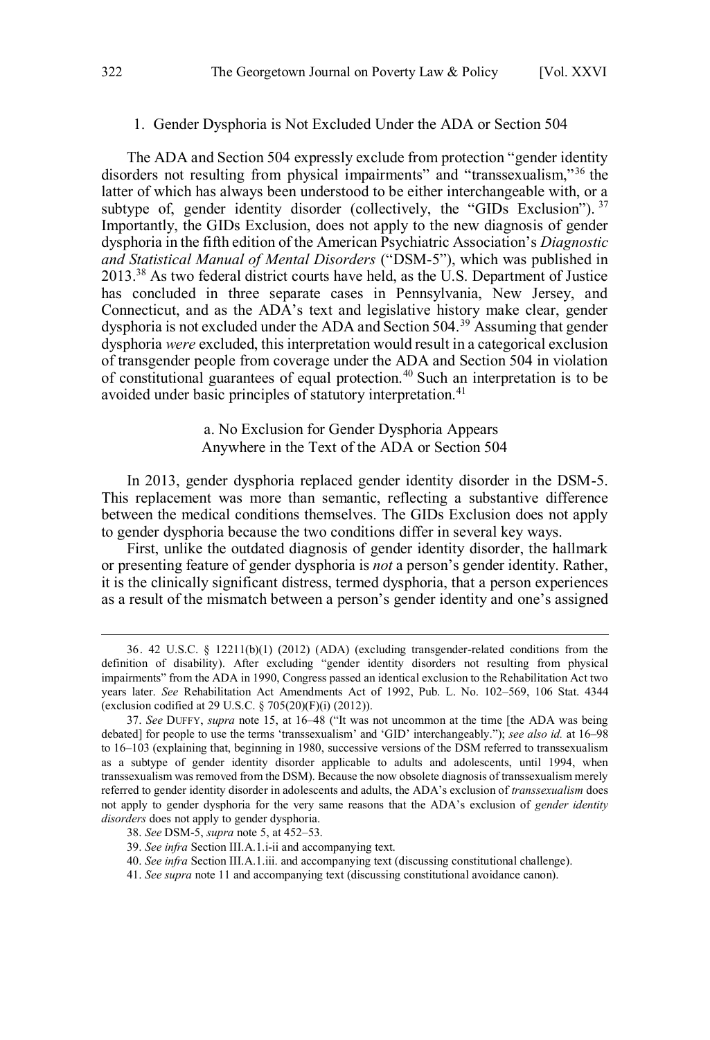#### <span id="page-9-0"></span>1. Gender Dysphoria is Not Excluded Under the ADA or Section 504

The ADA and Section 504 expressly exclude from protection "gender identity disorders not resulting from physical impairments" and "transsexualism,"<sup>36</sup> the latter of which has always been understood to be either interchangeable with, or a subtype of, gender identity disorder (collectively, the "GIDs Exclusion").  $37$ Importantly, the GIDs Exclusion, does not apply to the new diagnosis of gender dysphoria in the fifth edition of the American Psychiatric Association's *Diagnostic and Statistical Manual of Mental Disorders* ("DSM-5"), which was published in 2013.<sup>38</sup> As two federal district courts have held, as the U.S. Department of Justice has concluded in three separate cases in Pennsylvania, New Jersey, and Connecticut, and as the ADA's text and legislative history make clear, gender dysphoria is not excluded under the ADA and Section 504.<sup>39</sup> Assuming that gender dysphoria *were* excluded, this interpretation would result in a categorical exclusion of transgender people from coverage under the ADA and Section 504 in violation of constitutional guarantees of equal protection.<sup>40</sup> Such an interpretation is to be avoided under basic principles of statutory interpretation.<sup>41</sup>

# a. No Exclusion for Gender Dysphoria Appears Anywhere in the Text of the ADA or Section 504

In 2013, gender dysphoria replaced gender identity disorder in the DSM-5. This replacement was more than semantic, reflecting a substantive difference between the medical conditions themselves. The GIDs Exclusion does not apply to gender dysphoria because the two conditions differ in several key ways.

First, unlike the outdated diagnosis of gender identity disorder, the hallmark or presenting feature of gender dysphoria is *not* a person's gender identity. Rather, it is the clinically significant distress, termed dysphoria, that a person experiences as a result of the mismatch between a person's gender identity and one's assigned

<sup>36. 42</sup> U.S.C. § 12211(b)(1) (2012) (ADA) (excluding transgender-related conditions from the definition of disability). After excluding "gender identity disorders not resulting from physical impairments" from the ADA in 1990, Congress passed an identical exclusion to the Rehabilitation Act two years later. *See* Rehabilitation Act Amendments Act of 1992, Pub. L. No. 102–569, 106 Stat. 4344 (exclusion codified at 29 U.S.C. § 705(20)(F)(i) (2012)).

<sup>37.</sup> *See* DUFFY, *supra* note 15, at 16–48 ("It was not uncommon at the time [the ADA was being debated] for people to use the terms 'transsexualism' and 'GID' interchangeably."); *see also id.* at 16–98 to 16–103 (explaining that, beginning in 1980, successive versions of the DSM referred to transsexualism as a subtype of gender identity disorder applicable to adults and adolescents, until 1994, when transsexualism was removed from the DSM). Because the now obsolete diagnosis of transsexualism merely referred to gender identity disorder in adolescents and adults, the ADA's exclusion of *transsexualism* does not apply to gender dysphoria for the very same reasons that the ADA's exclusion of *gender identity disorders* does not apply to gender dysphoria.

<sup>38.</sup> *See* DSM-5, *supra* note 5, at 452–53.

<sup>39.</sup> *See infra* Section III.A.1.i-ii and accompanying text.

<sup>40.</sup> *See infra* Section III.A.1.iii. and accompanying text (discussing constitutional challenge).

<sup>41.</sup> *See supra* note 11 and accompanying text (discussing constitutional avoidance canon).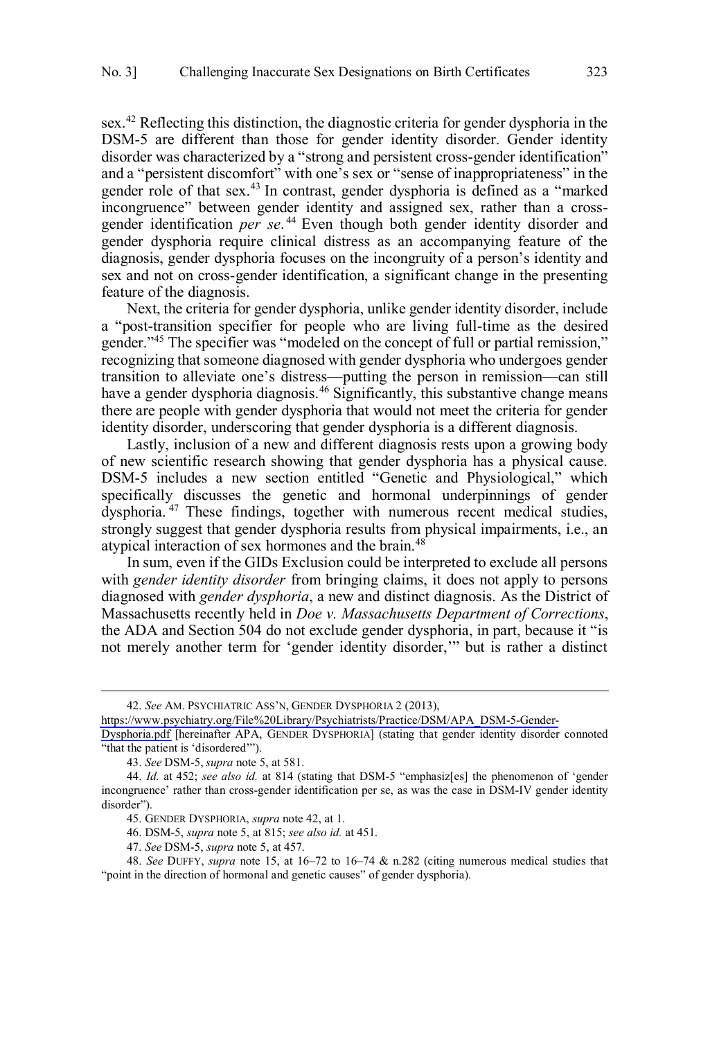sex.<sup>42</sup> Reflecting this distinction, the diagnostic criteria for gender dysphoria in the DSM-5 are different than those for gender identity disorder. Gender identity disorder was characterized by a "strong and persistent cross-gender identification" and a "persistent discomfort" with one's sex or "sense of inappropriateness" in the gender role of that sex.<sup>43</sup> In contrast, gender dysphoria is defined as a "marked incongruence" between gender identity and assigned sex, rather than a crossgender identification *per se*. <sup>44</sup> Even though both gender identity disorder and gender dysphoria require clinical distress as an accompanying feature of the diagnosis, gender dysphoria focuses on the incongruity of a person's identity and sex and not on cross-gender identification, a significant change in the presenting feature of the diagnosis.

Next, the criteria for gender dysphoria, unlike gender identity disorder, include a "post-transition specifier for people who are living full-time as the desired gender."<sup>45</sup> The specifier was "modeled on the concept of full or partial remission," recognizing that someone diagnosed with gender dysphoria who undergoes gender transition to alleviate one's distress—putting the person in remission—can still have a gender dysphoria diagnosis.<sup>46</sup> Significantly, this substantive change means there are people with gender dysphoria that would not meet the criteria for gender identity disorder, underscoring that gender dysphoria is a different diagnosis.

Lastly, inclusion of a new and different diagnosis rests upon a growing body of new scientific research showing that gender dysphoria has a physical cause. DSM-5 includes a new section entitled "Genetic and Physiological," which specifically discusses the genetic and hormonal underpinnings of gender dysphoria. <sup>47</sup> These findings, together with numerous recent medical studies, strongly suggest that gender dysphoria results from physical impairments, i.e., an atypical interaction of sex hormones and the brain.<sup>48</sup>

In sum, even if the GIDs Exclusion could be interpreted to exclude all persons with *gender identity disorder* from bringing claims, it does not apply to persons diagnosed with *gender dysphoria*, a new and distinct diagnosis. As the District of Massachusetts recently held in *Doe v. Massachusetts Department of Corrections*, the ADA and Section 504 do not exclude gender dysphoria, in part, because it "is not merely another term for 'gender identity disorder,'" but is rather a distinct

*See* AM. PSYCHIATRIC ASS'N, GENDER DYSPHORIA 2 (2013), 42.

[https://www.psychiatry.org/File%20Library/Psychiatrists/Practice/DSM/APA\\_DSM-5-Gender-](https://www.psychiatry.org/File%20Library/Psychiatrists/Practice/DSM/APA_DSM-5-Gender-Dysphoria.pdf)

[Dysphoria.pdf](https://www.psychiatry.org/File%20Library/Psychiatrists/Practice/DSM/APA_DSM-5-Gender-Dysphoria.pdf) [hereinafter APA, GENDER DYSPHORIA] (stating that gender identity disorder connoted "that the patient is 'disordered'").

<sup>43.</sup> *See* DSM-5, *supra* note 5, at 581.

<sup>44.</sup> *Id*. at 452; *see also id.* at 814 (stating that DSM-5 "emphasiz[es] the phenomenon of 'gender incongruence' rather than cross-gender identification per se, as was the case in DSM-IV gender identity disorder").

<sup>45.</sup> GENDER DYSPHORIA, *supra* note 42, at 1.

<sup>46.</sup> DSM-5, *supra* note 5, at 815; *see also id.* at 451.

<sup>47.</sup> *See* DSM-5, *supra* note 5, at 457.

<sup>48.</sup> *See* DUFFY, *supra* note 15, at 16–72 to 16–74 & n.282 (citing numerous medical studies that "point in the direction of hormonal and genetic causes" of gender dysphoria).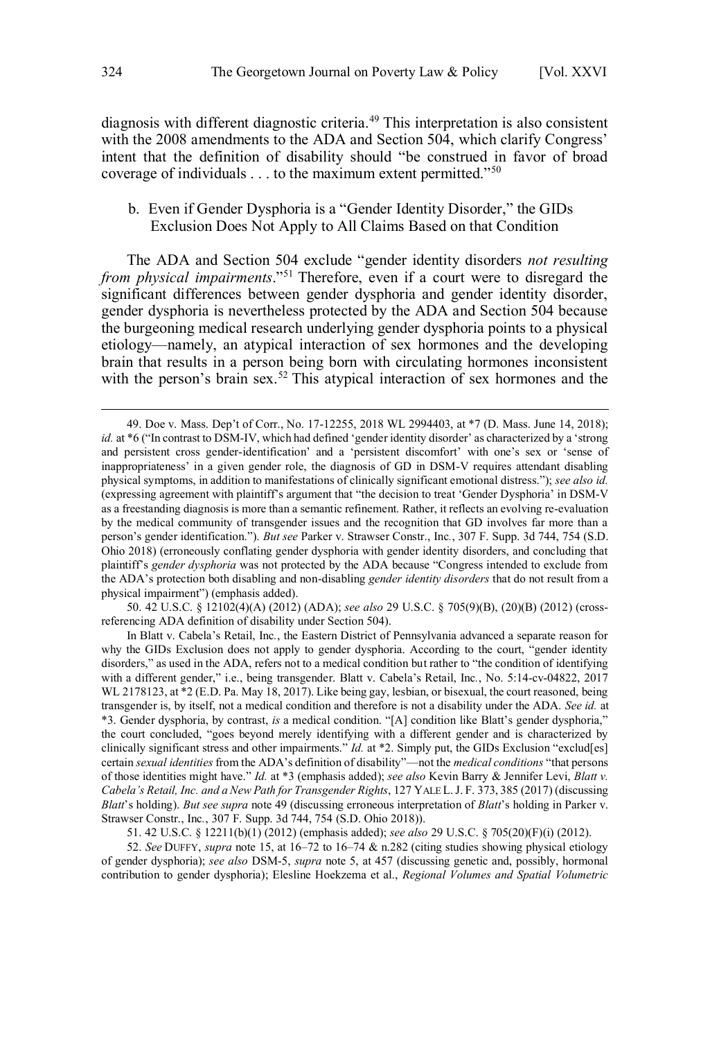<span id="page-11-0"></span>diagnosis with different diagnostic criteria.<sup>49</sup> This interpretation is also consistent with the 2008 amendments to the ADA and Section 504, which clarify Congress' intent that the definition of disability should "be construed in favor of broad coverage of individuals . . . to the maximum extent permitted."<sup>50</sup>

## b. Even if Gender Dysphoria is a "Gender Identity Disorder," the GIDs Exclusion Does Not Apply to All Claims Based on that Condition

The ADA and Section 504 exclude "gender identity disorders *not resulting from physical impairments*."<sup>51</sup> Therefore, even if a court were to disregard the significant differences between gender dysphoria and gender identity disorder, gender dysphoria is nevertheless protected by the ADA and Section 504 because the burgeoning medical research underlying gender dysphoria points to a physical etiology—namely, an atypical interaction of sex hormones and the developing brain that results in a person being born with circulating hormones inconsistent with the person's brain sex.<sup>52</sup> This atypical interaction of sex hormones and the

50. 42 U.S.C. § 12102(4)(A) (2012) (ADA); *see also* 29 U.S.C. § 705(9)(B), (20)(B) (2012) (crossreferencing ADA definition of disability under Section 504).

In Blatt v. Cabela's Retail, Inc*.*, the Eastern District of Pennsylvania advanced a separate reason for why the GIDs Exclusion does not apply to gender dysphoria. According to the court, "gender identity disorders," as used in the ADA, refers not to a medical condition but rather to "the condition of identifying with a different gender," i.e., being transgender. Blatt v. Cabela's Retail, Inc*.*, No. 5:14-cv-04822, 2017 WL 2178123, at \*2 (E.D. Pa. May 18, 2017). Like being gay, lesbian, or bisexual, the court reasoned, being transgender is, by itself, not a medical condition and therefore is not a disability under the ADA. *See id.* at \*3. Gender dysphoria, by contrast, *is* a medical condition. "[A] condition like Blatt's gender dysphoria," the court concluded, "goes beyond merely identifying with a different gender and is characterized by clinically significant stress and other impairments." *Id.* at \*2. Simply put, the GIDs Exclusion "exclud[es] certain *sexual identities* from the ADA's definition of disability"—not the *medical conditions* "that persons of those identities might have." *Id.* at \*3 (emphasis added); *see also* Kevin Barry & Jennifer Levi, *Blatt v. Cabela's Retail, Inc. and a New Path for Transgender Rights*, 127 YALE L.J. F. 373, 385 (2017) (discussing *Blatt*'s holding). *But see supra* note 49 (discussing erroneous interpretation of *Blatt*'s holding in Parker v. Strawser Constr., Inc*.*, 307 F. Supp. 3d 744, 754 (S.D. Ohio 2018)).

51. 42 U.S.C. § 12211(b)(1) (2012) (emphasis added); *see also* 29 U.S.C. § 705(20)(F)(i) (2012).

52. *See* DUFFY, *supra* note 15, at 16–72 to 16–74 & n.282 (citing studies showing physical etiology of gender dysphoria); *see also* DSM-5, *supra* note 5, at 457 (discussing genetic and, possibly, hormonal contribution to gender dysphoria); Elesline Hoekzema et al., *Regional Volumes and Spatial Volumetric* 

<sup>49.</sup> Doe v. Mass. Dep't of Corr., No. 17-12255, 2018 WL 2994403, at \*7 (D. Mass. June 14, 2018); *id.* at \*6 ("In contrast to DSM-IV, which had defined 'gender identity disorder' as characterized by a 'strong and persistent cross gender-identification' and a 'persistent discomfort' with one's sex or 'sense of inappropriateness' in a given gender role, the diagnosis of GD in DSM-V requires attendant disabling physical symptoms, in addition to manifestations of clinically significant emotional distress."); *see also id.* (expressing agreement with plaintiff's argument that "the decision to treat 'Gender Dysphoria' in DSM-V as a freestanding diagnosis is more than a semantic refinement. Rather, it reflects an evolving re-evaluation by the medical community of transgender issues and the recognition that GD involves far more than a person's gender identification."). *But see* Parker v. Strawser Constr., Inc*.*, 307 F. Supp. 3d 744, 754 (S.D. Ohio 2018) (erroneously conflating gender dysphoria with gender identity disorders, and concluding that plaintiff's *gender dysphoria* was not protected by the ADA because "Congress intended to exclude from the ADA's protection both disabling and non-disabling *gender identity disorders* that do not result from a physical impairment") (emphasis added).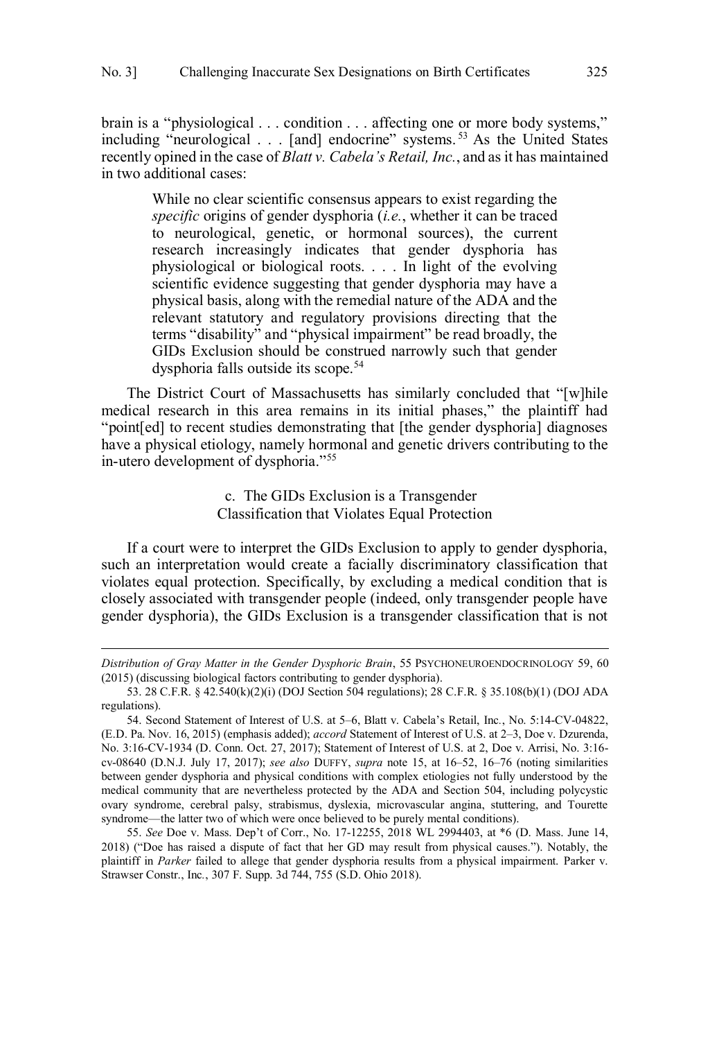<span id="page-12-0"></span>brain is a "physiological . . . condition . . . affecting one or more body systems," including "neurological . . . [and] endocrine" systems.<sup>53</sup> As the United States recently opined in the case of *Blatt v. Cabela's Retail, Inc.*, and as it has maintained in two additional cases:

While no clear scientific consensus appears to exist regarding the *specific* origins of gender dysphoria (*i.e.*, whether it can be traced to neurological, genetic, or hormonal sources), the current research increasingly indicates that gender dysphoria has physiological or biological roots. . . . In light of the evolving scientific evidence suggesting that gender dysphoria may have a physical basis, along with the remedial nature of the ADA and the relevant statutory and regulatory provisions directing that the terms "disability" and "physical impairment" be read broadly, the GIDs Exclusion should be construed narrowly such that gender dysphoria falls outside its scope.<sup>54</sup>

The District Court of Massachusetts has similarly concluded that "[w]hile medical research in this area remains in its initial phases," the plaintiff had "point[ed] to recent studies demonstrating that [the gender dysphoria] diagnoses have a physical etiology, namely hormonal and genetic drivers contributing to the in-utero development of dysphoria."<sup>55</sup>

> c. The GIDs Exclusion is a Transgender Classification that Violates Equal Protection

If a court were to interpret the GIDs Exclusion to apply to gender dysphoria, such an interpretation would create a facially discriminatory classification that violates equal protection. Specifically, by excluding a medical condition that is closely associated with transgender people (indeed, only transgender people have gender dysphoria), the GIDs Exclusion is a transgender classification that is not

*Distribution of Gray Matter in the Gender Dysphoric Brain*, 55 PSYCHONEUROENDOCRINOLOGY 59, 60 (2015) (discussing biological factors contributing to gender dysphoria).

<sup>53. 28</sup> C.F.R. § 42.540(k)(2)(i) (DOJ Section 504 regulations); 28 C.F.R. § 35.108(b)(1) (DOJ ADA regulations).

<sup>54.</sup> Second Statement of Interest of U.S. at 5–6, Blatt v. Cabela's Retail, Inc*.*, No. 5:14-CV-04822, (E.D. Pa. Nov. 16, 2015) (emphasis added); *accord* Statement of Interest of U.S. at 2–3, Doe v. Dzurenda, No. 3:16-CV-1934 (D. Conn. Oct. 27, 2017); Statement of Interest of U.S. at 2, Doe v. Arrisi, No. 3:16 cv-08640 (D.N.J. July 17, 2017); *see also* DUFFY, *supra* note 15, at 16–52, 16–76 (noting similarities between gender dysphoria and physical conditions with complex etiologies not fully understood by the medical community that are nevertheless protected by the ADA and Section 504, including polycystic ovary syndrome, cerebral palsy, strabismus, dyslexia, microvascular angina, stuttering, and Tourette syndrome—the latter two of which were once believed to be purely mental conditions).

<sup>55.</sup> *See* Doe v. Mass. Dep't of Corr., No. 17-12255, 2018 WL 2994403, at \*6 (D. Mass. June 14, 2018) ("Doe has raised a dispute of fact that her GD may result from physical causes."). Notably, the plaintiff in *Parker* failed to allege that gender dysphoria results from a physical impairment. Parker v. Strawser Constr., Inc*.*, 307 F. Supp. 3d 744, 755 (S.D. Ohio 2018).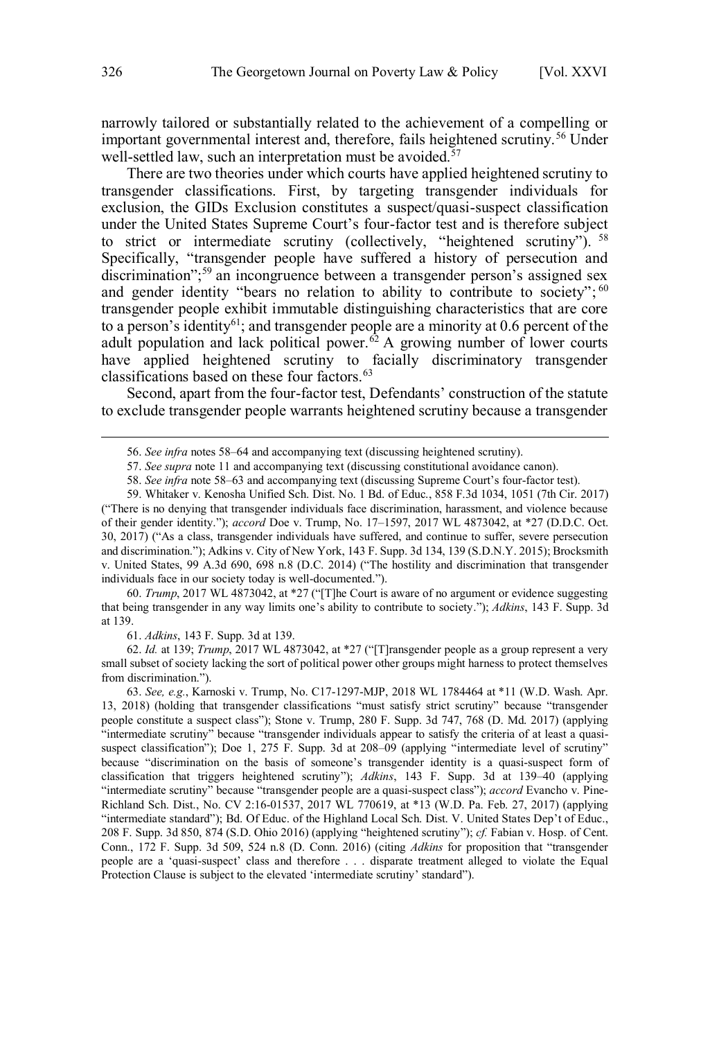narrowly tailored or substantially related to the achievement of a compelling or important governmental interest and, therefore, fails heightened scrutiny.<sup>56</sup> Under well-settled law, such an interpretation must be avoided. $57$ 

There are two theories under which courts have applied heightened scrutiny to transgender classifications. First, by targeting transgender individuals for exclusion, the GIDs Exclusion constitutes a suspect/quasi-suspect classification under the United States Supreme Court's four-factor test and is therefore subject to strict or intermediate scrutiny (collectively, "heightened scrutiny"). <sup>58</sup> Specifically, "transgender people have suffered a history of persecution and discrimination"; <sup>59</sup> an incongruence between a transgender person's assigned sex and gender identity "bears no relation to ability to contribute to society";  $60$ transgender people exhibit immutable distinguishing characteristics that are core to a person's identity<sup>61</sup>; and transgender people are a minority at 0.6 percent of the adult population and lack political power.<sup> $62$ </sup> A growing number of lower courts have applied heightened scrutiny to facially discriminatory transgender classifications based on these four factors.<sup>63</sup>

Second, apart from the four-factor test, Defendants' construction of the statute to exclude transgender people warrants heightened scrutiny because a transgender

60. *Trump*, 2017 WL 4873042, at \*27 ("[T]he Court is aware of no argument or evidence suggesting that being transgender in any way limits one's ability to contribute to society."); *Adkins*, 143 F. Supp. 3d at 139.

61. *Adkins*, 143 F. Supp. 3d at 139.

62. *Id.* at 139; *Trump*, 2017 WL 4873042, at \*27 ("[T]ransgender people as a group represent a very small subset of society lacking the sort of political power other groups might harness to protect themselves from discrimination.").

63. *See, e.g.*, Karnoski v. Trump, No. C17-1297-MJP, 2018 WL 1784464 at \*11 (W.D. Wash. Apr. 13, 2018) (holding that transgender classifications "must satisfy strict scrutiny" because "transgender people constitute a suspect class"); Stone v. Trump, 280 F. Supp. 3d 747, 768 (D. Md. 2017) (applying "intermediate scrutiny" because "transgender individuals appear to satisfy the criteria of at least a quasisuspect classification"); Doe 1, 275 F. Supp. 3d at 208–09 (applying "intermediate level of scrutiny" because "discrimination on the basis of someone's transgender identity is a quasi-suspect form of classification that triggers heightened scrutiny"); *Adkins*, 143 F. Supp. 3d at 139–40 (applying "intermediate scrutiny" because "transgender people are a quasi-suspect class"); *accord* Evancho v. Pine-Richland Sch. Dist., No. CV 2:16-01537, 2017 WL 770619, at \*13 (W.D. Pa. Feb. 27, 2017) (applying "intermediate standard"); Bd. Of Educ. of the Highland Local Sch. Dist. V. United States Dep't of Educ., 208 F. Supp. 3d 850, 874 (S.D. Ohio 2016) (applying "heightened scrutiny"); *cf.* Fabian v. Hosp. of Cent. Conn., 172 F. Supp. 3d 509, 524 n.8 (D. Conn. 2016) (citing *Adkins* for proposition that "transgender people are a 'quasi-suspect' class and therefore . . . disparate treatment alleged to violate the Equal Protection Clause is subject to the elevated 'intermediate scrutiny' standard").

<sup>56.</sup> *See infra* notes 58–64 and accompanying text (discussing heightened scrutiny).

<sup>57.</sup> *See supra* note 11 and accompanying text (discussing constitutional avoidance canon).

<sup>58.</sup> *See infra* note 58–63 and accompanying text (discussing Supreme Court's four-factor test).

<sup>59.</sup> Whitaker v. Kenosha Unified Sch. Dist. No. 1 Bd. of Educ., 858 F.3d 1034, 1051 (7th Cir. 2017) ("There is no denying that transgender individuals face discrimination, harassment, and violence because of their gender identity."); *accord* Doe v. Trump, No. 17–1597, 2017 WL 4873042, at \*27 (D.D.C. Oct. 30, 2017) ("As a class, transgender individuals have suffered, and continue to suffer, severe persecution and discrimination."); Adkins v. City of New York, 143 F. Supp. 3d 134, 139 (S.D.N.Y. 2015); Brocksmith v. United States, 99 A.3d 690, 698 n.8 (D.C. 2014) ("The hostility and discrimination that transgender individuals face in our society today is well-documented.").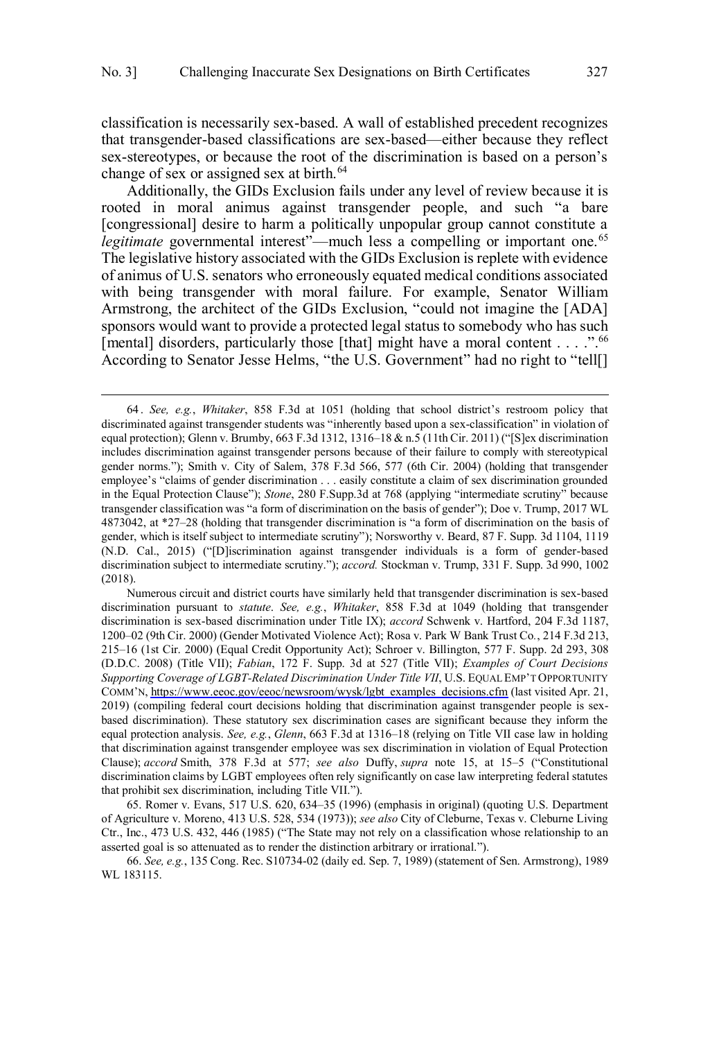classification is necessarily sex-based. A wall of established precedent recognizes that transgender-based classifications are sex-based—either because they reflect sex-stereotypes, or because the root of the discrimination is based on a person's change of sex or assigned sex at birth. $64$ 

Additionally, the GIDs Exclusion fails under any level of review because it is rooted in moral animus against transgender people, and such "a bare [congressional] desire to harm a politically unpopular group cannot constitute a *legitimate* governmental interest"—much less a compelling or important one.<sup>65</sup> The legislative history associated with the GIDs Exclusion is replete with evidence of animus of U.S. senators who erroneously equated medical conditions associated with being transgender with moral failure. For example, Senator William Armstrong, the architect of the GIDs Exclusion, "could not imagine the [ADA] sponsors would want to provide a protected legal status to somebody who has such [mental] disorders, particularly those [that] might have a moral content . . . .".<sup>66</sup> According to Senator Jesse Helms, "the U.S. Government" had no right to "tell[]

 $\overline{a}$ 

Numerous circuit and district courts have similarly held that transgender discrimination is sex-based discrimination pursuant to *statute*. *See, e.g.*, *Whitaker*, 858 F.3d at 1049 (holding that transgender discrimination is sex-based discrimination under Title IX); *accord* Schwenk v. Hartford, 204 F.3d 1187, 1200–02 (9th Cir. 2000) (Gender Motivated Violence Act); Rosa v. Park W Bank Trust Co*.*, 214 F.3d 213, 215–16 (1st Cir. 2000) (Equal Credit Opportunity Act); Schroer v. Billington, 577 F. Supp. 2d 293, 308 (D.D.C. 2008) (Title VII); *Fabian*, 172 F. Supp. 3d at 527 (Title VII); *Examples of Court Decisions Supporting Coverage of LGBT-Related Discrimination Under Title VII*, U.S. EQUAL EMP'T OPPORTUNITY COMM'N, [https://www.eeoc.gov/eeoc/newsroom/wysk/lgbt\\_examples\\_decisions.cfm](https://www.eeoc.gov/eeoc/newsroom/wysk/lgbt_examples_decisions.cfm) (last visited Apr. 21, 2019) (compiling federal court decisions holding that discrimination against transgender people is sexbased discrimination). These statutory sex discrimination cases are significant because they inform the equal protection analysis. *See, e.g.*, *Glenn*, 663 F.3d at 1316–18 (relying on Title VII case law in holding that discrimination against transgender employee was sex discrimination in violation of Equal Protection Clause); *accord* Smith, 378 F.3d at 577; *see also* Duffy, *supra* note 15, at 15–5 ("Constitutional discrimination claims by LGBT employees often rely significantly on case law interpreting federal statutes that prohibit sex discrimination, including Title VII.").

65. Romer v. Evans, 517 U.S. 620, 634–35 (1996) (emphasis in original) (quoting U.S. Department of Agriculture v. Moreno, 413 U.S. 528, 534 (1973)); *see also* City of Cleburne, Texas v. Cleburne Living Ctr., Inc., 473 U.S. 432, 446 (1985) ("The State may not rely on a classification whose relationship to an asserted goal is so attenuated as to render the distinction arbitrary or irrational.").

66. *See, e.g.*, 135 Cong. Rec. S10734-02 (daily ed. Sep. 7, 1989) (statement of Sen. Armstrong), 1989 WL 183115.

*See, e.g.*, *Whitaker*, 858 F.3d at 1051 (holding that school district's restroom policy that 64 . discriminated against transgender students was "inherently based upon a sex-classification" in violation of equal protection); Glenn v. Brumby, 663 F.3d 1312, 1316–18 & n.5 (11th Cir. 2011) ("[S]ex discrimination includes discrimination against transgender persons because of their failure to comply with stereotypical gender norms."); Smith v. City of Salem, 378 F.3d 566, 577 (6th Cir. 2004) (holding that transgender employee's "claims of gender discrimination . . . easily constitute a claim of sex discrimination grounded in the Equal Protection Clause"); *Stone*, 280 F.Supp.3d at 768 (applying "intermediate scrutiny" because transgender classification was "a form of discrimination on the basis of gender"); Doe v. Trump, 2017 WL 4873042, at \*27–28 (holding that transgender discrimination is "a form of discrimination on the basis of gender, which is itself subject to intermediate scrutiny"); Norsworthy v. Beard, 87 F. Supp. 3d 1104, 1119 (N.D. Cal., 2015) ("[D]iscrimination against transgender individuals is a form of gender-based discrimination subject to intermediate scrutiny."); *accord.* Stockman v. Trump, 331 F. Supp. 3d 990, 1002 (2018).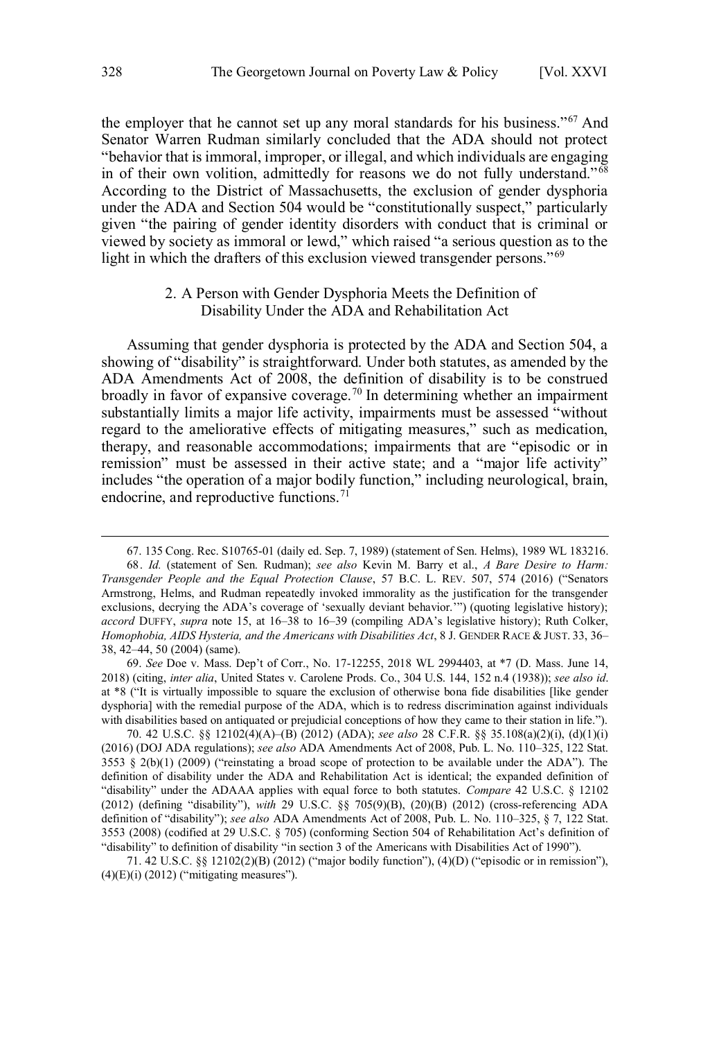<span id="page-15-0"></span>the employer that he cannot set up any moral standards for his business."<sup>67</sup> And Senator Warren Rudman similarly concluded that the ADA should not protect "behavior that is immoral, improper, or illegal, and which individuals are engaging in of their own volition, admittedly for reasons we do not fully understand."<sup>68</sup> According to the District of Massachusetts, the exclusion of gender dysphoria under the ADA and Section 504 would be "constitutionally suspect," particularly given "the pairing of gender identity disorders with conduct that is criminal or viewed by society as immoral or lewd," which raised "a serious question as to the light in which the drafters of this exclusion viewed transgender persons."<sup>69</sup>

## 2. A Person with Gender Dysphoria Meets the Definition of Disability Under the ADA and Rehabilitation Act

Assuming that gender dysphoria is protected by the ADA and Section 504, a showing of "disability" is straightforward. Under both statutes, as amended by the ADA Amendments Act of 2008, the definition of disability is to be construed broadly in favor of expansive coverage.<sup>70</sup> In determining whether an impairment substantially limits a major life activity, impairments must be assessed "without regard to the ameliorative effects of mitigating measures," such as medication, therapy, and reasonable accommodations; impairments that are "episodic or in remission" must be assessed in their active state; and a "major life activity" includes "the operation of a major bodily function," including neurological, brain, endocrine, and reproductive functions.<sup>71</sup>

70. 42 U.S.C. §§ 12102(4)(A)–(B) (2012) (ADA); *see also* 28 C.F.R. §§ 35.108(a)(2)(i), (d)(1)(i) (2016) (DOJ ADA regulations); *see also* ADA Amendments Act of 2008, Pub. L. No. 110–325, 122 Stat.  $3553 \t S$   $2(b)(1)$  (2009) ("reinstating a broad scope of protection to be available under the ADA"). The definition of disability under the ADA and Rehabilitation Act is identical; the expanded definition of "disability" under the ADAAA applies with equal force to both statutes. *Compare* 42 U.S.C. § 12102 (2012) (defining "disability"), *with* 29 U.S.C. §§ 705(9)(B), (20)(B) (2012) (cross-referencing ADA definition of "disability"); *see also* ADA Amendments Act of 2008, Pub. L. No. 110–325, § 7, 122 Stat. 3553 (2008) (codified at 29 U.S.C. § 705) (conforming Section 504 of Rehabilitation Act's definition of "disability" to definition of disability "in section 3 of the Americans with Disabilities Act of 1990").

71. 42 U.S.C. §§ 12102(2)(B) (2012) ("major bodily function"), (4)(D) ("episodic or in remission"),  $(4)$ (E)(i) (2012) ("mitigating measures").

<sup>67</sup> . 135 Cong. Rec. S10765-01 (daily ed. Sep. 7, 1989) (statement of Sen. Helms), 1989 WL 183216. 68. *Id.* (statement of Sen. Rudman); *see also* Kevin M. Barry et al., *A Bare Desire to Harm: Transgender People and the Equal Protection Clause*, 57 B.C. L. REV. 507, 574 (2016) ("Senators Armstrong, Helms, and Rudman repeatedly invoked immorality as the justification for the transgender exclusions, decrying the ADA's coverage of 'sexually deviant behavior.'") (quoting legislative history); *accord* DUFFY, *supra* note 15, at 16–38 to 16–39 (compiling ADA's legislative history); Ruth Colker, *Homophobia, AIDS Hysteria, and the Americans with Disabilities Act*, 8 J. GENDER RACE & JUST. 33, 36– 38, 42–44, 50 (2004) (same).

<sup>69.</sup> *See* Doe v. Mass. Dep't of Corr., No. 17-12255, 2018 WL 2994403, at \*7 (D. Mass. June 14, 2018) (citing, *inter alia*, United States v. Carolene Prods. Co., 304 U.S. 144, 152 n.4 (1938)); *see also id*. at \*8 ("It is virtually impossible to square the exclusion of otherwise bona fide disabilities [like gender dysphoria] with the remedial purpose of the ADA, which is to redress discrimination against individuals with disabilities based on antiquated or prejudicial conceptions of how they came to their station in life.").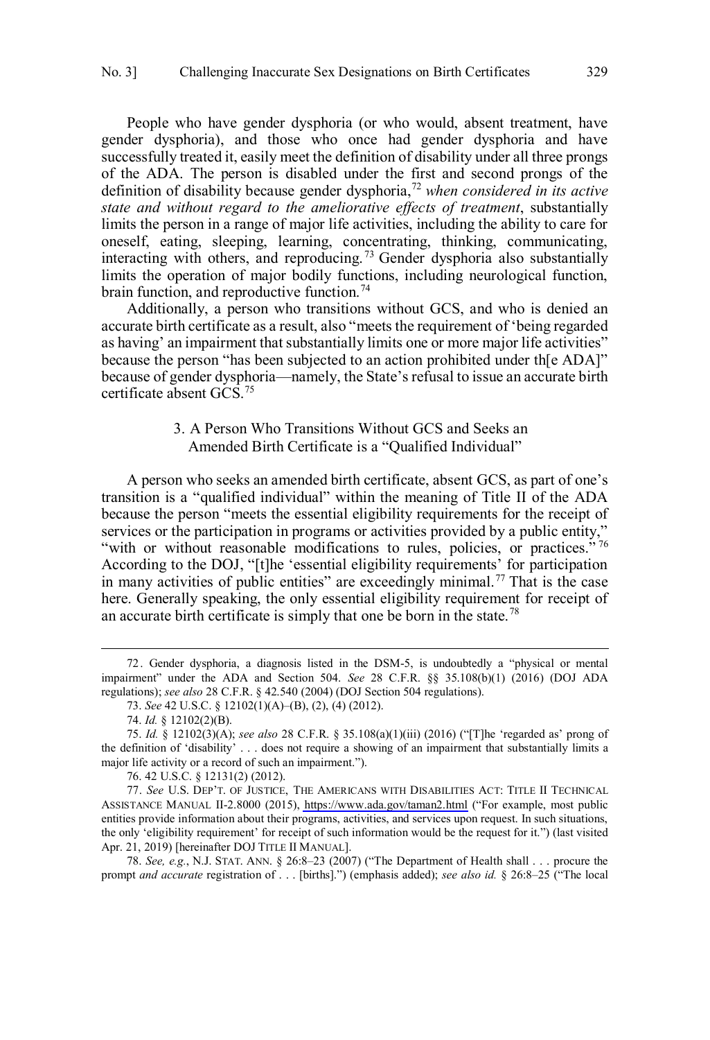<span id="page-16-0"></span>People who have gender dysphoria (or who would, absent treatment, have gender dysphoria), and those who once had gender dysphoria and have successfully treated it, easily meet the definition of disability under all three prongs of the ADA. The person is disabled under the first and second prongs of the definition of disability because gender dysphoria,<sup>72</sup> *when considered in its active state and without regard to the ameliorative effects of treatment*, substantially limits the person in a range of major life activities, including the ability to care for oneself, eating, sleeping, learning, concentrating, thinking, communicating, interacting with others, and reproducing. <sup>73</sup> Gender dysphoria also substantially limits the operation of major bodily functions, including neurological function, brain function, and reproductive function.<sup>74</sup>

Additionally, a person who transitions without GCS, and who is denied an accurate birth certificate as a result, also "meets the requirement of 'being regarded as having' an impairment that substantially limits one or more major life activities" because the person "has been subjected to an action prohibited under th[e ADA]" because of gender dysphoria—namely, the State's refusal to issue an accurate birth certificate absent GCS.<sup>75</sup>

# 3. A Person Who Transitions Without GCS and Seeks an Amended Birth Certificate is a "Qualified Individual"

A person who seeks an amended birth certificate, absent GCS, as part of one's transition is a "qualified individual" within the meaning of Title II of the ADA because the person "meets the essential eligibility requirements for the receipt of services or the participation in programs or activities provided by a public entity," "with or without reasonable modifications to rules, policies, or practices."<sup>76</sup> According to the DOJ, "[t]he 'essential eligibility requirements' for participation in many activities of public entities" are exceedingly minimal.<sup>77</sup> That is the case here. Generally speaking, the only essential eligibility requirement for receipt of an accurate birth certificate is simply that one be born in the state.<sup>78</sup>

 $\overline{a}$ 

76. 42 U.S.C. § 12131(2) (2012).

*See* U.S. DEP'T. OF JUSTICE, THE AMERICANS WITH DISABILITIES ACT: TITLE II TECHNICAL 77. ASSISTANCE MANUAL II-2.8000 (2015),<https://www.ada.gov/taman2.html>("For example, most public entities provide information about their programs, activities, and services upon request. In such situations, the only 'eligibility requirement' for receipt of such information would be the request for it.") (last visited Apr. 21, 2019) [hereinafter DOJ TITLE II MANUAL].

78. *See, e.g.*, N.J. STAT. ANN. § 26:8–23 (2007) ("The Department of Health shall . . . procure the prompt *and accurate* registration of . . . [births].") (emphasis added); *see also id.* § 26:8–25 ("The local

<sup>72.</sup> Gender dysphoria, a diagnosis listed in the DSM-5, is undoubtedly a "physical or mental impairment" under the ADA and Section 504. *See* 28 C.F.R. §§ 35.108(b)(1) (2016) (DOJ ADA regulations); *see also* 28 C.F.R. § 42.540 (2004) (DOJ Section 504 regulations).

<sup>73.</sup> *See* 42 U.S.C. § 12102(1)(A)–(B), (2), (4) (2012).

<sup>74.</sup> *Id.* § 12102(2)(B).

<sup>75.</sup> *Id.* § 12102(3)(A); *see also* 28 C.F.R. § 35.108(a)(1)(iii) (2016) ("[T]he 'regarded as' prong of the definition of 'disability' . . . does not require a showing of an impairment that substantially limits a major life activity or a record of such an impairment.").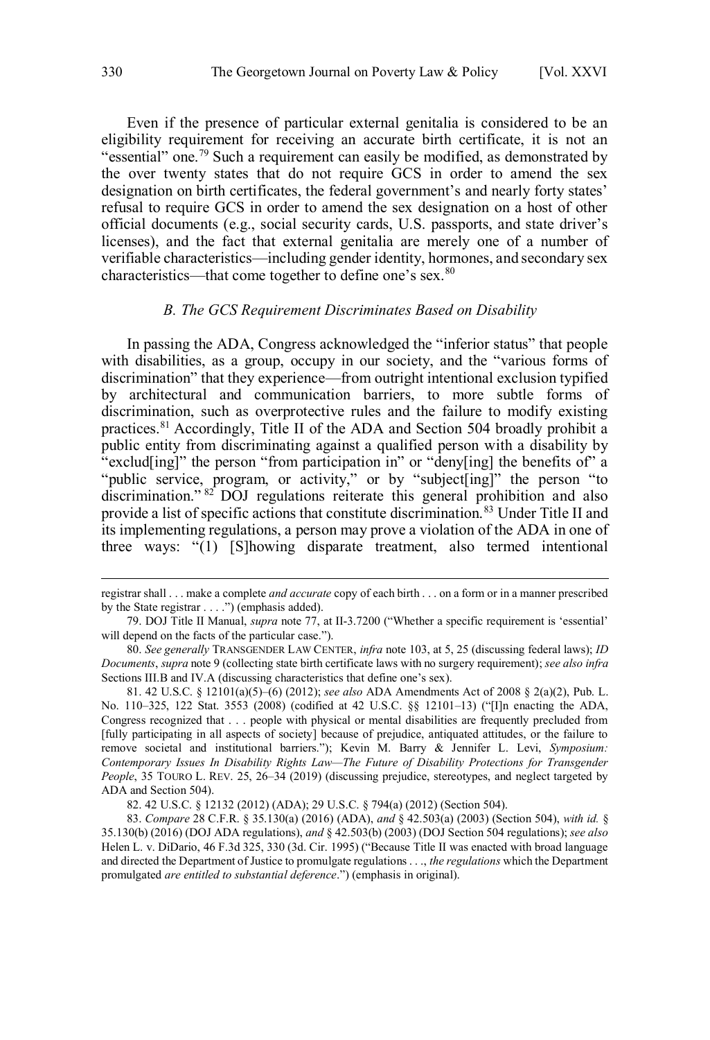<span id="page-17-0"></span>Even if the presence of particular external genitalia is considered to be an eligibility requirement for receiving an accurate birth certificate, it is not an "essential" one.<sup>79</sup> Such a requirement can easily be modified, as demonstrated by the over twenty states that do not require GCS in order to amend the sex designation on birth certificates, the federal government's and nearly forty states' refusal to require GCS in order to amend the sex designation on a host of other official documents (e.g., social security cards, U.S. passports, and state driver's licenses), and the fact that external genitalia are merely one of a number of verifiable characteristics—including gender identity, hormones, and secondary sex characteristics—that come together to define one's sex.<sup>80</sup>

#### *B. The GCS Requirement Discriminates Based on Disability*

In passing the ADA, Congress acknowledged the "inferior status" that people with disabilities, as a group, occupy in our society, and the "various forms of discrimination" that they experience—from outright intentional exclusion typified by architectural and communication barriers, to more subtle forms of discrimination, such as overprotective rules and the failure to modify existing practices.<sup>81</sup> Accordingly, Title II of the ADA and Section 504 broadly prohibit a public entity from discriminating against a qualified person with a disability by "exclud[ing]" the person "from participation in" or "deny[ing] the benefits of" a "public service, program, or activity," or by "subject[ing]" the person "to discrimination." <sup>82</sup> DOJ regulations reiterate this general prohibition and also provide a list of specific actions that constitute discrimination.<sup>83</sup> Under Title II and its implementing regulations, a person may prove a violation of the ADA in one of three ways: "(1) [S]howing disparate treatment, also termed intentional

registrar shall . . . make a complete *and accurate* copy of each birth . . . on a form or in a manner prescribed by the State registrar . . . .") (emphasis added).

<sup>79.</sup> DOJ Title II Manual, *supra* note 77, at II-3.7200 ("Whether a specific requirement is 'essential' will depend on the facts of the particular case.").

<sup>80.</sup> *See generally* TRANSGENDER LAW CENTER, *infra* note 103, at 5, 25 (discussing federal laws); *ID Documents*, *supra* note 9 (collecting state birth certificate laws with no surgery requirement); *see also infra* Sections III.B and IV.A (discussing characteristics that define one's sex).

<sup>81. 42</sup> U.S.C. § 12101(a)(5)–(6) (2012); *see also* ADA Amendments Act of 2008 § 2(a)(2), Pub. L. No. 110–325, 122 Stat. 3553 (2008) (codified at 42 U.S.C. §§ 12101–13) ("[I]n enacting the ADA, Congress recognized that . . . people with physical or mental disabilities are frequently precluded from [fully participating in all aspects of society] because of prejudice, antiquated attitudes, or the failure to remove societal and institutional barriers."); Kevin M. Barry & Jennifer L. Levi, *Symposium: Contemporary Issues In Disability Rights Law—The Future of Disability Protections for Transgender People*, 35 TOURO L. REV. 25, 26–34 (2019) (discussing prejudice, stereotypes, and neglect targeted by ADA and Section 504).

<sup>82. 42</sup> U.S.C. § 12132 (2012) (ADA); 29 U.S.C. § 794(a) (2012) (Section 504).

<sup>83.</sup> *Compare* 28 C.F.R. § 35.130(a) (2016) (ADA), *and* § 42.503(a) (2003) (Section 504), *with id.* § 35.130(b) (2016) (DOJ ADA regulations), *and* § 42.503(b) (2003) (DOJ Section 504 regulations); *see also* Helen L. v. DiDario, 46 F.3d 325, 330 (3d. Cir. 1995) ("Because Title II was enacted with broad language and directed the Department of Justice to promulgate regulations . . ., *the regulations* which the Department promulgated *are entitled to substantial deference*.") (emphasis in original).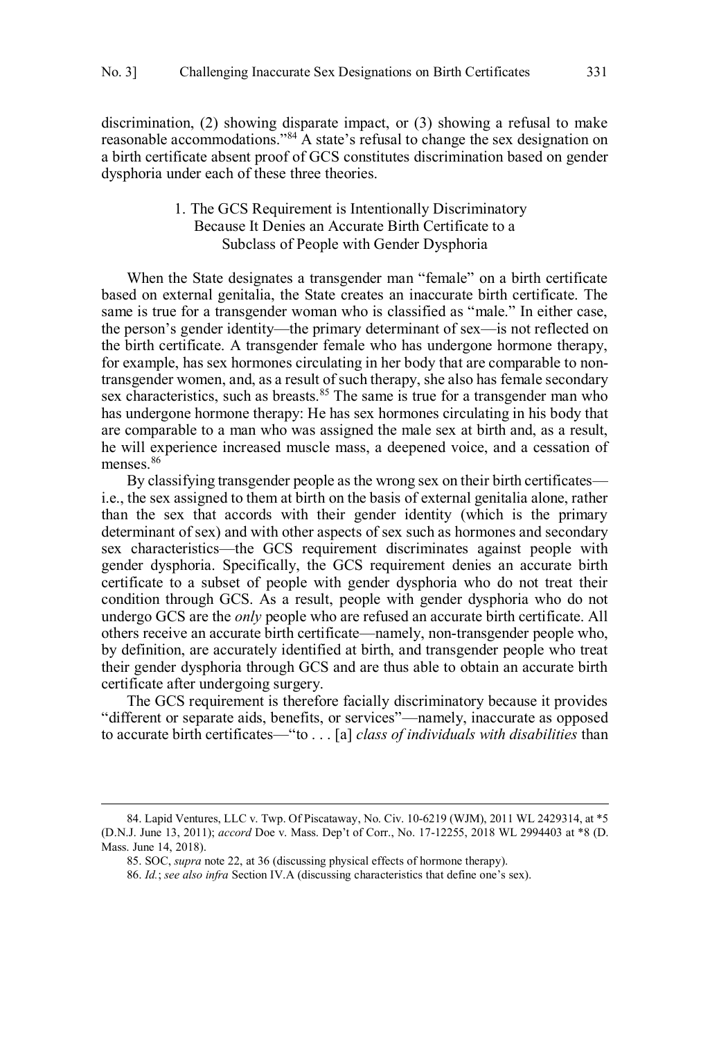<span id="page-18-0"></span>discrimination, (2) showing disparate impact, or (3) showing a refusal to make reasonable accommodations."<sup>84</sup> A state's refusal to change the sex designation on a birth certificate absent proof of GCS constitutes discrimination based on gender dysphoria under each of these three theories.

# 1. The GCS Requirement is Intentionally Discriminatory Because It Denies an Accurate Birth Certificate to a Subclass of People with Gender Dysphoria

When the State designates a transgender man "female" on a birth certificate based on external genitalia, the State creates an inaccurate birth certificate. The same is true for a transgender woman who is classified as "male." In either case, the person's gender identity—the primary determinant of sex—is not reflected on the birth certificate. A transgender female who has undergone hormone therapy, for example, has sex hormones circulating in her body that are comparable to nontransgender women, and, as a result of such therapy, she also has female secondary sex characteristics, such as breasts.<sup>85</sup> The same is true for a transgender man who has undergone hormone therapy: He has sex hormones circulating in his body that are comparable to a man who was assigned the male sex at birth and, as a result, he will experience increased muscle mass, a deepened voice, and a cessation of menses.<sup>86</sup>

By classifying transgender people as the wrong sex on their birth certificates i.e., the sex assigned to them at birth on the basis of external genitalia alone, rather than the sex that accords with their gender identity (which is the primary determinant of sex) and with other aspects of sex such as hormones and secondary sex characteristics—the GCS requirement discriminates against people with gender dysphoria. Specifically, the GCS requirement denies an accurate birth certificate to a subset of people with gender dysphoria who do not treat their condition through GCS. As a result, people with gender dysphoria who do not undergo GCS are the *only* people who are refused an accurate birth certificate. All others receive an accurate birth certificate—namely, non-transgender people who, by definition, are accurately identified at birth, and transgender people who treat their gender dysphoria through GCS and are thus able to obtain an accurate birth certificate after undergoing surgery.

The GCS requirement is therefore facially discriminatory because it provides "different or separate aids, benefits, or services"—namely, inaccurate as opposed to accurate birth certificates—"to . . . [a] *class of individuals with disabilities* than

<sup>84.</sup> Lapid Ventures, LLC v. Twp. Of Piscataway, No. Civ. 10-6219 (WJM), 2011 WL 2429314, at \*5 (D.N.J. June 13, 2011); *accord* Doe v. Mass. Dep't of Corr., No. 17-12255, 2018 WL 2994403 at \*8 (D. Mass. June 14, 2018).

<sup>85.</sup> SOC, *supra* note 22, at 36 (discussing physical effects of hormone therapy).

<sup>86.</sup> *Id.*; *see also infra* Section IV.A (discussing characteristics that define one's sex).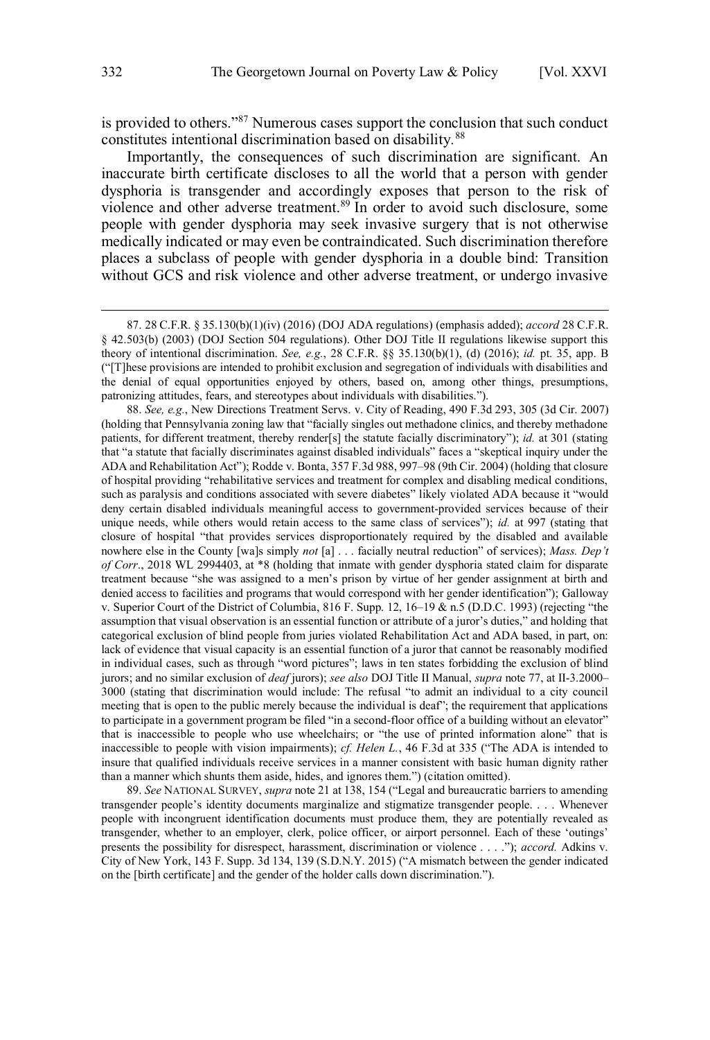is provided to others."<sup>87</sup> Numerous cases support the conclusion that such conduct constitutes intentional discrimination based on disability*.* 88

Importantly, the consequences of such discrimination are significant. An inaccurate birth certificate discloses to all the world that a person with gender dysphoria is transgender and accordingly exposes that person to the risk of violence and other adverse treatment.<sup>89</sup> In order to avoid such disclosure, some people with gender dysphoria may seek invasive surgery that is not otherwise medically indicated or may even be contraindicated. Such discrimination therefore places a subclass of people with gender dysphoria in a double bind: Transition without GCS and risk violence and other adverse treatment, or undergo invasive

88. *See, e.g.*, New Directions Treatment Servs. v. City of Reading, 490 F.3d 293, 305 (3d Cir. 2007) (holding that Pennsylvania zoning law that "facially singles out methadone clinics, and thereby methadone patients, for different treatment, thereby render[s] the statute facially discriminatory"); *id.* at 301 (stating that "a statute that facially discriminates against disabled individuals" faces a "skeptical inquiry under the ADA and Rehabilitation Act"); Rodde v. Bonta, 357 F.3d 988, 997–98 (9th Cir. 2004) (holding that closure of hospital providing "rehabilitative services and treatment for complex and disabling medical conditions, such as paralysis and conditions associated with severe diabetes" likely violated ADA because it "would deny certain disabled individuals meaningful access to government-provided services because of their unique needs, while others would retain access to the same class of services"); *id.* at 997 (stating that closure of hospital "that provides services disproportionately required by the disabled and available nowhere else in the County [wa]s simply *not* [a] . . . facially neutral reduction" of services); *Mass. Dep't of Corr*., 2018 WL 2994403, at \*8 (holding that inmate with gender dysphoria stated claim for disparate treatment because "she was assigned to a men's prison by virtue of her gender assignment at birth and denied access to facilities and programs that would correspond with her gender identification"); Galloway v. Superior Court of the District of Columbia, 816 F. Supp. 12, 16–19 & n.5 (D.D.C. 1993) (rejecting "the assumption that visual observation is an essential function or attribute of a juror's duties," and holding that categorical exclusion of blind people from juries violated Rehabilitation Act and ADA based, in part, on: lack of evidence that visual capacity is an essential function of a juror that cannot be reasonably modified in individual cases, such as through "word pictures"; laws in ten states forbidding the exclusion of blind jurors; and no similar exclusion of *deaf* jurors); *see also* DOJ Title II Manual, *supra* note 77, at II-3.2000– 3000 (stating that discrimination would include: The refusal "to admit an individual to a city council meeting that is open to the public merely because the individual is deaf"; the requirement that applications to participate in a government program be filed "in a second-floor office of a building without an elevator" that is inaccessible to people who use wheelchairs; or "the use of printed information alone" that is inaccessible to people with vision impairments); *cf. Helen L.*, 46 F.3d at 335 ("The ADA is intended to insure that qualified individuals receive services in a manner consistent with basic human dignity rather than a manner which shunts them aside, hides, and ignores them.") (citation omitted).

89. *See* NATIONAL SURVEY, *supra* note 21 at 138, 154 ("Legal and bureaucratic barriers to amending transgender people's identity documents marginalize and stigmatize transgender people. . . . Whenever people with incongruent identification documents must produce them, they are potentially revealed as transgender, whether to an employer, clerk, police officer, or airport personnel. Each of these 'outings' presents the possibility for disrespect, harassment, discrimination or violence . . . ."); *accord.* Adkins v. City of New York, 143 F. Supp. 3d 134, 139 (S.D.N.Y. 2015) ("A mismatch between the gender indicated on the [birth certificate] and the gender of the holder calls down discrimination.").

<sup>87. 28</sup> C.F.R. § 35.130(b)(1)(iv) (2016) (DOJ ADA regulations) (emphasis added); *accord* 28 C.F.R. § 42.503(b) (2003) (DOJ Section 504 regulations). Other DOJ Title II regulations likewise support this theory of intentional discrimination. *See, e.g.*, 28 C.F.R. §§ 35.130(b)(1), (d) (2016); *id.* pt. 35, app. B ("[T]hese provisions are intended to prohibit exclusion and segregation of individuals with disabilities and the denial of equal opportunities enjoyed by others, based on, among other things, presumptions, patronizing attitudes, fears, and stereotypes about individuals with disabilities.").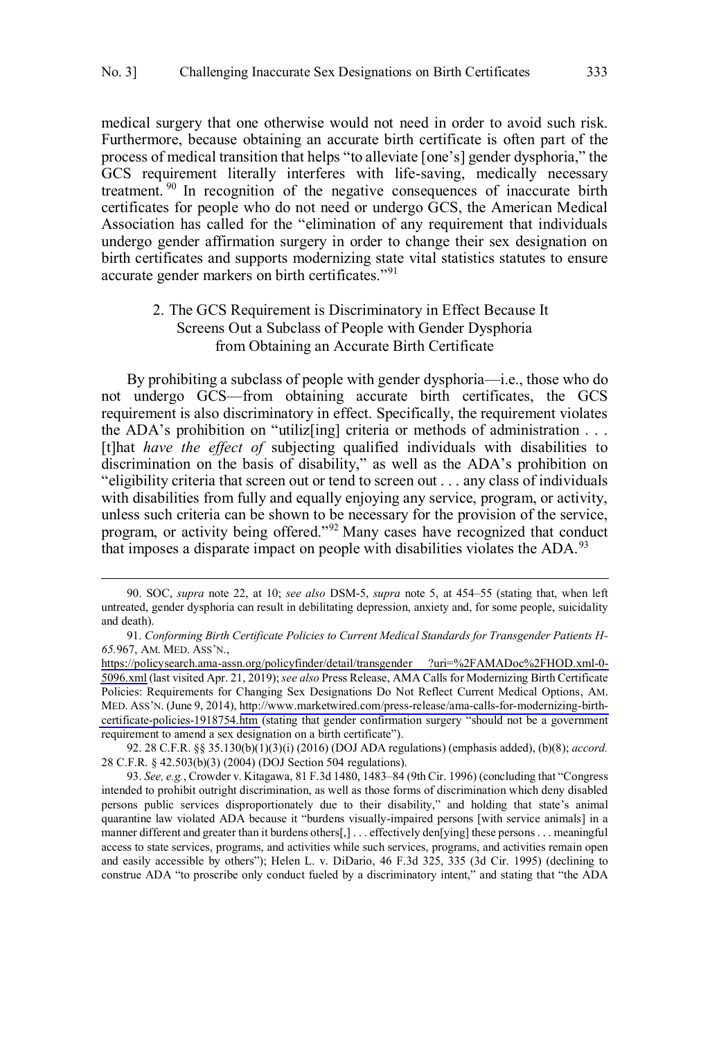<span id="page-20-0"></span>medical surgery that one otherwise would not need in order to avoid such risk. Furthermore, because obtaining an accurate birth certificate is often part of the process of medical transition that helps "to alleviate [one's] gender dysphoria," the GCS requirement literally interferes with life-saving, medically necessary treatment. <sup>90</sup> In recognition of the negative consequences of inaccurate birth certificates for people who do not need or undergo GCS, the American Medical Association has called for the "elimination of any requirement that individuals undergo gender affirmation surgery in order to change their sex designation on birth certificates and supports modernizing state vital statistics statutes to ensure accurate gender markers on birth certificates."<sup>91</sup>

# 2. The GCS Requirement is Discriminatory in Effect Because It Screens Out a Subclass of People with Gender Dysphoria from Obtaining an Accurate Birth Certificate

By prohibiting a subclass of people with gender dysphoria—i.e., those who do not undergo GCS—from obtaining accurate birth certificates, the GCS requirement is also discriminatory in effect. Specifically, the requirement violates the ADA's prohibition on "utiliz[ing] criteria or methods of administration . . . [t]hat *have the effect of* subjecting qualified individuals with disabilities to discrimination on the basis of disability," as well as the ADA's prohibition on "eligibility criteria that screen out or tend to screen out . . . any class of individuals with disabilities from fully and equally enjoying any service, program, or activity, unless such criteria can be shown to be necessary for the provision of the service, program, or activity being offered."<sup>92</sup> Many cases have recognized that conduct that imposes a disparate impact on people with disabilities violates the ADA.<sup>93</sup>

 $\overline{a}$ 

92. 28 C.F.R. §§ 35.130(b)(1)(3)(i) (2016) (DOJ ADA regulations) (emphasis added), (b)(8); *accord.*  28 C.F.R. § 42.503(b)(3) (2004) (DOJ Section 504 regulations).

<sup>90.</sup> SOC, *supra* note 22, at 10; *see also* DSM-5, *supra* note 5, at 454–55 (stating that, when left untreated, gender dysphoria can result in debilitating depression, anxiety and, for some people, suicidality and death).

*Conforming Birth Certificate Policies to Current Medical Standards for Transgender Patients H-*91. *65.*967, AM. MED. ASS'N.,

[https://policysearch.ama-assn.org/policyfinder/detail/transgender ?uri=%2FAMADoc%2FHOD.xml-0-](https://policysearch.ama-assn.org/policyfinder/detail/transgender?uri=%2FAMADoc%2FHOD.xml-0-5096.xml) [5096.xml](https://policysearch.ama-assn.org/policyfinder/detail/transgender?uri=%2FAMADoc%2FHOD.xml-0-5096.xml) (last visited Apr. 21, 2019); *see also* Press Release, AMA Calls for Modernizing Birth Certificate Policies: Requirements for Changing Sex Designations Do Not Reflect Current Medical Options, AM. MED. ASS'N. (June 9, 2014), [http://www.marketwired.com/press-release/ama-calls-for-modernizing-birth](http://www.marketwired.com/press-release/ama-calls-for-modernizing-birth-certificate-policies-1918754.htm)[certificate-policies-1918754.htm](http://www.marketwired.com/press-release/ama-calls-for-modernizing-birth-certificate-policies-1918754.htm) (stating that gender confirmation surgery "should not be a government requirement to amend a sex designation on a birth certificate").

<sup>93.</sup> *See, e.g.*, Crowder v. Kitagawa, 81 F.3d 1480, 1483–84 (9th Cir. 1996) (concluding that "Congress intended to prohibit outright discrimination, as well as those forms of discrimination which deny disabled persons public services disproportionately due to their disability," and holding that state's animal quarantine law violated ADA because it "burdens visually-impaired persons [with service animals] in a manner different and greater than it burdens others[,] . . . effectively den[ying] these persons . . . meaningful access to state services, programs, and activities while such services, programs, and activities remain open and easily accessible by others"); Helen L. v. DiDario, 46 F.3d 325, 335 (3d Cir. 1995) (declining to construe ADA "to proscribe only conduct fueled by a discriminatory intent," and stating that "the ADA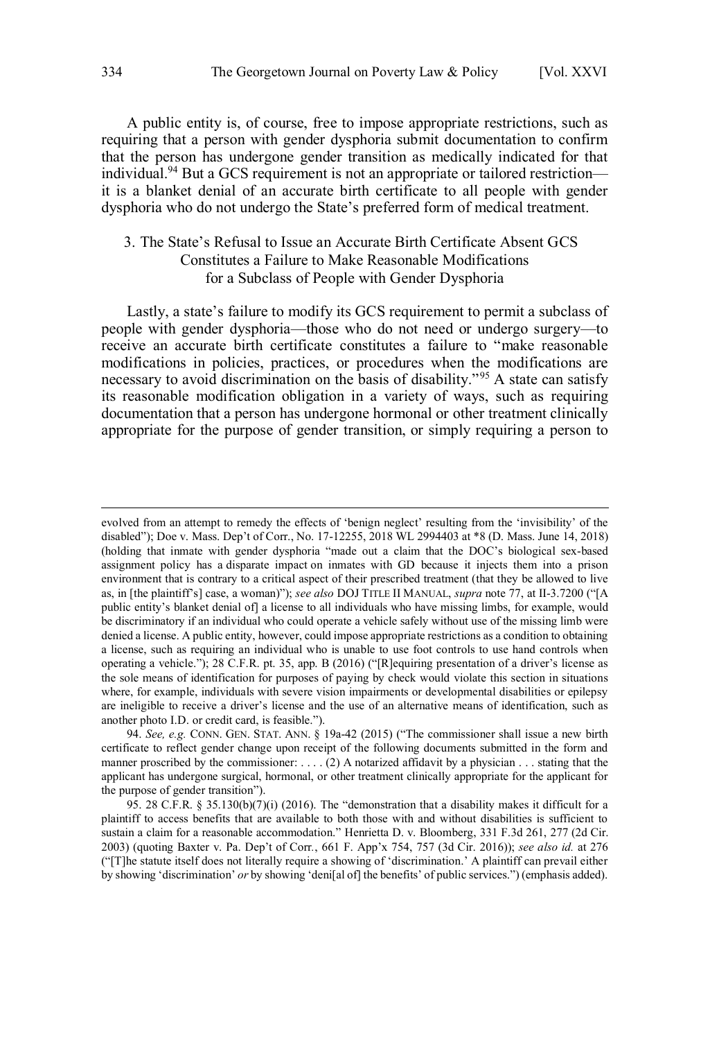<span id="page-21-0"></span>A public entity is, of course, free to impose appropriate restrictions, such as requiring that a person with gender dysphoria submit documentation to confirm that the person has undergone gender transition as medically indicated for that individual.<sup>94</sup> But a GCS requirement is not an appropriate or tailored restriction it is a blanket denial of an accurate birth certificate to all people with gender dysphoria who do not undergo the State's preferred form of medical treatment.

# 3. The State's Refusal to Issue an Accurate Birth Certificate Absent GCS Constitutes a Failure to Make Reasonable Modifications for a Subclass of People with Gender Dysphoria

Lastly, a state's failure to modify its GCS requirement to permit a subclass of people with gender dysphoria—those who do not need or undergo surgery—to receive an accurate birth certificate constitutes a failure to "make reasonable modifications in policies, practices, or procedures when the modifications are necessary to avoid discrimination on the basis of disability."<sup>95</sup> A state can satisfy its reasonable modification obligation in a variety of ways, such as requiring documentation that a person has undergone hormonal or other treatment clinically appropriate for the purpose of gender transition, or simply requiring a person to

evolved from an attempt to remedy the effects of 'benign neglect' resulting from the 'invisibility' of the disabled"); Doe v. Mass. Dep't of Corr., No. 17-12255, 2018 WL 2994403 at \*8 (D. Mass. June 14, 2018) (holding that inmate with gender dysphoria "made out a claim that the DOC's biological sex-based assignment policy has a disparate impact on inmates with GD because it injects them into a prison environment that is contrary to a critical aspect of their prescribed treatment (that they be allowed to live as, in [the plaintiff's] case, a woman)"); *see also* DOJ TITLE II MANUAL, *supra* note 77, at II-3.7200 ("[A public entity's blanket denial of] a license to all individuals who have missing limbs, for example, would be discriminatory if an individual who could operate a vehicle safely without use of the missing limb were denied a license. A public entity, however, could impose appropriate restrictions as a condition to obtaining a license, such as requiring an individual who is unable to use foot controls to use hand controls when operating a vehicle."); 28 C.F.R. pt. 35, app. B (2016) ("[R]equiring presentation of a driver's license as the sole means of identification for purposes of paying by check would violate this section in situations where, for example, individuals with severe vision impairments or developmental disabilities or epilepsy are ineligible to receive a driver's license and the use of an alternative means of identification, such as another photo I.D. or credit card, is feasible.").

<sup>94.</sup> *See, e.g.* CONN. GEN. STAT. ANN. § 19a-42 (2015) ("The commissioner shall issue a new birth certificate to reflect gender change upon receipt of the following documents submitted in the form and manner proscribed by the commissioner: ... . (2) A notarized affidavit by a physician ... stating that the applicant has undergone surgical, hormonal, or other treatment clinically appropriate for the applicant for the purpose of gender transition").

<sup>95. 28</sup> C.F.R. § 35.130(b)(7)(i) (2016). The "demonstration that a disability makes it difficult for a plaintiff to access benefits that are available to both those with and without disabilities is sufficient to sustain a claim for a reasonable accommodation." Henrietta D. v. Bloomberg, 331 F.3d 261, 277 (2d Cir. 2003) (quoting Baxter v. Pa. Dep't of Corr*.*, 661 F. App'x 754, 757 (3d Cir. 2016)); *see also id.* at 276 ("[T]he statute itself does not literally require a showing of 'discrimination.' A plaintiff can prevail either by showing 'discrimination' *or* by showing 'deni[al of] the benefits' of public services.") (emphasis added).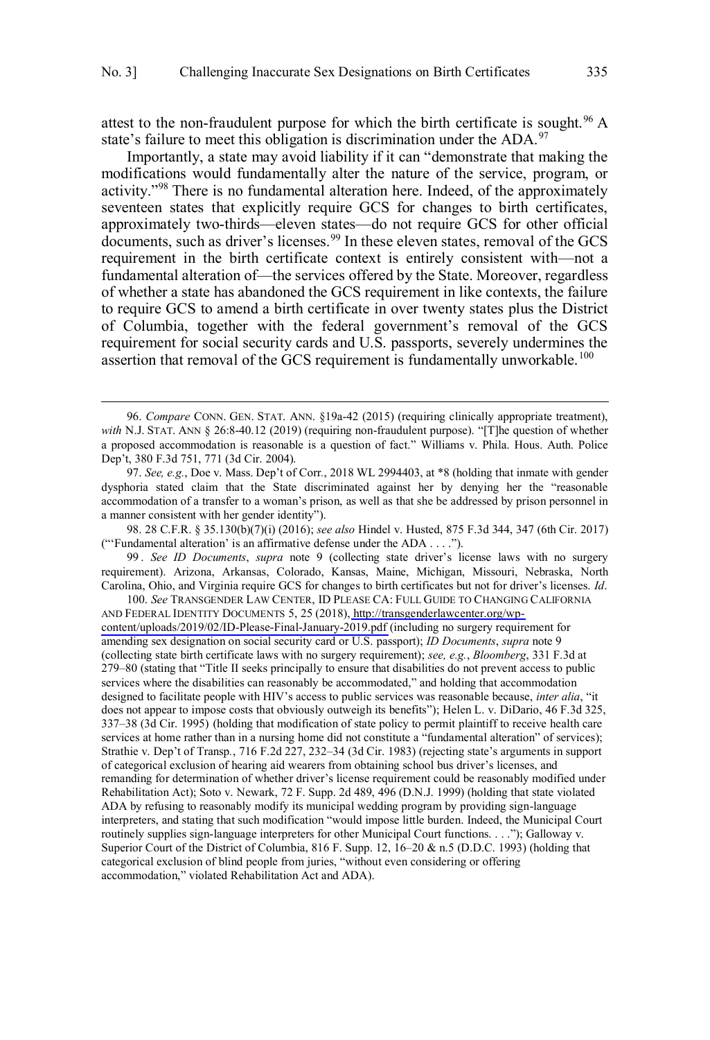attest to the non-fraudulent purpose for which the birth certificate is sought.<sup>96</sup> A state's failure to meet this obligation is discrimination under the ADA.<sup>97</sup>

Importantly, a state may avoid liability if it can "demonstrate that making the modifications would fundamentally alter the nature of the service, program, or activity."<sup>98</sup> There is no fundamental alteration here. Indeed, of the approximately seventeen states that explicitly require GCS for changes to birth certificates, approximately two-thirds—eleven states—do not require GCS for other official documents, such as driver's licenses.<sup>99</sup> In these eleven states, removal of the GCS requirement in the birth certificate context is entirely consistent with—not a fundamental alteration of—the services offered by the State. Moreover, regardless of whether a state has abandoned the GCS requirement in like contexts, the failure to require GCS to amend a birth certificate in over twenty states plus the District of Columbia, together with the federal government's removal of the GCS requirement for social security cards and U.S. passports, severely undermines the assertion that removal of the GCS requirement is fundamentally unworkable.<sup>100</sup>

 $\overline{a}$ 

98. 28 C.F.R. § 35.130(b)(7)(i) (2016); *see also* Hindel v. Husted, 875 F.3d 344, 347 (6th Cir. 2017) ("'Fundamental alteration' is an affirmative defense under the ADA . . . .").

99 . *See ID Documents*, *supra* note 9 (collecting state driver's license laws with no surgery requirement). Arizona, Arkansas, Colorado, Kansas, Maine, Michigan, Missouri, Nebraska, North Carolina, Ohio, and Virginia require GCS for changes to birth certificates but not for driver's licenses. *Id*. 100. *See* TRANSGENDER LAW CENTER, ID PLEASE CA: FULL GUIDE TO CHANGING CALIFORNIA

AND FEDERAL IDENTITY DOCUMENTS 5, 25 (2018), [http://transgenderlawcenter.org/wp](http://transgenderlawcenter.org/wp-content/uploads/2019/02/ID-Please-Final-January-2019.pdf)[content/uploads/2019/02/ID-Please-Final-January-2019.pdf](http://transgenderlawcenter.org/wp-content/uploads/2019/02/ID-Please-Final-January-2019.pdf) (including no surgery requirement for amending sex designation on social security card or U.S. passport); *ID Documents*, *supra* note 9 (collecting state birth certificate laws with no surgery requirement); *see, e.g.*, *Bloomberg*, 331 F.3d at 279–80 (stating that "Title II seeks principally to ensure that disabilities do not prevent access to public services where the disabilities can reasonably be accommodated," and holding that accommodation designed to facilitate people with HIV's access to public services was reasonable because, *inter alia*, "it does not appear to impose costs that obviously outweigh its benefits"); Helen L. v. DiDario, 46 F.3d 325, 337–38 (3d Cir. 1995) (holding that modification of state policy to permit plaintiff to receive health care services at home rather than in a nursing home did not constitute a "fundamental alteration" of services); Strathie v. Dep't of Transp*.*, 716 F.2d 227, 232–34 (3d Cir. 1983) (rejecting state's arguments in support of categorical exclusion of hearing aid wearers from obtaining school bus driver's licenses, and remanding for determination of whether driver's license requirement could be reasonably modified under Rehabilitation Act); Soto v. Newark, 72 F. Supp. 2d 489, 496 (D.N.J. 1999) (holding that state violated ADA by refusing to reasonably modify its municipal wedding program by providing sign-language interpreters, and stating that such modification "would impose little burden. Indeed, the Municipal Court routinely supplies sign-language interpreters for other Municipal Court functions. . . ."); Galloway v. Superior Court of the District of Columbia, 816 F. Supp. 12, 16–20 & n.5 (D.D.C. 1993) (holding that categorical exclusion of blind people from juries, "without even considering or offering accommodation," violated Rehabilitation Act and ADA).

<sup>96.</sup> *Compare* CONN. GEN. STAT. ANN. §19a-42 (2015) (requiring clinically appropriate treatment), with N.J. STAT. ANN § 26:8-40.12 (2019) (requiring non-fraudulent purpose). "[T]he question of whether a proposed accommodation is reasonable is a question of fact." Williams v. Phila. Hous. Auth. Police Dep't, 380 F.3d 751, 771 (3d Cir. 2004).

<sup>97.</sup> *See, e.g.*, Doe v. Mass. Dep't of Corr*.*, 2018 WL 2994403, at \*8 (holding that inmate with gender dysphoria stated claim that the State discriminated against her by denying her the "reasonable accommodation of a transfer to a woman's prison, as well as that she be addressed by prison personnel in a manner consistent with her gender identity").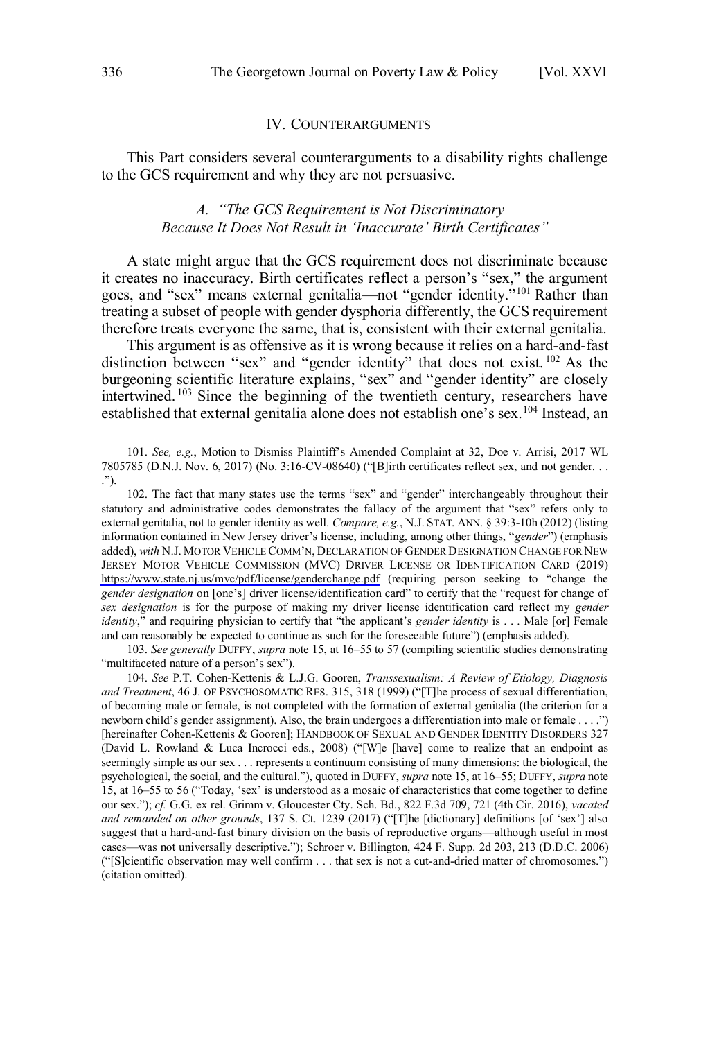#### IV. COUNTERARGUMENTS

<span id="page-23-0"></span>This Part considers several counterarguments to a disability rights challenge to the GCS requirement and why they are not persuasive.

## *A. "The GCS Requirement is Not Discriminatory Because It Does Not Result in 'Inaccurate' Birth Certificates"*

A state might argue that the GCS requirement does not discriminate because it creates no inaccuracy. Birth certificates reflect a person's "sex," the argument goes, and "sex" means external genitalia—not "gender identity."<sup>101</sup> Rather than treating a subset of people with gender dysphoria differently, the GCS requirement therefore treats everyone the same, that is, consistent with their external genitalia.

This argument is as offensive as it is wrong because it relies on a hard-and-fast distinction between "sex" and "gender identity" that does not exist.<sup>102</sup> As the burgeoning scientific literature explains, "sex" and "gender identity" are closely intertwined.<sup>103</sup> Since the beginning of the twentieth century, researchers have established that external genitalia alone does not establish one's sex.<sup>104</sup> Instead, an

102. The fact that many states use the terms "sex" and "gender" interchangeably throughout their statutory and administrative codes demonstrates the fallacy of the argument that "sex" refers only to external genitalia, not to gender identity as well. *Compare, e.g.*, N.J. STAT. ANN. § 39:3-10h (2012) (listing information contained in New Jersey driver's license, including, among other things, "*gender*") (emphasis added), *with* N.J. MOTOR VEHICLE COMM'N, DECLARATION OF GENDER DESIGNATION CHANGE FOR NEW JERSEY MOTOR VEHICLE COMMISSION (MVC) DRIVER LICENSE OR IDENTIFICATION CARD (2019) <https://www.state.nj.us/mvc/pdf/license/genderchange.pdf>(requiring person seeking to "change the *gender designation* on [one's] driver license/identification card" to certify that the "request for change of *sex designation* is for the purpose of making my driver license identification card reflect my *gender identity*," and requiring physician to certify that "the applicant's *gender identity* is . . . Male [or] Female and can reasonably be expected to continue as such for the foreseeable future") (emphasis added).

103. *See generally* DUFFY, *supra* note 15, at 16–55 to 57 (compiling scientific studies demonstrating "multifaceted nature of a person's sex").

104. *See* P.T. Cohen-Kettenis & L.J.G. Gooren, *Transsexualism: A Review of Etiology, Diagnosis and Treatment*, 46 J. OF PSYCHOSOMATIC RES. 315, 318 (1999) ("[T]he process of sexual differentiation, of becoming male or female, is not completed with the formation of external genitalia (the criterion for a newborn child's gender assignment). Also, the brain undergoes a differentiation into male or female . . . .") [hereinafter Cohen-Kettenis & Gooren]; HANDBOOK OF SEXUAL AND GENDER IDENTITY DISORDERS 327 (David L. Rowland & Luca Incrocci eds., 2008) ("[W]e [have] come to realize that an endpoint as seemingly simple as our sex . . . represents a continuum consisting of many dimensions: the biological, the psychological, the social, and the cultural."), quoted in DUFFY, *supra* note 15, at 16–55; DUFFY, *supra* note 15, at 16–55 to 56 ("Today, 'sex' is understood as a mosaic of characteristics that come together to define our sex."); *cf.* G.G. ex rel. Grimm v. Gloucester Cty. Sch. Bd*.*, 822 F.3d 709, 721 (4th Cir. 2016), *vacated and remanded on other grounds*, 137 S. Ct. 1239 (2017) ("[T]he [dictionary] definitions [of 'sex'] also suggest that a hard-and-fast binary division on the basis of reproductive organs—although useful in most cases—was not universally descriptive."); Schroer v. Billington, 424 F. Supp. 2d 203, 213 (D.D.C. 2006) ("[S]cientific observation may well confirm . . . that sex is not a cut-and-dried matter of chromosomes.") (citation omitted).

<sup>101.</sup> *See, e.g.*, Motion to Dismiss Plaintiff's Amended Complaint at 32, Doe v. Arrisi, 2017 WL 7805785 (D.N.J. Nov. 6, 2017) (No. 3:16-CV-08640) ("[B]irth certificates reflect sex, and not gender. . . .").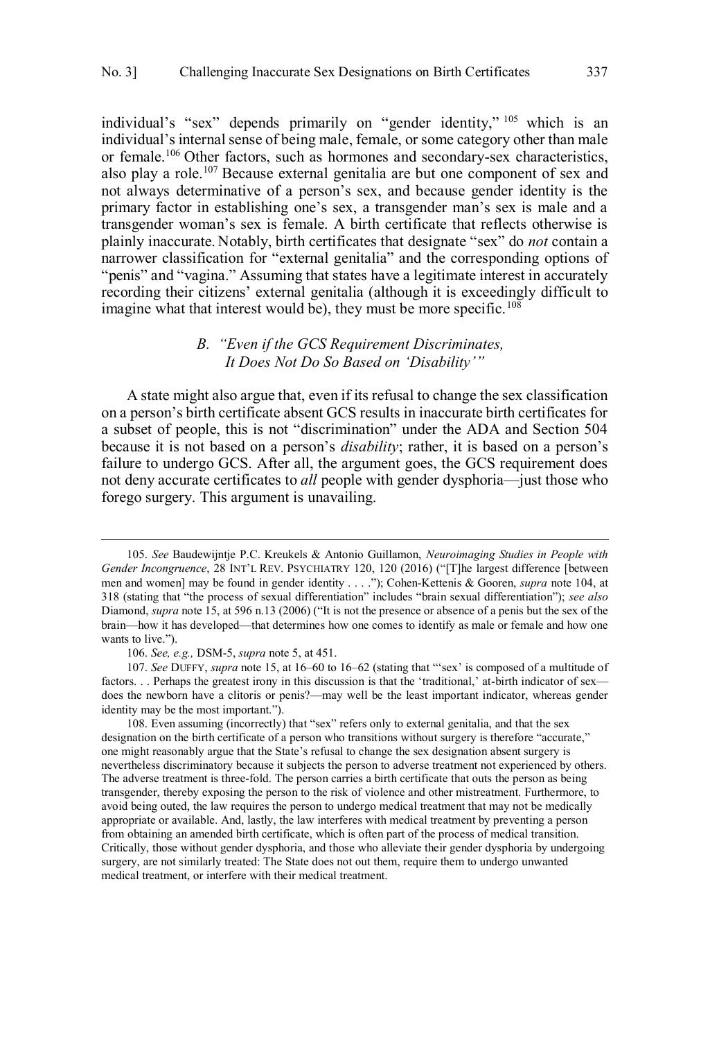<span id="page-24-0"></span>individual's "sex" depends primarily on "gender identity," <sup>105</sup> which is an individual's internal sense of being male, female, or some category other than male or female.<sup>106</sup> Other factors, such as hormones and secondary-sex characteristics, also play a role.<sup>107</sup> Because external genitalia are but one component of sex and not always determinative of a person's sex, and because gender identity is the primary factor in establishing one's sex, a transgender man's sex is male and a transgender woman's sex is female. A birth certificate that reflects otherwise is plainly inaccurate. Notably, birth certificates that designate "sex" do *not* contain a narrower classification for "external genitalia" and the corresponding options of "penis" and "vagina." Assuming that states have a legitimate interest in accurately recording their citizens' external genitalia (although it is exceedingly difficult to imagine what that interest would be), they must be more specific.<sup>108</sup>

### *B. "Even if the GCS Requirement Discriminates, It Does Not Do So Based on 'Disability'"*

A state might also argue that, even if its refusal to change the sex classification on a person's birth certificate absent GCS results in inaccurate birth certificates for a subset of people, this is not "discrimination" under the ADA and Section 504 because it is not based on a person's *disability*; rather, it is based on a person's failure to undergo GCS. After all, the argument goes, the GCS requirement does not deny accurate certificates to *all* people with gender dysphoria—just those who forego surgery. This argument is unavailing.

 $\overline{a}$ 

108. Even assuming (incorrectly) that "sex" refers only to external genitalia, and that the sex designation on the birth certificate of a person who transitions without surgery is therefore "accurate," one might reasonably argue that the State's refusal to change the sex designation absent surgery is nevertheless discriminatory because it subjects the person to adverse treatment not experienced by others. The adverse treatment is three-fold. The person carries a birth certificate that outs the person as being transgender, thereby exposing the person to the risk of violence and other mistreatment. Furthermore, to avoid being outed, the law requires the person to undergo medical treatment that may not be medically appropriate or available. And, lastly, the law interferes with medical treatment by preventing a person from obtaining an amended birth certificate, which is often part of the process of medical transition. Critically, those without gender dysphoria, and those who alleviate their gender dysphoria by undergoing surgery, are not similarly treated: The State does not out them, require them to undergo unwanted medical treatment, or interfere with their medical treatment.

<sup>105.</sup> *See* Baudewijntje P.C. Kreukels & Antonio Guillamon, *Neuroimaging Studies in People with Gender Incongruence*, 28 INT'L REV. PSYCHIATRY 120, 120 (2016) ("[T]he largest difference [between men and women] may be found in gender identity . . . ."); Cohen-Kettenis & Gooren, *supra* note 104, at 318 (stating that "the process of sexual differentiation" includes "brain sexual differentiation"); *see also* Diamond, *supra* note 15, at 596 n.13 (2006) ("It is not the presence or absence of a penis but the sex of the brain—how it has developed—that determines how one comes to identify as male or female and how one wants to live.").

<sup>106.</sup> *See, e.g.,* DSM-5, *supra* note 5, at 451.

<sup>107.</sup> *See* DUFFY, *supra* note 15, at 16–60 to 16–62 (stating that "'sex' is composed of a multitude of factors. . . Perhaps the greatest irony in this discussion is that the 'traditional,' at-birth indicator of sex does the newborn have a clitoris or penis?—may well be the least important indicator, whereas gender identity may be the most important.").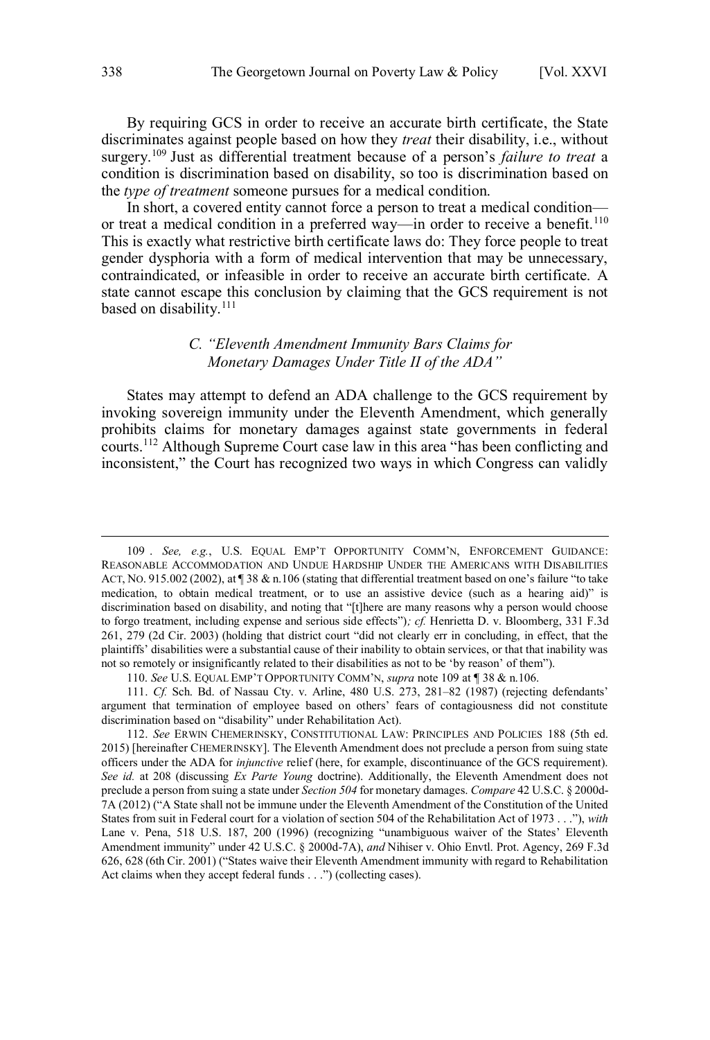<span id="page-25-0"></span>By requiring GCS in order to receive an accurate birth certificate, the State discriminates against people based on how they *treat* their disability, i.e., without surgery.<sup>109</sup> Just as differential treatment because of a person's *failure to treat* a condition is discrimination based on disability, so too is discrimination based on the *type of treatment* someone pursues for a medical condition.

In short, a covered entity cannot force a person to treat a medical condition or treat a medical condition in a preferred way—in order to receive a benefit.<sup>110</sup> This is exactly what restrictive birth certificate laws do: They force people to treat gender dysphoria with a form of medical intervention that may be unnecessary, contraindicated, or infeasible in order to receive an accurate birth certificate. A state cannot escape this conclusion by claiming that the GCS requirement is not based on disability.<sup>111</sup>

# *C. "Eleventh Amendment Immunity Bars Claims for Monetary Damages Under Title II of the ADA"*

States may attempt to defend an ADA challenge to the GCS requirement by invoking sovereign immunity under the Eleventh Amendment, which generally prohibits claims for monetary damages against state governments in federal courts.<sup>112</sup> Although Supreme Court case law in this area "has been conflicting and inconsistent," the Court has recognized two ways in which Congress can validly

110. *See* U.S. EQUAL EMP'T OPPORTUNITY COMM'N, *supra* note 109 at ¶ 38 & n.106.

<sup>109 .</sup> *See, e.g.*, U.S. EQUAL EMP'T OPPORTUNITY COMM'N, ENFORCEMENT GUIDANCE: REASONABLE ACCOMMODATION AND UNDUE HARDSHIP UNDER THE AMERICANS WITH DISABILITIES ACT, NO. 915.002 (2002), at ¶ 38 & n.106 (stating that differential treatment based on one's failure "to take medication, to obtain medical treatment, or to use an assistive device (such as a hearing aid)" is discrimination based on disability, and noting that "[t]here are many reasons why a person would choose to forgo treatment, including expense and serious side effects")*; cf.* Henrietta D. v. Bloomberg, 331 F.3d 261, 279 (2d Cir. 2003) (holding that district court "did not clearly err in concluding, in effect, that the plaintiffs' disabilities were a substantial cause of their inability to obtain services, or that that inability was not so remotely or insignificantly related to their disabilities as not to be 'by reason' of them").

<sup>111.</sup> *Cf.* Sch. Bd. of Nassau Cty. v. Arline, 480 U.S. 273, 281–82 (1987) (rejecting defendants' argument that termination of employee based on others' fears of contagiousness did not constitute discrimination based on "disability" under Rehabilitation Act).

<sup>112.</sup> *See* ERWIN CHEMERINSKY, CONSTITUTIONAL LAW: PRINCIPLES AND POLICIES 188 (5th ed. 2015) [hereinafter CHEMERINSKY]. The Eleventh Amendment does not preclude a person from suing state officers under the ADA for *injunctive* relief (here, for example, discontinuance of the GCS requirement). *See id.* at 208 (discussing *Ex Parte Young* doctrine). Additionally, the Eleventh Amendment does not preclude a person from suing a state under *Section 504* for monetary damages. *Compare* 42 U.S.C. § 2000d-7A (2012) ("A State shall not be immune under the Eleventh Amendment of the Constitution of the United States from suit in Federal court for a violation of section 504 of the Rehabilitation Act of 1973 . . ."), *with* Lane v. Pena, 518 U.S. 187, 200 (1996) (recognizing "unambiguous waiver of the States' Eleventh Amendment immunity" under 42 U.S.C. § 2000d-7A), *and* Nihiser v. Ohio Envtl. Prot. Agency, 269 F.3d 626, 628 (6th Cir. 2001) ("States waive their Eleventh Amendment immunity with regard to Rehabilitation Act claims when they accept federal funds . . .") (collecting cases).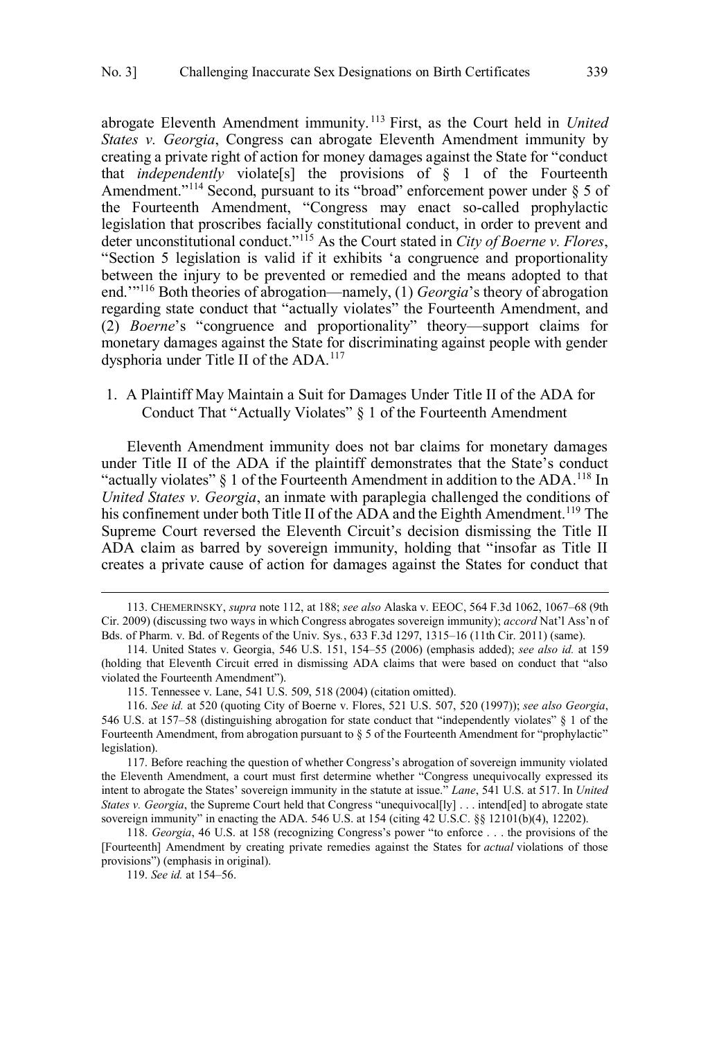<span id="page-26-0"></span>abrogate Eleventh Amendment immunity. <sup>113</sup> First, as the Court held in *United States v. Georgia*, Congress can abrogate Eleventh Amendment immunity by creating a private right of action for money damages against the State for "conduct that *independently* violate[s] the provisions of § 1 of the Fourteenth Amendment."<sup>114</sup> Second, pursuant to its "broad" enforcement power under  $\S 5$  of the Fourteenth Amendment, "Congress may enact so-called prophylactic legislation that proscribes facially constitutional conduct, in order to prevent and deter unconstitutional conduct."<sup>115</sup> As the Court stated in *City of Boerne v. Flores*, "Section 5 legislation is valid if it exhibits 'a congruence and proportionality between the injury to be prevented or remedied and the means adopted to that end.'"<sup>116</sup> Both theories of abrogation—namely, (1) *Georgia*'s theory of abrogation regarding state conduct that "actually violates" the Fourteenth Amendment, and (2) *Boerne*'s "congruence and proportionality" theory—support claims for monetary damages against the State for discriminating against people with gender dysphoria under Title II of the ADA.<sup>117</sup>

1. A Plaintiff May Maintain a Suit for Damages Under Title II of the ADA for Conduct That "Actually Violates" § 1 of the Fourteenth Amendment

Eleventh Amendment immunity does not bar claims for monetary damages under Title II of the ADA if the plaintiff demonstrates that the State's conduct "actually violates"  $\S$  1 of the Fourteenth Amendment in addition to the ADA.<sup>118</sup> In *United States v. Georgia*, an inmate with paraplegia challenged the conditions of his confinement under both Title II of the ADA and the Eighth Amendment.<sup>119</sup> The Supreme Court reversed the Eleventh Circuit's decision dismissing the Title II ADA claim as barred by sovereign immunity, holding that "insofar as Title II creates a private cause of action for damages against the States for conduct that

117. Before reaching the question of whether Congress's abrogation of sovereign immunity violated the Eleventh Amendment, a court must first determine whether "Congress unequivocally expressed its intent to abrogate the States' sovereign immunity in the statute at issue." *Lane*, 541 U.S. at 517. In *United States v. Georgia*, the Supreme Court held that Congress "unequivocal[ly] . . . intend[ed] to abrogate state sovereign immunity" in enacting the ADA. 546 U.S. at 154 (citing 42 U.S.C. §§ 12101(b)(4), 12202).

118. *Georgia*, 46 U.S. at 158 (recognizing Congress's power "to enforce . . . the provisions of the [Fourteenth] Amendment by creating private remedies against the States for *actual* violations of those provisions") (emphasis in original).

119. *See id.* at 154–56.

<sup>113.</sup> CHEMERINSKY, *supra* note 112, at 188; *see also* Alaska v. EEOC, 564 F.3d 1062, 1067–68 (9th Cir. 2009) (discussing two ways in which Congress abrogates sovereign immunity); *accord* Nat'l Ass'n of Bds. of Pharm. v. Bd. of Regents of the Univ. Sys*.*, 633 F.3d 1297, 1315–16 (11th Cir. 2011) (same).

<sup>114.</sup> United States v. Georgia, 546 U.S. 151, 154–55 (2006) (emphasis added); *see also id.* at 159 (holding that Eleventh Circuit erred in dismissing ADA claims that were based on conduct that "also violated the Fourteenth Amendment").

<sup>115.</sup> Tennessee v. Lane, 541 U.S. 509, 518 (2004) (citation omitted).

<sup>116.</sup> *See id.* at 520 (quoting City of Boerne v. Flores, 521 U.S. 507, 520 (1997)); *see also Georgia*, 546 U.S. at 157–58 (distinguishing abrogation for state conduct that "independently violates" § 1 of the Fourteenth Amendment, from abrogation pursuant to § 5 of the Fourteenth Amendment for "prophylactic" legislation).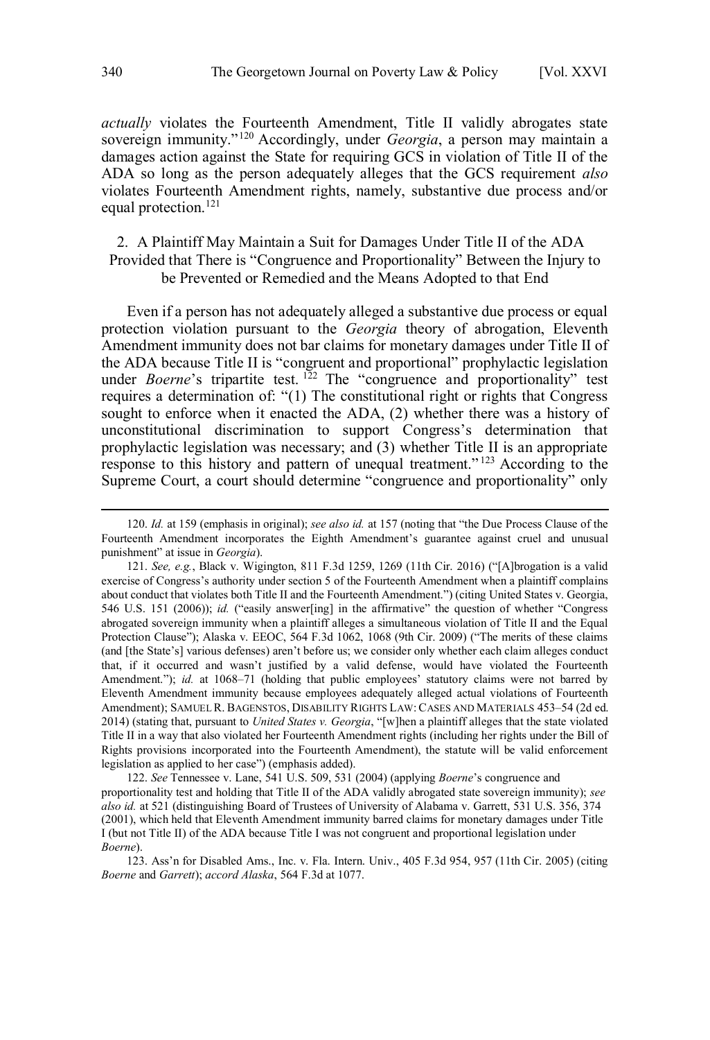<span id="page-27-0"></span>*actually* violates the Fourteenth Amendment, Title II validly abrogates state sovereign immunity."<sup>120</sup> Accordingly, under *Georgia*, a person may maintain a damages action against the State for requiring GCS in violation of Title II of the ADA so long as the person adequately alleges that the GCS requirement *also* violates Fourteenth Amendment rights, namely, substantive due process and/or equal protection.<sup>121</sup>

## 2. A Plaintiff May Maintain a Suit for Damages Under Title II of the ADA Provided that There is "Congruence and Proportionality" Between the Injury to be Prevented or Remedied and the Means Adopted to that End

Even if a person has not adequately alleged a substantive due process or equal protection violation pursuant to the *Georgia* theory of abrogation, Eleventh Amendment immunity does not bar claims for monetary damages under Title II of the ADA because Title II is "congruent and proportional" prophylactic legislation under *Boerne*'s tripartite test.<sup>122</sup> The "congruence and proportionality" test requires a determination of: "(1) The constitutional right or rights that Congress sought to enforce when it enacted the ADA, (2) whether there was a history of unconstitutional discrimination to support Congress's determination that prophylactic legislation was necessary; and (3) whether Title II is an appropriate response to this history and pattern of unequal treatment." <sup>123</sup> According to the Supreme Court, a court should determine "congruence and proportionality" only

122. *See* Tennessee v. Lane, 541 U.S. 509, 531 (2004) (applying *Boerne*'s congruence and proportionality test and holding that Title II of the ADA validly abrogated state sovereign immunity); *see also id.* at 521 (distinguishing Board of Trustees of University of Alabama v. Garrett, 531 U.S. 356, 374 (2001), which held that Eleventh Amendment immunity barred claims for monetary damages under Title I (but not Title II) of the ADA because Title I was not congruent and proportional legislation under *Boerne*).

123. Ass'n for Disabled Ams., Inc. v. Fla. Intern. Univ., 405 F.3d 954, 957 (11th Cir. 2005) (citing *Boerne* and *Garrett*); *accord Alaska*, 564 F.3d at 1077.

<sup>120.</sup> *Id.* at 159 (emphasis in original); *see also id.* at 157 (noting that "the Due Process Clause of the Fourteenth Amendment incorporates the Eighth Amendment's guarantee against cruel and unusual punishment" at issue in *Georgia*).

<sup>121.</sup> *See, e.g.*, Black v. Wigington, 811 F.3d 1259, 1269 (11th Cir. 2016) ("[A]brogation is a valid exercise of Congress's authority under section 5 of the Fourteenth Amendment when a plaintiff complains about conduct that violates both Title II and the Fourteenth Amendment.") (citing United States v. Georgia, 546 U.S. 151 (2006)); *id.* ("easily answer[ing] in the affirmative" the question of whether "Congress abrogated sovereign immunity when a plaintiff alleges a simultaneous violation of Title II and the Equal Protection Clause"); Alaska v. EEOC, 564 F.3d 1062, 1068 (9th Cir. 2009) ("The merits of these claims (and [the State's] various defenses) aren't before us; we consider only whether each claim alleges conduct that, if it occurred and wasn't justified by a valid defense, would have violated the Fourteenth Amendment."); *id.* at 1068-71 (holding that public employees' statutory claims were not barred by Eleventh Amendment immunity because employees adequately alleged actual violations of Fourteenth Amendment); SAMUEL R. BAGENSTOS, DISABILITY RIGHTS LAW:CASES AND MATERIALS 453–54 (2d ed. 2014) (stating that, pursuant to *United States v. Georgia*, "[w]hen a plaintiff alleges that the state violated Title II in a way that also violated her Fourteenth Amendment rights (including her rights under the Bill of Rights provisions incorporated into the Fourteenth Amendment), the statute will be valid enforcement legislation as applied to her case") (emphasis added).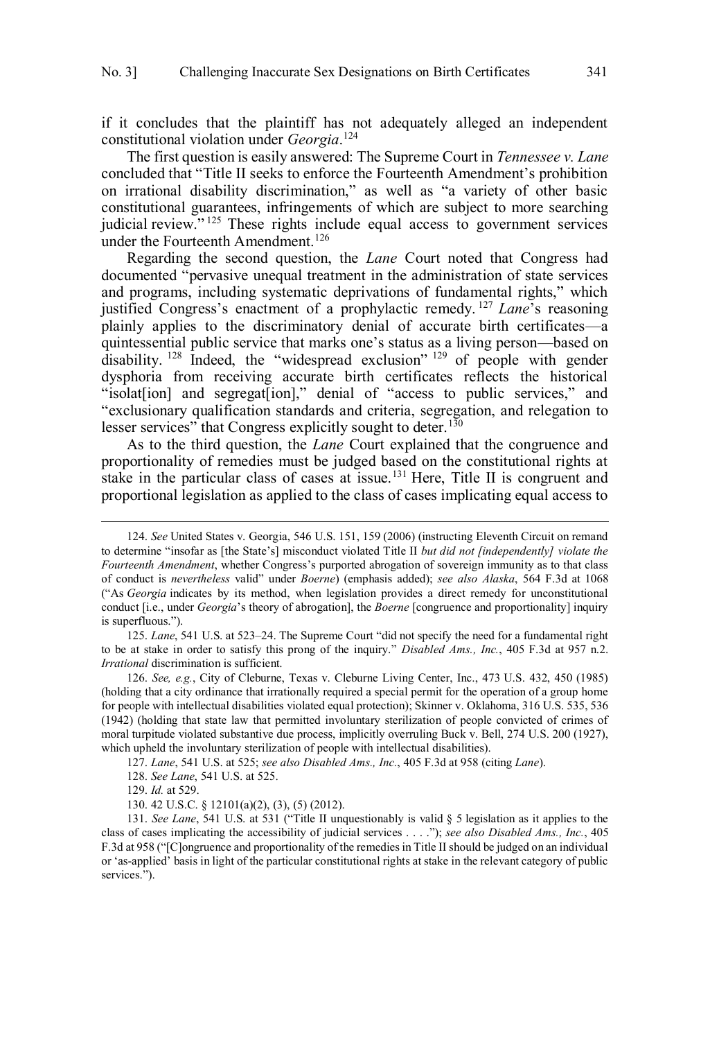if it concludes that the plaintiff has not adequately alleged an independent constitutional violation under *Georgia*. 124

The first question is easily answered: The Supreme Court in *Tennessee v. Lane* concluded that "Title II seeks to enforce the Fourteenth Amendment's prohibition on irrational disability discrimination," as well as "a variety of other basic constitutional guarantees, infringements of which are subject to more searching judicial review."<sup>125</sup> These rights include equal access to government services under the Fourteenth Amendment.<sup>126</sup>

Regarding the second question, the *Lane* Court noted that Congress had documented "pervasive unequal treatment in the administration of state services and programs, including systematic deprivations of fundamental rights," which justified Congress's enactment of a prophylactic remedy. <sup>127</sup> *Lane*'s reasoning plainly applies to the discriminatory denial of accurate birth certificates—a quintessential public service that marks one's status as a living person—based on disability. <sup>128</sup> Indeed, the "widespread exclusion" <sup>129</sup> of people with gender dysphoria from receiving accurate birth certificates reflects the historical "isolat[ion] and segregat[ion]," denial of "access to public services," and "exclusionary qualification standards and criteria, segregation, and relegation to lesser services" that Congress explicitly sought to deter.<sup>130</sup>

As to the third question, the *Lane* Court explained that the congruence and proportionality of remedies must be judged based on the constitutional rights at stake in the particular class of cases at issue.<sup>131</sup> Here, Title II is congruent and proportional legislation as applied to the class of cases implicating equal access to

127. *Lane*, 541 U.S. at 525; *see also Disabled Ams., Inc.*, 405 F.3d at 958 (citing *Lane*).

<sup>124.</sup> *See* United States v. Georgia, 546 U.S. 151, 159 (2006) (instructing Eleventh Circuit on remand to determine "insofar as [the State's] misconduct violated Title II *but did not [independently] violate the Fourteenth Amendment*, whether Congress's purported abrogation of sovereign immunity as to that class of conduct is *nevertheless* valid" under *Boerne*) (emphasis added); *see also Alaska*, 564 F.3d at 1068 ("As *Georgia* indicates by its method, when legislation provides a direct remedy for unconstitutional conduct [i.e., under *Georgia*'s theory of abrogation], the *Boerne* [congruence and proportionality] inquiry is superfluous.").

<sup>125.</sup> *Lane*, 541 U.S. at 523–24. The Supreme Court "did not specify the need for a fundamental right to be at stake in order to satisfy this prong of the inquiry." *Disabled Ams., Inc.*, 405 F.3d at 957 n.2. *Irrational* discrimination is sufficient.

<sup>126.</sup> *See, e.g.*, City of Cleburne, Texas v. Cleburne Living Center, Inc., 473 U.S. 432, 450 (1985) (holding that a city ordinance that irrationally required a special permit for the operation of a group home for people with intellectual disabilities violated equal protection); Skinner v. Oklahoma, 316 U.S. 535, 536 (1942) (holding that state law that permitted involuntary sterilization of people convicted of crimes of moral turpitude violated substantive due process, implicitly overruling Buck v. Bell, 274 U.S. 200 (1927), which upheld the involuntary sterilization of people with intellectual disabilities).

<sup>128.</sup> *See Lane*, 541 U.S. at 525.

<sup>129.</sup> *Id.* at 529.

<sup>130. 42</sup> U.S.C. § 12101(a)(2), (3), (5) (2012).

<sup>131.</sup> *See Lane*, 541 U.S. at 531 ("Title II unquestionably is valid § 5 legislation as it applies to the class of cases implicating the accessibility of judicial services . . . ."); *see also Disabled Ams., Inc.*, 405 F.3d at 958 ("[C]ongruence and proportionality of the remedies in Title II should be judged on an individual or 'as-applied' basis in light of the particular constitutional rights at stake in the relevant category of public services.").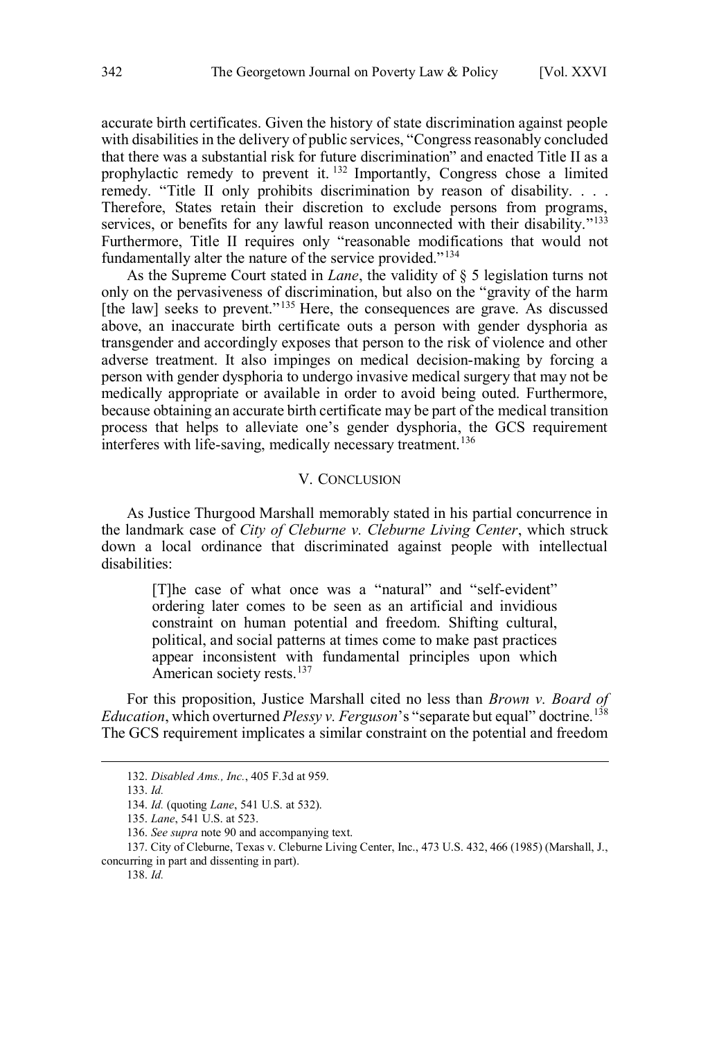<span id="page-29-0"></span>accurate birth certificates. Given the history of state discrimination against people with disabilities in the delivery of public services, "Congress reasonably concluded that there was a substantial risk for future discrimination" and enacted Title II as a prophylactic remedy to prevent it. <sup>132</sup> Importantly, Congress chose a limited remedy. "Title II only prohibits discrimination by reason of disability. . . . Therefore, States retain their discretion to exclude persons from programs, services, or benefits for any lawful reason unconnected with their disability."<sup>133</sup> Furthermore, Title II requires only "reasonable modifications that would not fundamentally alter the nature of the service provided."<sup>134</sup>

As the Supreme Court stated in *Lane*, the validity of § 5 legislation turns not only on the pervasiveness of discrimination, but also on the "gravity of the harm [the law] seeks to prevent."<sup>135</sup> Here, the consequences are grave. As discussed above, an inaccurate birth certificate outs a person with gender dysphoria as transgender and accordingly exposes that person to the risk of violence and other adverse treatment. It also impinges on medical decision-making by forcing a person with gender dysphoria to undergo invasive medical surgery that may not be medically appropriate or available in order to avoid being outed. Furthermore, because obtaining an accurate birth certificate may be part of the medical transition process that helps to alleviate one's gender dysphoria, the GCS requirement interferes with life-saving, medically necessary treatment.<sup>136</sup>

#### V. CONCLUSION

As Justice Thurgood Marshall memorably stated in his partial concurrence in the landmark case of *City of Cleburne v. Cleburne Living Center*, which struck down a local ordinance that discriminated against people with intellectual disabilities:

[T]he case of what once was a "natural" and "self-evident" ordering later comes to be seen as an artificial and invidious constraint on human potential and freedom. Shifting cultural, political, and social patterns at times come to make past practices appear inconsistent with fundamental principles upon which American society rests.<sup>137</sup>

For this proposition, Justice Marshall cited no less than *Brown v. Board of Education*, which overturned *Plessy v. Ferguson*'s "separate but equal" doctrine.<sup>138</sup> The GCS requirement implicates a similar constraint on the potential and freedom

<sup>132.</sup> *Disabled Ams., Inc.*, 405 F.3d at 959.

<sup>133.</sup> *Id.*

<sup>134.</sup> *Id.* (quoting *Lane*, 541 U.S. at 532).

<sup>135.</sup> *Lane*, 541 U.S. at 523.

<sup>136.</sup> *See supra* note 90 and accompanying text.

<sup>137.</sup> City of Cleburne, Texas v. Cleburne Living Center, Inc., 473 U.S. 432, 466 (1985) (Marshall, J., concurring in part and dissenting in part).

<sup>138.</sup> *Id.*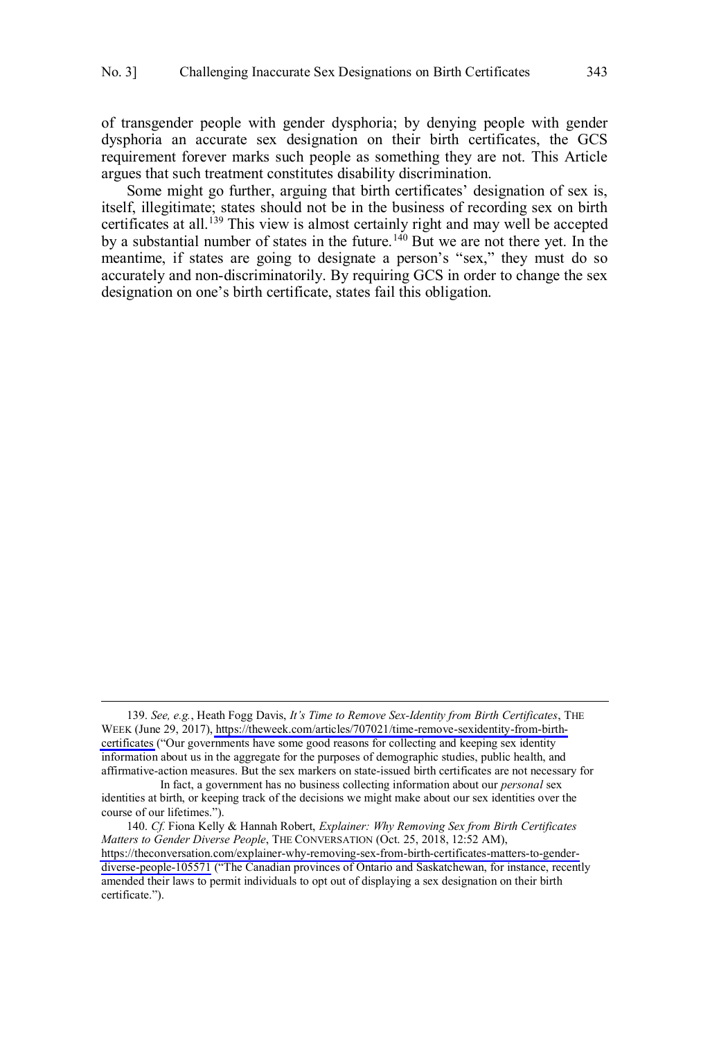of transgender people with gender dysphoria; by denying people with gender dysphoria an accurate sex designation on their birth certificates, the GCS requirement forever marks such people as something they are not. This Article argues that such treatment constitutes disability discrimination.

Some might go further, arguing that birth certificates' designation of sex is, itself, illegitimate; states should not be in the business of recording sex on birth certificates at all.<sup>139</sup> This view is almost certainly right and may well be accepted by a substantial number of states in the future.<sup>140</sup> But we are not there yet. In the meantime, if states are going to designate a person's "sex," they must do so accurately and non-discriminatorily. By requiring GCS in order to change the sex designation on one's birth certificate, states fail this obligation.

*See, e.g.*, Heath Fogg Davis, *It's Time to Remove Sex-Identity from Birth Certificates*, THE 139. WEEK (June 29, 2017), [https://theweek.com/articles/707021/time-remove-sexidentity-from-birth](https://theweek.com/articles/707021/time-remove-sexidentity-from-birth-certificates)[certificates](https://theweek.com/articles/707021/time-remove-sexidentity-from-birth-certificates) ("Our governments have some good reasons for collecting and keeping sex identity information about us in the aggregate for the purposes of demographic studies, public health, and affirmative-action measures. But the sex markers on state-issued birth certificates are not necessary for

In fact, a government has no business collecting information about our *personal* sex identities at birth, or keeping track of the decisions we might make about our sex identities over the course of our lifetimes.").

*Cf.* Fiona Kelly & Hannah Robert, *Explainer: Why Removing Sex from Birth Certificates*  140. *Matters to Gender Diverse People*, THE CONVERSATION (Oct. 25, 2018, 12:52 AM), [https://theconversation.com/explainer-why-removing-sex-from-birth-certificates-matters-to-gender](https://theconversation.com/explainer-why-removing-sex-from-birth-certificates-matters-to-gender-diverse-people-105571)[diverse-people-105571](https://theconversation.com/explainer-why-removing-sex-from-birth-certificates-matters-to-gender-diverse-people-105571) ("The Canadian provinces of Ontario and Saskatchewan, for instance, recently amended their laws to permit individuals to opt out of displaying a sex designation on their birth certificate.").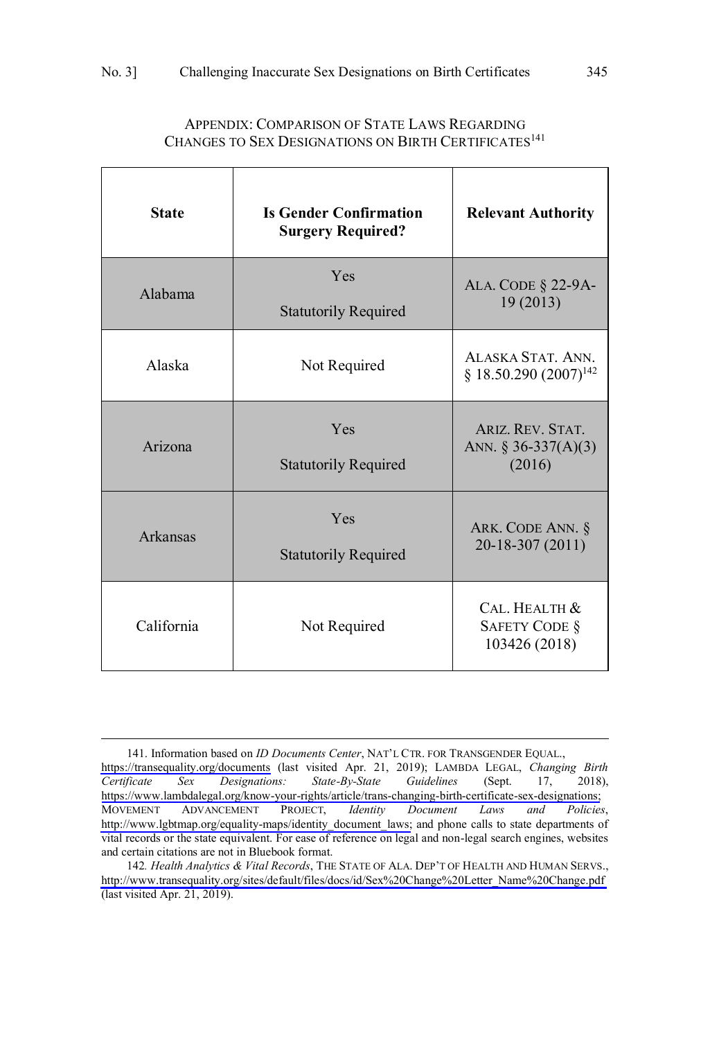<span id="page-32-0"></span>

| <b>State</b> | <b>Is Gender Confirmation</b><br><b>Surgery Required?</b> | <b>Relevant Authority</b>                              |
|--------------|-----------------------------------------------------------|--------------------------------------------------------|
| Alabama      | Yes<br><b>Statutorily Required</b>                        | ALA. CODE § 22-9A-<br>19(2013)                         |
| Alaska       | Not Required                                              | ALASKA STAT ANN<br>§ 18.50.290 (2007) <sup>142</sup>   |
| Arizona      | Yes<br><b>Statutorily Required</b>                        | ARIZ, REV. STAT.<br>ANN. § 36-337(A)(3)<br>(2016)      |
| Arkansas     | Yes<br><b>Statutorily Required</b>                        | ARK. CODE ANN. §<br>$20-18-307(2011)$                  |
| California   | Not Required                                              | CAL. HEALTH &<br><b>SAFETY CODE §</b><br>103426 (2018) |

# APPENDIX: COMPARISON OF STATE LAWS REGARDING CHANGES TO SEX DESIGNATIONS ON BIRTH CERTIFICATES<sup>141</sup>

<sup>141.</sup> Information based on *ID Documents Center*, NAT'L CTR. FOR TRANSGENDER EQUAL., <https://transequality.org/documents> (last visited Apr. 21, 2019); LAMBDA LEGAL, *Changing Birth*  State-By-State [https://www.lambdalegal.org/know-your-rights/article/trans-changing-birth-certificate-sex-designations;](https://www.lambdalegal.org/know-your-rights/article/trans-changing-birth-certificate-sex-designations)<br>MOVEMENT ADVANCEMENT PROJECT, Identity Document Laws and Policies, ADVANCEMENT PROJECT, *Identity Document Laws and* [http://www.lgbtmap.org/equality-maps/identity\\_document\\_laws;](http://www.lgbtmap.org/equality-maps/identity_document_laws) and phone calls to state departments of vital records or the state equivalent. For ease of reference on legal and non-legal search engines, websites and certain citations are not in Bluebook format.

<sup>142.</sup> Health Analytics & Vital Records, THE STATE OF ALA. DEP'T OF HEALTH AND HUMAN SERVS., http://www.transequality.org/sites/default/files/docs/id/Sex%20Change%20Letter\_Name%20Change.pdf (last visited Apr. 21, 2019).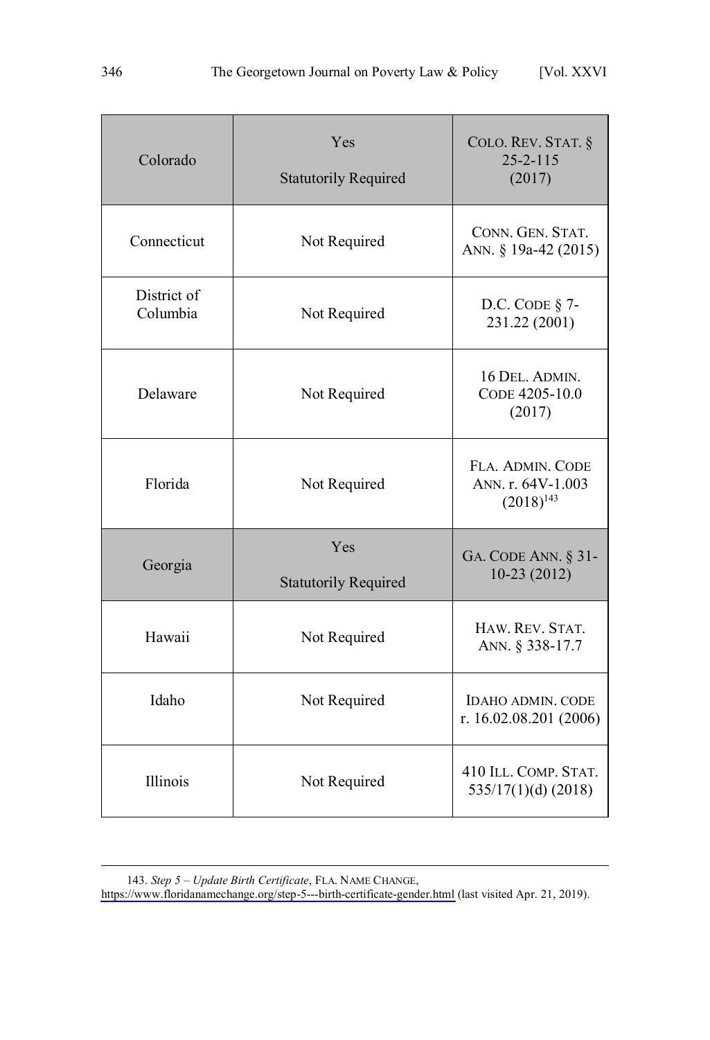| Colorado                | Yes<br><b>Statutorily Required</b> | COLO. REV. STAT. §<br>$25 - 2 - 115$<br>(2017)          |
|-------------------------|------------------------------------|---------------------------------------------------------|
| Connecticut             | Not Required                       | CONN. GEN. STAT.<br>ANN. § 19a-42 (2015)                |
| District of<br>Columbia | Not Required                       | D.C. CODE $§$ 7-<br>231.22 (2001)                       |
| Delaware                | Not Required                       | 16 DEL. ADMIN.<br>CODE 4205-10.0<br>(2017)              |
| Florida                 | Not Required                       | FLA. ADMIN. CODE<br>ANN. r. 64V-1.003<br>$(2018)^{143}$ |
| Georgia                 | Yes<br><b>Statutorily Required</b> | GA. CODE ANN. § 31-<br>$10-23(2012)$                    |
| Hawaii                  | Not Required                       | HAW. REV. STAT.<br>ANN. § 338-17.7                      |
| Idaho                   | Not Required                       | <b>IDAHO ADMIN. CODE</b><br>r. 16.02.08.201 (2006)      |
| Illinois                | Not Required                       | 410 ILL. COMP. STAT.<br>$535/17(1)(d)$ (2018)           |

*Step 5 – Update Birth Certificate*, FLA. NAME CHANGE, 143.

<https://www.floridanamechange.org/step-5---birth-certificate-gender.html>(last visited Apr. 21, 2019).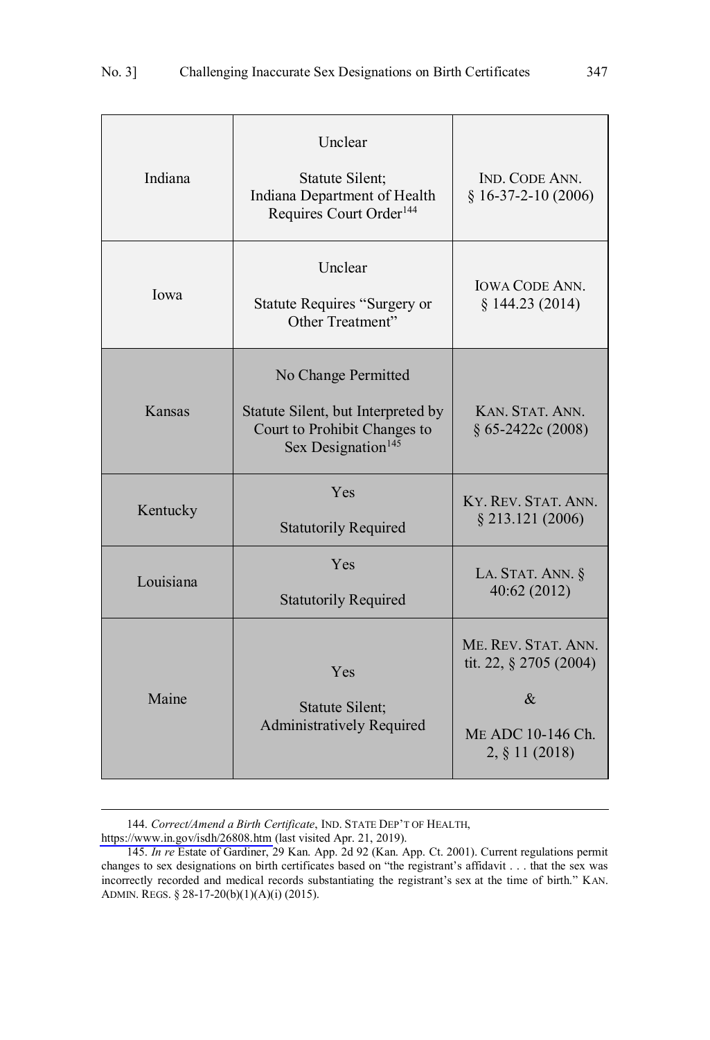| Indiana   | Unclear<br>Statute Silent;<br>Indiana Department of Health<br>Requires Court Order <sup>144</sup>                           | IND. CODE ANN.<br>$§$ 16-37-2-10 (2006)                                                      |
|-----------|-----------------------------------------------------------------------------------------------------------------------------|----------------------------------------------------------------------------------------------|
| Iowa      | Unclear<br>Statute Requires "Surgery or<br>Other Treatment"                                                                 | <b>IOWA CODE ANN.</b><br>§ 144.23(2014)                                                      |
| Kansas    | No Change Permitted<br>Statute Silent, but Interpreted by<br>Court to Prohibit Changes to<br>Sex Designation <sup>145</sup> | KAN. STAT. ANN.<br>$§ 65-2422c(2008)$                                                        |
| Kentucky  | Yes<br><b>Statutorily Required</b>                                                                                          | KY. REV. STAT. ANN.<br>$§$ 213.121 (2006)                                                    |
| Louisiana | Yes<br><b>Statutorily Required</b>                                                                                          | LA. STAT. ANN. §<br>40:62 (2012)                                                             |
| Maine     | Yes<br>Statute Silent;<br><b>Administratively Required</b>                                                                  | ME. REV. STAT. ANN.<br>tit. 22, § 2705 (2004)<br>$\&$<br>ME ADC 10-146 Ch.<br>2, § 11 (2018) |

*Correct/Amend a Birth Certificate*, IND. STATE DEP'T OF HEALTH, 144.

<https://www.in.gov/isdh/26808.htm>(last visited Apr. 21, 2019).

<sup>145.</sup> *In re* Estate of Gardiner, 29 Kan. App. 2d 92 (Kan. App. Ct. 2001). Current regulations permit changes to sex designations on birth certificates based on "the registrant's affidavit . . . that the sex was incorrectly recorded and medical records substantiating the registrant's sex at the time of birth." KAN. ADMIN. REGS. § 28-17-20(b)(1)(A)(i) (2015).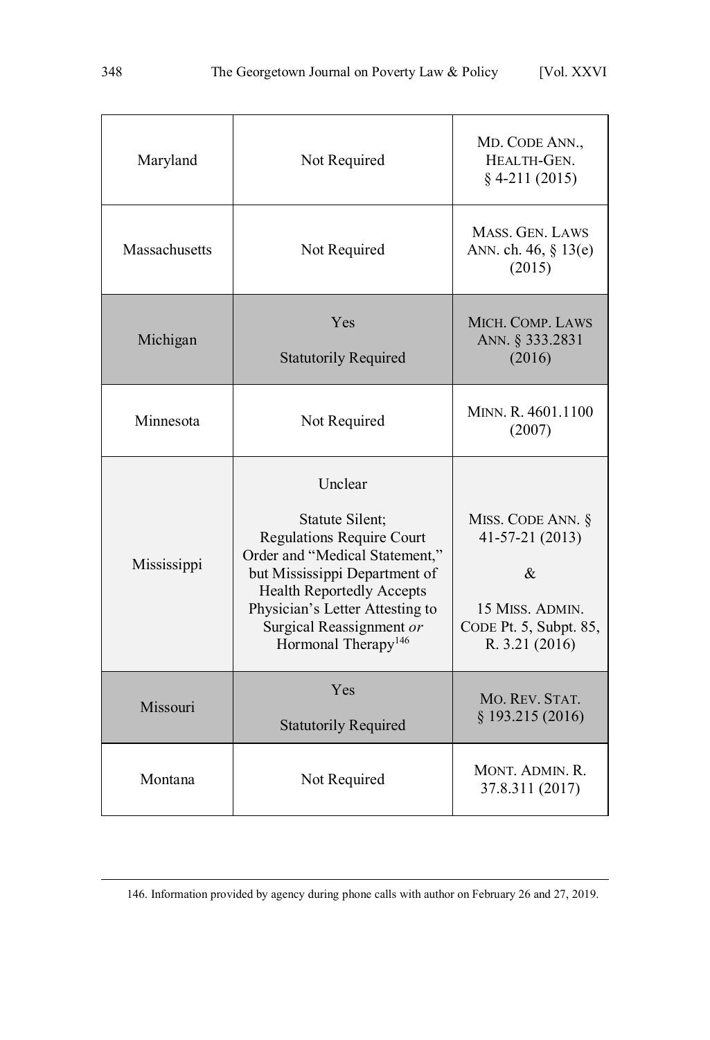| Maryland      | Not Required                                                                                                                                                                                                                                                            | MD. CODE ANN.,<br>HEALTH-GEN.<br>$§$ 4-211 (2015)                                                         |
|---------------|-------------------------------------------------------------------------------------------------------------------------------------------------------------------------------------------------------------------------------------------------------------------------|-----------------------------------------------------------------------------------------------------------|
| Massachusetts | Not Required                                                                                                                                                                                                                                                            | MASS, GEN, LAWS<br>ANN. ch. 46, § 13(e)<br>(2015)                                                         |
| Michigan      | Yes<br><b>Statutorily Required</b>                                                                                                                                                                                                                                      | MICH. COMP. LAWS<br>ANN. § 333.2831<br>(2016)                                                             |
| Minnesota     | Not Required                                                                                                                                                                                                                                                            | MINN. R. 4601.1100<br>(2007)                                                                              |
| Mississippi   | Unclear<br>Statute Silent;<br><b>Regulations Require Court</b><br>Order and "Medical Statement,"<br>but Mississippi Department of<br><b>Health Reportedly Accepts</b><br>Physician's Letter Attesting to<br>Surgical Reassignment or<br>Hormonal Therapy <sup>146</sup> | MISS. CODE ANN. §<br>$41-57-21(2013)$<br>&<br>15 MISS. ADMIN.<br>CODE Pt. 5, Subpt. 85,<br>R. 3.21 (2016) |
| Missouri      | Yes<br><b>Statutorily Required</b>                                                                                                                                                                                                                                      | MO. REV. STAT.<br>§ 193.215 (2016)                                                                        |
| Montana       | Not Required                                                                                                                                                                                                                                                            | MONT. ADMIN. R.<br>37.8.311 (2017)                                                                        |

146. Information provided by agency during phone calls with author on February 26 and 27, 2019.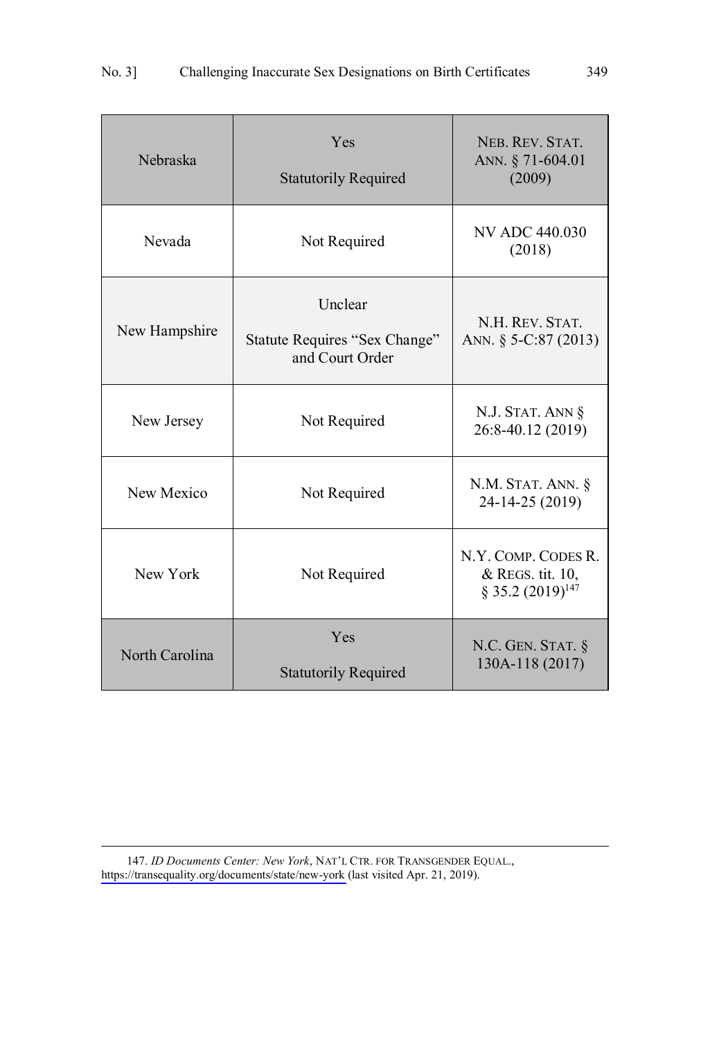| Nebraska       | Yes<br><b>Statutorily Required</b>                          | NEB. REV. STAT.<br>ANN. § 71-604.01<br>(2009)                              |
|----------------|-------------------------------------------------------------|----------------------------------------------------------------------------|
| Nevada         | Not Required                                                | NV ADC 440.030<br>(2018)                                                   |
| New Hampshire  | Unclear<br>Statute Requires "Sex Change"<br>and Court Order | N.H. REV. STAT.<br>ANN. § 5-C:87 (2013)                                    |
| New Jersey     | Not Required                                                | N.J. STAT. ANN §<br>26:8-40.12 (2019)                                      |
| New Mexico     | Not Required                                                | N.M. STAT. ANN. §<br>24-14-25 (2019)                                       |
| New York       | Not Required                                                | N.Y. COMP. CODES R.<br>& REGS. tit. 10,<br>$\S$ 35.2 (2019) <sup>147</sup> |
| North Carolina | Yes<br><b>Statutorily Required</b>                          | N.C. GEN. STAT. $§$<br>130A-118 (2017)                                     |

147. ID Documents Center: New York, NAT'L CTR. FOR TRANSGENDER EQUAL., <https://transequality.org/documents/state/new-york>(last visited Apr. 21, 2019).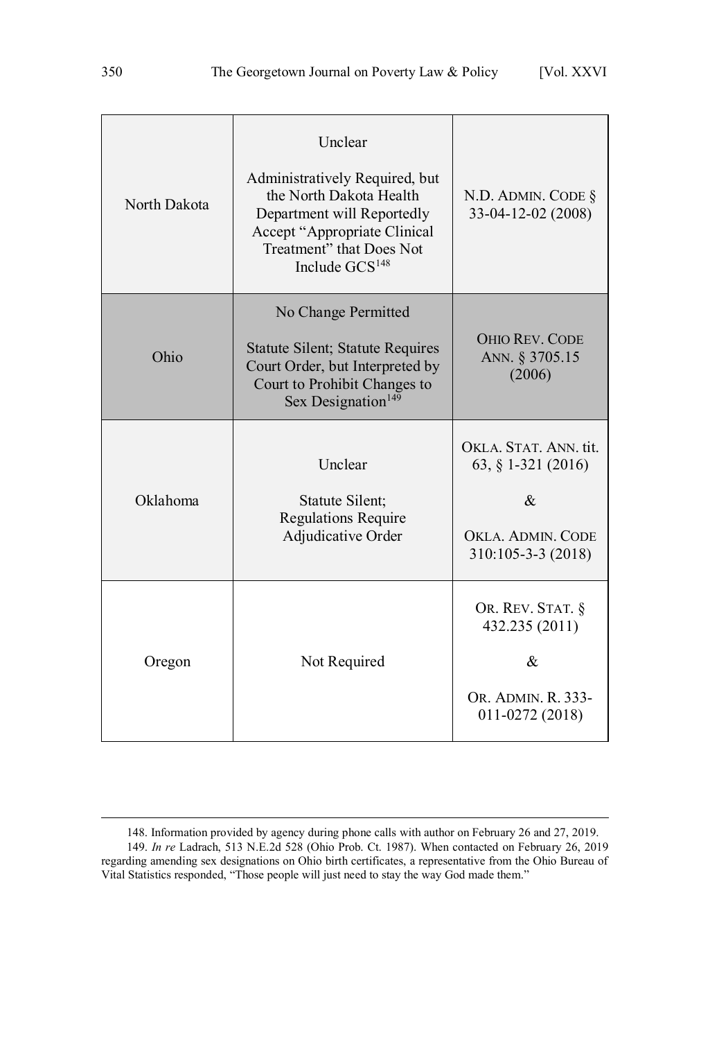| North Dakota | Unclear<br>Administratively Required, but<br>the North Dakota Health<br>Department will Reportedly<br>Accept "Appropriate Clinical<br>Treatment" that Does Not<br>Include GCS <sup>148</sup> | N.D. ADMIN. CODE §<br>33-04-12-02 (2008)                                                                                   |
|--------------|----------------------------------------------------------------------------------------------------------------------------------------------------------------------------------------------|----------------------------------------------------------------------------------------------------------------------------|
| Ohio         | No Change Permitted<br><b>Statute Silent; Statute Requires</b><br>Court Order, but Interpreted by<br>Court to Prohibit Changes to<br>Sex Designation <sup>149</sup>                          | <b>OHIO REV. CODE</b><br>ANN. § 3705.15<br>(2006)                                                                          |
| Oklahoma     | Unclear<br>Statute Silent;<br><b>Regulations Require</b><br>Adjudicative Order                                                                                                               | OKLA, STAT, ANN, tit.<br>63, § 1-321 (2016)<br>$\mathcal{R}_{\mathcal{L}}$<br>OKLA, ADMIN, CODE<br>$310:105 - 3 - 3(2018)$ |
| Oregon       | Not Required                                                                                                                                                                                 | OR. REV. STAT. §<br>432.235 (2011)<br>&<br>OR. ADMIN. R. 333-<br>011-0272 (2018)                                           |

<sup>148.</sup> Information provided by agency during phone calls with author on February 26 and 27, 2019. 149. *In re* Ladrach, 513 N.E.2d 528 (Ohio Prob. Ct. 1987). When contacted on February 26, 2019 regarding amending sex designations on Ohio birth certificates, a representative from the Ohio Bureau of Vital Statistics responded, "Those people will just need to stay the way God made them."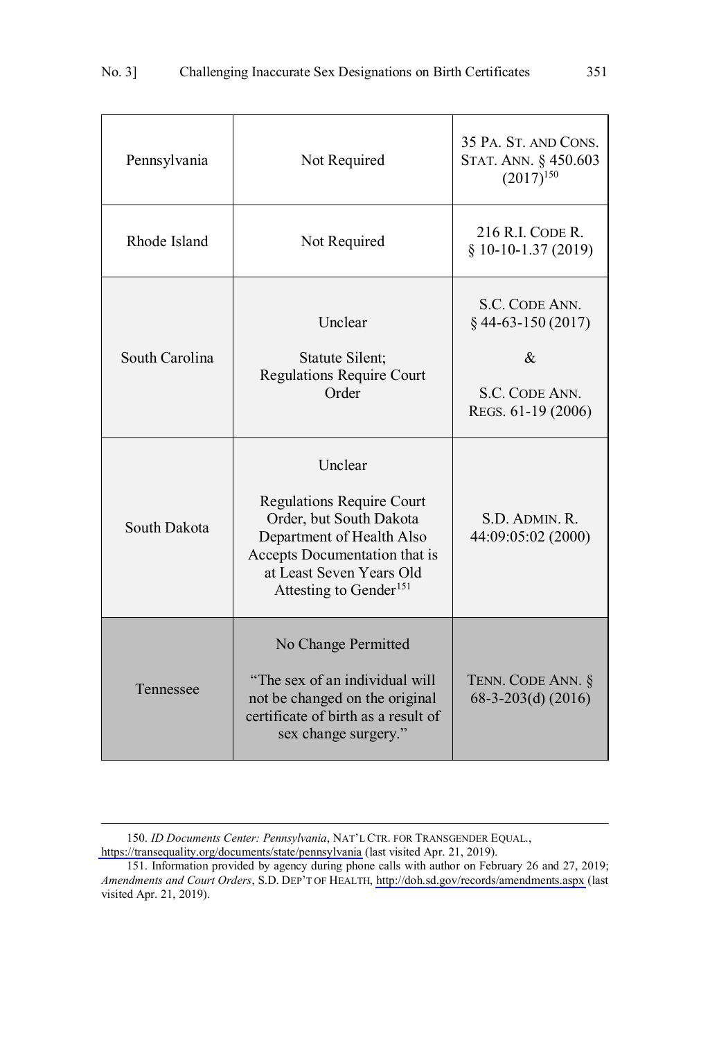| Pennsylvania   | Not Required                                                                                                                                                                                           | 35 PA. ST. AND CONS.<br>STAT. ANN. § 450.603<br>$(2017)^{150}$                         |
|----------------|--------------------------------------------------------------------------------------------------------------------------------------------------------------------------------------------------------|----------------------------------------------------------------------------------------|
| Rhode Island   | Not Required                                                                                                                                                                                           | 216 R.I. CODE R.<br>$§ 10-10-1.37(2019)$                                               |
| South Carolina | Unclear<br>Statute Silent;<br><b>Regulations Require Court</b><br>Order                                                                                                                                | S.C. CODE ANN.<br>$§$ 44-63-150 (2017)<br>$\&$<br>S.C. CODE ANN.<br>REGS. 61-19 (2006) |
| South Dakota   | Unclear<br><b>Regulations Require Court</b><br>Order, but South Dakota<br>Department of Health Also<br>Accepts Documentation that is<br>at Least Seven Years Old<br>Attesting to Gender <sup>151</sup> | S.D. ADMIN. R.<br>44:09:05:02 (2000)                                                   |
| Tennessee      | No Change Permitted<br>"The sex of an individual will<br>not be changed on the original<br>certificate of birth as a result of<br>sex change surgery."                                                 | TENN. CODE ANN. §<br>68-3-203(d) $(2016)$                                              |

<sup>150.</sup> ID Documents Center: Pennsylvania, NAT'L CTR. FOR TRANSGENDER EQUAL.,

<https://transequality.org/documents/state/pennsylvania>(last visited Apr. 21, 2019).

<sup>151.</sup> Information provided by agency during phone calls with author on February 26 and 27, 2019; *Amendments and Court Orders*, S.D. DEP'T OF HEALTH, [http://doh.sd.gov/records/amendments.aspx](https://doh.sd.gov/records/amendments.aspx) (last visited Apr. 21, 2019).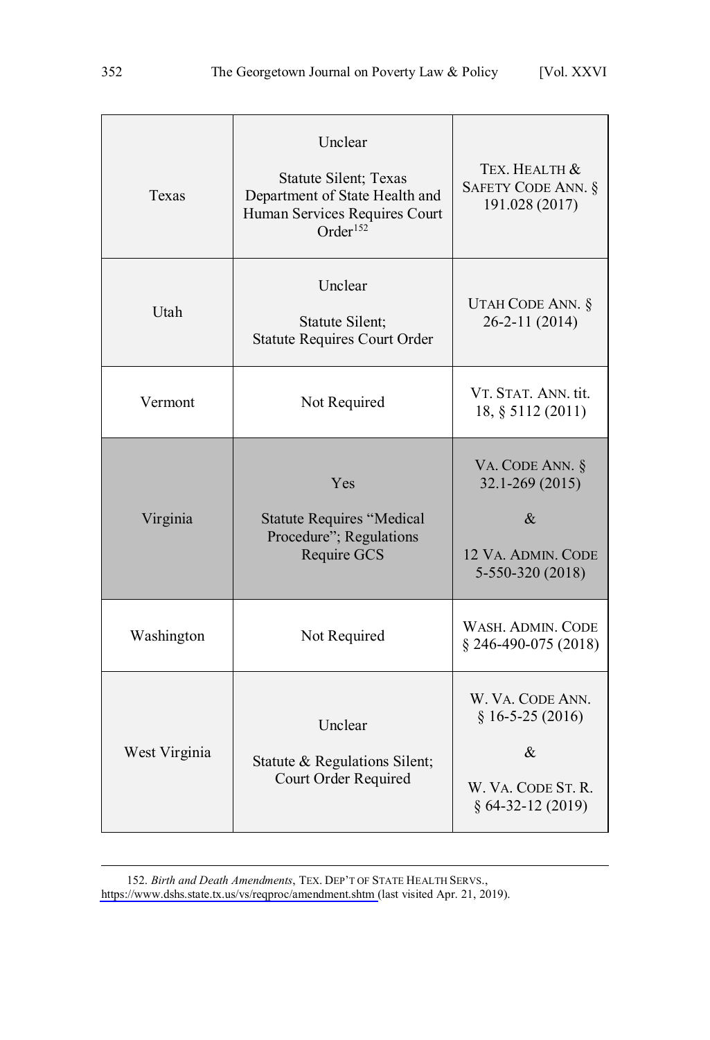| Texas         | Unclear<br><b>Statute Silent</b> ; Texas<br>Department of State Health and<br>Human Services Requires Court<br>Order <sup>152</sup> | TEX. HEALTH &<br>SAFETY CODE ANN. §<br>191.028 (2017)                                     |
|---------------|-------------------------------------------------------------------------------------------------------------------------------------|-------------------------------------------------------------------------------------------|
| Utah          | Unclear<br>Statute Silent;<br><b>Statute Requires Court Order</b>                                                                   | UTAH CODE ANN. §<br>26-2-11 (2014)                                                        |
| Vermont       | Not Required                                                                                                                        | VT. STAT. ANN. tit.<br>18, § 5112 (2011)                                                  |
| Virginia      | Yes<br><b>Statute Requires "Medical</b><br>Procedure"; Regulations<br>Require GCS                                                   | VA. CODE ANN. §<br>$32.1 - 269(2015)$<br>$\&$<br>12 VA. ADMIN. CODE<br>5-550-320 (2018)   |
| Washington    | Not Required                                                                                                                        | WASH. ADMIN. CODE<br>$§$ 246-490-075 (2018)                                               |
| West Virginia | Unclear<br>Statute & Regulations Silent;<br>Court Order Required                                                                    | W. VA. CODE ANN.<br>$§ 16-5-25(2016)$<br>$\&$<br>W. VA. CODE ST. R.<br>$§ 64-32-12(2019)$ |

*Birth and Death Amendments*, TEX. DEP'T OF STATE HEALTH SERVS., 152.

<https://www.dshs.state.tx.us/vs/reqproc/amendment.shtm>(last visited Apr. 21, 2019).